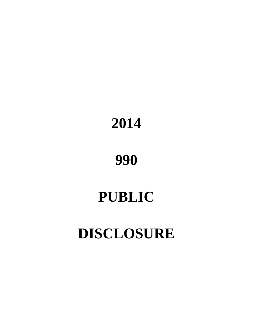# **2014**

# **990**

# **PUBLIC**

# **DISCLOSURE**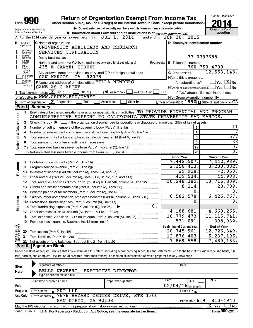| <b>Return of Organization Exempt From Income Tax</b><br>Form<br>Under section 501(c), 527, or 4947(a)(1) of the Internal Revenue Code (except private foundations)<br>Do not enter social security numbers on this form as it may be made public.<br><b>Open to Public</b><br>Department of the Treasury<br>Inspection<br>Internal Revenue Service<br>Information about Form 990 and its instructions is at www.irs.gov/form990.<br>A For the 2014 calendar year, or tax year beginning $JUL$ 1, $2014$<br>and ending JUN 30, 2015<br>D Employer identification number<br><b>C</b> Name of organization<br><b>B</b> Check if<br>applicable:<br>UNIVERSITY AUXILIARY AND RESEARCH<br> Address<br> change<br>SERVICES CORPORATION<br>Name<br>33-0397688<br>Doing business as<br> change<br>Initial<br>Number and street (or P.O. box if mail is not delivered to street address)<br>Room/suite   E Telephone number<br>∣return<br>$760 - 750 - 4700$<br>Final<br>435 E CARMEL STREET<br>return/<br>termin-<br>12, 553, 148.<br>G Gross receipts \$<br>City or town, state or province, country, and ZIP or foreign postal code<br>ated<br>Amended<br>SAN MARCOS, CA 92078<br>H(a) Is this a group return<br>Ireturn<br>Applica-<br>Ition<br>F Name and address of principal officer: BELLA NEWBERG<br>$\sqrt{\mathsf{Yes}\mathord{\;\mathbb{X}}\mathord{\;\mathsf{No}}}$<br>for subordinates?<br>pending<br>SAME AS C ABOVE<br>$H(b)$ Are all subordinates included? $\Box$ Yes<br>l No<br>Tax-exempt status: $X \over 301(c)(3)$<br>$501(c)$ (<br>$\sqrt{\frac{1}{1}}$ (insert no.)<br>$4947(a)(1)$ or<br>527<br>If "No," attach a list. (see instructions)<br>J Website: WWW.CSUSM.EDU/UARSC<br>$H(c)$ Group exemption number $\blacktriangleright$<br>L Year of formation: 1990 M State of legal domicile: CA<br>K Form of organization: $X$ Corporation<br>$\overline{Other}$<br>Trust<br>Association<br>Part II<br><b>Summary</b><br>Briefly describe the organization's mission or most significant activities: TO PROVIDE FINANCIAL AND PROGRAM<br>1.<br>Governance<br>ADMINISTRATIVE SUPPORT TO CALIFORNIA STATE UNIVERSITY SAN MARCOS.<br>Check this box $\blacktriangleright$ $\Box$ if the organization discontinued its operations or disposed of more than 25% of its net assets.<br>2<br>11<br>3<br>Number of voting members of the governing body (Part VI, line 1a)<br>з<br>$\overline{\mathbf{4}}$<br>4<br><b>Activities &amp;</b><br>577<br>5<br>5<br>$\overline{38}$<br>6<br>6<br>$\overline{0}$ .<br>7a<br>$\overline{0}$ .<br>7b<br><b>Current Year</b><br><b>Prior Year</b><br>7,442,507.<br>7,442,989.<br>8<br>Revenue<br>2,356,413.<br>3, 230, 882.<br>9<br>29,928.<br>$-2,050.$<br>10<br>419,534.<br>44,988.<br>Other revenue (Part VIII, column (A), lines 5, 6d, 8c, 9c, 10c, and 11e)<br>11<br>10, 248, 382.<br>10,716,809.<br>Total revenue - add lines 8 through 11 (must equal Part VIII, column (A), line 12)<br>12<br>20,709.<br>8,214.<br>Grants and similar amounts paid (Part IX, column (A), lines 1-3)<br>13<br>0.<br>0.<br>Benefits paid to or for members (Part IX, column (A), line 4)<br>14<br>6,582,578.<br>6,425,767.<br>15 Salaries, other compensation, employee benefits (Part IX, column (A), lines 5-10)<br>Expenses<br>0.<br>ο.<br>$0$ .<br><b>b</b> Total fundraising expenses (Part IX, column (D), line 25)<br>4,188,681.<br>4,669,265.<br>10, 779, 473.<br>11, 115, 741.<br>Total expenses. Add lines 13-17 (must equal Part IX, column (A), line 25)<br>18<br>$-531,091.$<br>$-398,932.$<br>19<br>Net Assets or<br><b>Beginning of Current Year</b><br><b>End of Year</b><br>20,745,961.<br>12,726,349.<br>Total assets (Part X, line 16)<br>20<br>12,876,403.<br>5, 237, 196.<br>Total liabilities (Part X, line 26)<br>21<br>7,869,558.<br>7,489,153.<br>22<br><b>Part II   Signature Block</b><br>Under penalties of perjury, I declare that I have examined this return, including accompanying schedules and statements, and to the best of my knowledge and belief, it is<br>true, correct, and complete. Declaration of preparer (other than officer) is based on all information of which preparer has any knowledge.<br>Signature of officer<br>Date |      |  |  |  |  | OMB No. 1545-0047 |
|--------------------------------------------------------------------------------------------------------------------------------------------------------------------------------------------------------------------------------------------------------------------------------------------------------------------------------------------------------------------------------------------------------------------------------------------------------------------------------------------------------------------------------------------------------------------------------------------------------------------------------------------------------------------------------------------------------------------------------------------------------------------------------------------------------------------------------------------------------------------------------------------------------------------------------------------------------------------------------------------------------------------------------------------------------------------------------------------------------------------------------------------------------------------------------------------------------------------------------------------------------------------------------------------------------------------------------------------------------------------------------------------------------------------------------------------------------------------------------------------------------------------------------------------------------------------------------------------------------------------------------------------------------------------------------------------------------------------------------------------------------------------------------------------------------------------------------------------------------------------------------------------------------------------------------------------------------------------------------------------------------------------------------------------------------------------------------------------------------------------------------------------------------------------------------------------------------------------------------------------------------------------------------------------------------------------------------------------------------------------------------------------------------------------------------------------------------------------------------------------------------------------------------------------------------------------------------------------------------------------------------------------------------------------------------------------------------------------------------------------------------------------------------------------------------------------------------------------------------------------------------------------------------------------------------------------------------------------------------------------------------------------------------------------------------------------------------------------------------------------------------------------------------------------------------------------------------------------------------------------------------------------------------------------------------------------------------------------------------------------------------------------------------------------------------------------------------------------------------------------------------------------------------------------------------------------------------------------------------------------------------------------------------------------------------------------------------------------------------------------------------------------------------------------------------------------------------------------------------------------------------------------------------------------------------------------------------------------------------------------------------------------------------------------------------------------------------------------------------------------------------------------------------------------------------------------------------------------|------|--|--|--|--|-------------------|
|                                                                                                                                                                                                                                                                                                                                                                                                                                                                                                                                                                                                                                                                                                                                                                                                                                                                                                                                                                                                                                                                                                                                                                                                                                                                                                                                                                                                                                                                                                                                                                                                                                                                                                                                                                                                                                                                                                                                                                                                                                                                                                                                                                                                                                                                                                                                                                                                                                                                                                                                                                                                                                                                                                                                                                                                                                                                                                                                                                                                                                                                                                                                                                                                                                                                                                                                                                                                                                                                                                                                                                                                                                                                                                                                                                                                                                                                                                                                                                                                                                                                                                                                                                                                                    |      |  |  |  |  |                   |
|                                                                                                                                                                                                                                                                                                                                                                                                                                                                                                                                                                                                                                                                                                                                                                                                                                                                                                                                                                                                                                                                                                                                                                                                                                                                                                                                                                                                                                                                                                                                                                                                                                                                                                                                                                                                                                                                                                                                                                                                                                                                                                                                                                                                                                                                                                                                                                                                                                                                                                                                                                                                                                                                                                                                                                                                                                                                                                                                                                                                                                                                                                                                                                                                                                                                                                                                                                                                                                                                                                                                                                                                                                                                                                                                                                                                                                                                                                                                                                                                                                                                                                                                                                                                                    |      |  |  |  |  |                   |
|                                                                                                                                                                                                                                                                                                                                                                                                                                                                                                                                                                                                                                                                                                                                                                                                                                                                                                                                                                                                                                                                                                                                                                                                                                                                                                                                                                                                                                                                                                                                                                                                                                                                                                                                                                                                                                                                                                                                                                                                                                                                                                                                                                                                                                                                                                                                                                                                                                                                                                                                                                                                                                                                                                                                                                                                                                                                                                                                                                                                                                                                                                                                                                                                                                                                                                                                                                                                                                                                                                                                                                                                                                                                                                                                                                                                                                                                                                                                                                                                                                                                                                                                                                                                                    |      |  |  |  |  |                   |
|                                                                                                                                                                                                                                                                                                                                                                                                                                                                                                                                                                                                                                                                                                                                                                                                                                                                                                                                                                                                                                                                                                                                                                                                                                                                                                                                                                                                                                                                                                                                                                                                                                                                                                                                                                                                                                                                                                                                                                                                                                                                                                                                                                                                                                                                                                                                                                                                                                                                                                                                                                                                                                                                                                                                                                                                                                                                                                                                                                                                                                                                                                                                                                                                                                                                                                                                                                                                                                                                                                                                                                                                                                                                                                                                                                                                                                                                                                                                                                                                                                                                                                                                                                                                                    |      |  |  |  |  |                   |
|                                                                                                                                                                                                                                                                                                                                                                                                                                                                                                                                                                                                                                                                                                                                                                                                                                                                                                                                                                                                                                                                                                                                                                                                                                                                                                                                                                                                                                                                                                                                                                                                                                                                                                                                                                                                                                                                                                                                                                                                                                                                                                                                                                                                                                                                                                                                                                                                                                                                                                                                                                                                                                                                                                                                                                                                                                                                                                                                                                                                                                                                                                                                                                                                                                                                                                                                                                                                                                                                                                                                                                                                                                                                                                                                                                                                                                                                                                                                                                                                                                                                                                                                                                                                                    |      |  |  |  |  |                   |
|                                                                                                                                                                                                                                                                                                                                                                                                                                                                                                                                                                                                                                                                                                                                                                                                                                                                                                                                                                                                                                                                                                                                                                                                                                                                                                                                                                                                                                                                                                                                                                                                                                                                                                                                                                                                                                                                                                                                                                                                                                                                                                                                                                                                                                                                                                                                                                                                                                                                                                                                                                                                                                                                                                                                                                                                                                                                                                                                                                                                                                                                                                                                                                                                                                                                                                                                                                                                                                                                                                                                                                                                                                                                                                                                                                                                                                                                                                                                                                                                                                                                                                                                                                                                                    |      |  |  |  |  |                   |
|                                                                                                                                                                                                                                                                                                                                                                                                                                                                                                                                                                                                                                                                                                                                                                                                                                                                                                                                                                                                                                                                                                                                                                                                                                                                                                                                                                                                                                                                                                                                                                                                                                                                                                                                                                                                                                                                                                                                                                                                                                                                                                                                                                                                                                                                                                                                                                                                                                                                                                                                                                                                                                                                                                                                                                                                                                                                                                                                                                                                                                                                                                                                                                                                                                                                                                                                                                                                                                                                                                                                                                                                                                                                                                                                                                                                                                                                                                                                                                                                                                                                                                                                                                                                                    |      |  |  |  |  |                   |
|                                                                                                                                                                                                                                                                                                                                                                                                                                                                                                                                                                                                                                                                                                                                                                                                                                                                                                                                                                                                                                                                                                                                                                                                                                                                                                                                                                                                                                                                                                                                                                                                                                                                                                                                                                                                                                                                                                                                                                                                                                                                                                                                                                                                                                                                                                                                                                                                                                                                                                                                                                                                                                                                                                                                                                                                                                                                                                                                                                                                                                                                                                                                                                                                                                                                                                                                                                                                                                                                                                                                                                                                                                                                                                                                                                                                                                                                                                                                                                                                                                                                                                                                                                                                                    |      |  |  |  |  |                   |
|                                                                                                                                                                                                                                                                                                                                                                                                                                                                                                                                                                                                                                                                                                                                                                                                                                                                                                                                                                                                                                                                                                                                                                                                                                                                                                                                                                                                                                                                                                                                                                                                                                                                                                                                                                                                                                                                                                                                                                                                                                                                                                                                                                                                                                                                                                                                                                                                                                                                                                                                                                                                                                                                                                                                                                                                                                                                                                                                                                                                                                                                                                                                                                                                                                                                                                                                                                                                                                                                                                                                                                                                                                                                                                                                                                                                                                                                                                                                                                                                                                                                                                                                                                                                                    |      |  |  |  |  |                   |
|                                                                                                                                                                                                                                                                                                                                                                                                                                                                                                                                                                                                                                                                                                                                                                                                                                                                                                                                                                                                                                                                                                                                                                                                                                                                                                                                                                                                                                                                                                                                                                                                                                                                                                                                                                                                                                                                                                                                                                                                                                                                                                                                                                                                                                                                                                                                                                                                                                                                                                                                                                                                                                                                                                                                                                                                                                                                                                                                                                                                                                                                                                                                                                                                                                                                                                                                                                                                                                                                                                                                                                                                                                                                                                                                                                                                                                                                                                                                                                                                                                                                                                                                                                                                                    |      |  |  |  |  |                   |
|                                                                                                                                                                                                                                                                                                                                                                                                                                                                                                                                                                                                                                                                                                                                                                                                                                                                                                                                                                                                                                                                                                                                                                                                                                                                                                                                                                                                                                                                                                                                                                                                                                                                                                                                                                                                                                                                                                                                                                                                                                                                                                                                                                                                                                                                                                                                                                                                                                                                                                                                                                                                                                                                                                                                                                                                                                                                                                                                                                                                                                                                                                                                                                                                                                                                                                                                                                                                                                                                                                                                                                                                                                                                                                                                                                                                                                                                                                                                                                                                                                                                                                                                                                                                                    |      |  |  |  |  |                   |
|                                                                                                                                                                                                                                                                                                                                                                                                                                                                                                                                                                                                                                                                                                                                                                                                                                                                                                                                                                                                                                                                                                                                                                                                                                                                                                                                                                                                                                                                                                                                                                                                                                                                                                                                                                                                                                                                                                                                                                                                                                                                                                                                                                                                                                                                                                                                                                                                                                                                                                                                                                                                                                                                                                                                                                                                                                                                                                                                                                                                                                                                                                                                                                                                                                                                                                                                                                                                                                                                                                                                                                                                                                                                                                                                                                                                                                                                                                                                                                                                                                                                                                                                                                                                                    |      |  |  |  |  |                   |
|                                                                                                                                                                                                                                                                                                                                                                                                                                                                                                                                                                                                                                                                                                                                                                                                                                                                                                                                                                                                                                                                                                                                                                                                                                                                                                                                                                                                                                                                                                                                                                                                                                                                                                                                                                                                                                                                                                                                                                                                                                                                                                                                                                                                                                                                                                                                                                                                                                                                                                                                                                                                                                                                                                                                                                                                                                                                                                                                                                                                                                                                                                                                                                                                                                                                                                                                                                                                                                                                                                                                                                                                                                                                                                                                                                                                                                                                                                                                                                                                                                                                                                                                                                                                                    |      |  |  |  |  |                   |
|                                                                                                                                                                                                                                                                                                                                                                                                                                                                                                                                                                                                                                                                                                                                                                                                                                                                                                                                                                                                                                                                                                                                                                                                                                                                                                                                                                                                                                                                                                                                                                                                                                                                                                                                                                                                                                                                                                                                                                                                                                                                                                                                                                                                                                                                                                                                                                                                                                                                                                                                                                                                                                                                                                                                                                                                                                                                                                                                                                                                                                                                                                                                                                                                                                                                                                                                                                                                                                                                                                                                                                                                                                                                                                                                                                                                                                                                                                                                                                                                                                                                                                                                                                                                                    |      |  |  |  |  |                   |
|                                                                                                                                                                                                                                                                                                                                                                                                                                                                                                                                                                                                                                                                                                                                                                                                                                                                                                                                                                                                                                                                                                                                                                                                                                                                                                                                                                                                                                                                                                                                                                                                                                                                                                                                                                                                                                                                                                                                                                                                                                                                                                                                                                                                                                                                                                                                                                                                                                                                                                                                                                                                                                                                                                                                                                                                                                                                                                                                                                                                                                                                                                                                                                                                                                                                                                                                                                                                                                                                                                                                                                                                                                                                                                                                                                                                                                                                                                                                                                                                                                                                                                                                                                                                                    |      |  |  |  |  |                   |
|                                                                                                                                                                                                                                                                                                                                                                                                                                                                                                                                                                                                                                                                                                                                                                                                                                                                                                                                                                                                                                                                                                                                                                                                                                                                                                                                                                                                                                                                                                                                                                                                                                                                                                                                                                                                                                                                                                                                                                                                                                                                                                                                                                                                                                                                                                                                                                                                                                                                                                                                                                                                                                                                                                                                                                                                                                                                                                                                                                                                                                                                                                                                                                                                                                                                                                                                                                                                                                                                                                                                                                                                                                                                                                                                                                                                                                                                                                                                                                                                                                                                                                                                                                                                                    |      |  |  |  |  |                   |
|                                                                                                                                                                                                                                                                                                                                                                                                                                                                                                                                                                                                                                                                                                                                                                                                                                                                                                                                                                                                                                                                                                                                                                                                                                                                                                                                                                                                                                                                                                                                                                                                                                                                                                                                                                                                                                                                                                                                                                                                                                                                                                                                                                                                                                                                                                                                                                                                                                                                                                                                                                                                                                                                                                                                                                                                                                                                                                                                                                                                                                                                                                                                                                                                                                                                                                                                                                                                                                                                                                                                                                                                                                                                                                                                                                                                                                                                                                                                                                                                                                                                                                                                                                                                                    |      |  |  |  |  |                   |
|                                                                                                                                                                                                                                                                                                                                                                                                                                                                                                                                                                                                                                                                                                                                                                                                                                                                                                                                                                                                                                                                                                                                                                                                                                                                                                                                                                                                                                                                                                                                                                                                                                                                                                                                                                                                                                                                                                                                                                                                                                                                                                                                                                                                                                                                                                                                                                                                                                                                                                                                                                                                                                                                                                                                                                                                                                                                                                                                                                                                                                                                                                                                                                                                                                                                                                                                                                                                                                                                                                                                                                                                                                                                                                                                                                                                                                                                                                                                                                                                                                                                                                                                                                                                                    |      |  |  |  |  |                   |
|                                                                                                                                                                                                                                                                                                                                                                                                                                                                                                                                                                                                                                                                                                                                                                                                                                                                                                                                                                                                                                                                                                                                                                                                                                                                                                                                                                                                                                                                                                                                                                                                                                                                                                                                                                                                                                                                                                                                                                                                                                                                                                                                                                                                                                                                                                                                                                                                                                                                                                                                                                                                                                                                                                                                                                                                                                                                                                                                                                                                                                                                                                                                                                                                                                                                                                                                                                                                                                                                                                                                                                                                                                                                                                                                                                                                                                                                                                                                                                                                                                                                                                                                                                                                                    |      |  |  |  |  |                   |
|                                                                                                                                                                                                                                                                                                                                                                                                                                                                                                                                                                                                                                                                                                                                                                                                                                                                                                                                                                                                                                                                                                                                                                                                                                                                                                                                                                                                                                                                                                                                                                                                                                                                                                                                                                                                                                                                                                                                                                                                                                                                                                                                                                                                                                                                                                                                                                                                                                                                                                                                                                                                                                                                                                                                                                                                                                                                                                                                                                                                                                                                                                                                                                                                                                                                                                                                                                                                                                                                                                                                                                                                                                                                                                                                                                                                                                                                                                                                                                                                                                                                                                                                                                                                                    |      |  |  |  |  |                   |
|                                                                                                                                                                                                                                                                                                                                                                                                                                                                                                                                                                                                                                                                                                                                                                                                                                                                                                                                                                                                                                                                                                                                                                                                                                                                                                                                                                                                                                                                                                                                                                                                                                                                                                                                                                                                                                                                                                                                                                                                                                                                                                                                                                                                                                                                                                                                                                                                                                                                                                                                                                                                                                                                                                                                                                                                                                                                                                                                                                                                                                                                                                                                                                                                                                                                                                                                                                                                                                                                                                                                                                                                                                                                                                                                                                                                                                                                                                                                                                                                                                                                                                                                                                                                                    |      |  |  |  |  |                   |
|                                                                                                                                                                                                                                                                                                                                                                                                                                                                                                                                                                                                                                                                                                                                                                                                                                                                                                                                                                                                                                                                                                                                                                                                                                                                                                                                                                                                                                                                                                                                                                                                                                                                                                                                                                                                                                                                                                                                                                                                                                                                                                                                                                                                                                                                                                                                                                                                                                                                                                                                                                                                                                                                                                                                                                                                                                                                                                                                                                                                                                                                                                                                                                                                                                                                                                                                                                                                                                                                                                                                                                                                                                                                                                                                                                                                                                                                                                                                                                                                                                                                                                                                                                                                                    |      |  |  |  |  |                   |
|                                                                                                                                                                                                                                                                                                                                                                                                                                                                                                                                                                                                                                                                                                                                                                                                                                                                                                                                                                                                                                                                                                                                                                                                                                                                                                                                                                                                                                                                                                                                                                                                                                                                                                                                                                                                                                                                                                                                                                                                                                                                                                                                                                                                                                                                                                                                                                                                                                                                                                                                                                                                                                                                                                                                                                                                                                                                                                                                                                                                                                                                                                                                                                                                                                                                                                                                                                                                                                                                                                                                                                                                                                                                                                                                                                                                                                                                                                                                                                                                                                                                                                                                                                                                                    |      |  |  |  |  |                   |
|                                                                                                                                                                                                                                                                                                                                                                                                                                                                                                                                                                                                                                                                                                                                                                                                                                                                                                                                                                                                                                                                                                                                                                                                                                                                                                                                                                                                                                                                                                                                                                                                                                                                                                                                                                                                                                                                                                                                                                                                                                                                                                                                                                                                                                                                                                                                                                                                                                                                                                                                                                                                                                                                                                                                                                                                                                                                                                                                                                                                                                                                                                                                                                                                                                                                                                                                                                                                                                                                                                                                                                                                                                                                                                                                                                                                                                                                                                                                                                                                                                                                                                                                                                                                                    |      |  |  |  |  |                   |
|                                                                                                                                                                                                                                                                                                                                                                                                                                                                                                                                                                                                                                                                                                                                                                                                                                                                                                                                                                                                                                                                                                                                                                                                                                                                                                                                                                                                                                                                                                                                                                                                                                                                                                                                                                                                                                                                                                                                                                                                                                                                                                                                                                                                                                                                                                                                                                                                                                                                                                                                                                                                                                                                                                                                                                                                                                                                                                                                                                                                                                                                                                                                                                                                                                                                                                                                                                                                                                                                                                                                                                                                                                                                                                                                                                                                                                                                                                                                                                                                                                                                                                                                                                                                                    |      |  |  |  |  |                   |
|                                                                                                                                                                                                                                                                                                                                                                                                                                                                                                                                                                                                                                                                                                                                                                                                                                                                                                                                                                                                                                                                                                                                                                                                                                                                                                                                                                                                                                                                                                                                                                                                                                                                                                                                                                                                                                                                                                                                                                                                                                                                                                                                                                                                                                                                                                                                                                                                                                                                                                                                                                                                                                                                                                                                                                                                                                                                                                                                                                                                                                                                                                                                                                                                                                                                                                                                                                                                                                                                                                                                                                                                                                                                                                                                                                                                                                                                                                                                                                                                                                                                                                                                                                                                                    |      |  |  |  |  |                   |
|                                                                                                                                                                                                                                                                                                                                                                                                                                                                                                                                                                                                                                                                                                                                                                                                                                                                                                                                                                                                                                                                                                                                                                                                                                                                                                                                                                                                                                                                                                                                                                                                                                                                                                                                                                                                                                                                                                                                                                                                                                                                                                                                                                                                                                                                                                                                                                                                                                                                                                                                                                                                                                                                                                                                                                                                                                                                                                                                                                                                                                                                                                                                                                                                                                                                                                                                                                                                                                                                                                                                                                                                                                                                                                                                                                                                                                                                                                                                                                                                                                                                                                                                                                                                                    |      |  |  |  |  |                   |
|                                                                                                                                                                                                                                                                                                                                                                                                                                                                                                                                                                                                                                                                                                                                                                                                                                                                                                                                                                                                                                                                                                                                                                                                                                                                                                                                                                                                                                                                                                                                                                                                                                                                                                                                                                                                                                                                                                                                                                                                                                                                                                                                                                                                                                                                                                                                                                                                                                                                                                                                                                                                                                                                                                                                                                                                                                                                                                                                                                                                                                                                                                                                                                                                                                                                                                                                                                                                                                                                                                                                                                                                                                                                                                                                                                                                                                                                                                                                                                                                                                                                                                                                                                                                                    |      |  |  |  |  |                   |
|                                                                                                                                                                                                                                                                                                                                                                                                                                                                                                                                                                                                                                                                                                                                                                                                                                                                                                                                                                                                                                                                                                                                                                                                                                                                                                                                                                                                                                                                                                                                                                                                                                                                                                                                                                                                                                                                                                                                                                                                                                                                                                                                                                                                                                                                                                                                                                                                                                                                                                                                                                                                                                                                                                                                                                                                                                                                                                                                                                                                                                                                                                                                                                                                                                                                                                                                                                                                                                                                                                                                                                                                                                                                                                                                                                                                                                                                                                                                                                                                                                                                                                                                                                                                                    |      |  |  |  |  |                   |
|                                                                                                                                                                                                                                                                                                                                                                                                                                                                                                                                                                                                                                                                                                                                                                                                                                                                                                                                                                                                                                                                                                                                                                                                                                                                                                                                                                                                                                                                                                                                                                                                                                                                                                                                                                                                                                                                                                                                                                                                                                                                                                                                                                                                                                                                                                                                                                                                                                                                                                                                                                                                                                                                                                                                                                                                                                                                                                                                                                                                                                                                                                                                                                                                                                                                                                                                                                                                                                                                                                                                                                                                                                                                                                                                                                                                                                                                                                                                                                                                                                                                                                                                                                                                                    |      |  |  |  |  |                   |
|                                                                                                                                                                                                                                                                                                                                                                                                                                                                                                                                                                                                                                                                                                                                                                                                                                                                                                                                                                                                                                                                                                                                                                                                                                                                                                                                                                                                                                                                                                                                                                                                                                                                                                                                                                                                                                                                                                                                                                                                                                                                                                                                                                                                                                                                                                                                                                                                                                                                                                                                                                                                                                                                                                                                                                                                                                                                                                                                                                                                                                                                                                                                                                                                                                                                                                                                                                                                                                                                                                                                                                                                                                                                                                                                                                                                                                                                                                                                                                                                                                                                                                                                                                                                                    |      |  |  |  |  |                   |
|                                                                                                                                                                                                                                                                                                                                                                                                                                                                                                                                                                                                                                                                                                                                                                                                                                                                                                                                                                                                                                                                                                                                                                                                                                                                                                                                                                                                                                                                                                                                                                                                                                                                                                                                                                                                                                                                                                                                                                                                                                                                                                                                                                                                                                                                                                                                                                                                                                                                                                                                                                                                                                                                                                                                                                                                                                                                                                                                                                                                                                                                                                                                                                                                                                                                                                                                                                                                                                                                                                                                                                                                                                                                                                                                                                                                                                                                                                                                                                                                                                                                                                                                                                                                                    |      |  |  |  |  |                   |
|                                                                                                                                                                                                                                                                                                                                                                                                                                                                                                                                                                                                                                                                                                                                                                                                                                                                                                                                                                                                                                                                                                                                                                                                                                                                                                                                                                                                                                                                                                                                                                                                                                                                                                                                                                                                                                                                                                                                                                                                                                                                                                                                                                                                                                                                                                                                                                                                                                                                                                                                                                                                                                                                                                                                                                                                                                                                                                                                                                                                                                                                                                                                                                                                                                                                                                                                                                                                                                                                                                                                                                                                                                                                                                                                                                                                                                                                                                                                                                                                                                                                                                                                                                                                                    |      |  |  |  |  |                   |
|                                                                                                                                                                                                                                                                                                                                                                                                                                                                                                                                                                                                                                                                                                                                                                                                                                                                                                                                                                                                                                                                                                                                                                                                                                                                                                                                                                                                                                                                                                                                                                                                                                                                                                                                                                                                                                                                                                                                                                                                                                                                                                                                                                                                                                                                                                                                                                                                                                                                                                                                                                                                                                                                                                                                                                                                                                                                                                                                                                                                                                                                                                                                                                                                                                                                                                                                                                                                                                                                                                                                                                                                                                                                                                                                                                                                                                                                                                                                                                                                                                                                                                                                                                                                                    |      |  |  |  |  |                   |
|                                                                                                                                                                                                                                                                                                                                                                                                                                                                                                                                                                                                                                                                                                                                                                                                                                                                                                                                                                                                                                                                                                                                                                                                                                                                                                                                                                                                                                                                                                                                                                                                                                                                                                                                                                                                                                                                                                                                                                                                                                                                                                                                                                                                                                                                                                                                                                                                                                                                                                                                                                                                                                                                                                                                                                                                                                                                                                                                                                                                                                                                                                                                                                                                                                                                                                                                                                                                                                                                                                                                                                                                                                                                                                                                                                                                                                                                                                                                                                                                                                                                                                                                                                                                                    |      |  |  |  |  |                   |
|                                                                                                                                                                                                                                                                                                                                                                                                                                                                                                                                                                                                                                                                                                                                                                                                                                                                                                                                                                                                                                                                                                                                                                                                                                                                                                                                                                                                                                                                                                                                                                                                                                                                                                                                                                                                                                                                                                                                                                                                                                                                                                                                                                                                                                                                                                                                                                                                                                                                                                                                                                                                                                                                                                                                                                                                                                                                                                                                                                                                                                                                                                                                                                                                                                                                                                                                                                                                                                                                                                                                                                                                                                                                                                                                                                                                                                                                                                                                                                                                                                                                                                                                                                                                                    |      |  |  |  |  |                   |
|                                                                                                                                                                                                                                                                                                                                                                                                                                                                                                                                                                                                                                                                                                                                                                                                                                                                                                                                                                                                                                                                                                                                                                                                                                                                                                                                                                                                                                                                                                                                                                                                                                                                                                                                                                                                                                                                                                                                                                                                                                                                                                                                                                                                                                                                                                                                                                                                                                                                                                                                                                                                                                                                                                                                                                                                                                                                                                                                                                                                                                                                                                                                                                                                                                                                                                                                                                                                                                                                                                                                                                                                                                                                                                                                                                                                                                                                                                                                                                                                                                                                                                                                                                                                                    |      |  |  |  |  |                   |
|                                                                                                                                                                                                                                                                                                                                                                                                                                                                                                                                                                                                                                                                                                                                                                                                                                                                                                                                                                                                                                                                                                                                                                                                                                                                                                                                                                                                                                                                                                                                                                                                                                                                                                                                                                                                                                                                                                                                                                                                                                                                                                                                                                                                                                                                                                                                                                                                                                                                                                                                                                                                                                                                                                                                                                                                                                                                                                                                                                                                                                                                                                                                                                                                                                                                                                                                                                                                                                                                                                                                                                                                                                                                                                                                                                                                                                                                                                                                                                                                                                                                                                                                                                                                                    |      |  |  |  |  |                   |
|                                                                                                                                                                                                                                                                                                                                                                                                                                                                                                                                                                                                                                                                                                                                                                                                                                                                                                                                                                                                                                                                                                                                                                                                                                                                                                                                                                                                                                                                                                                                                                                                                                                                                                                                                                                                                                                                                                                                                                                                                                                                                                                                                                                                                                                                                                                                                                                                                                                                                                                                                                                                                                                                                                                                                                                                                                                                                                                                                                                                                                                                                                                                                                                                                                                                                                                                                                                                                                                                                                                                                                                                                                                                                                                                                                                                                                                                                                                                                                                                                                                                                                                                                                                                                    |      |  |  |  |  |                   |
|                                                                                                                                                                                                                                                                                                                                                                                                                                                                                                                                                                                                                                                                                                                                                                                                                                                                                                                                                                                                                                                                                                                                                                                                                                                                                                                                                                                                                                                                                                                                                                                                                                                                                                                                                                                                                                                                                                                                                                                                                                                                                                                                                                                                                                                                                                                                                                                                                                                                                                                                                                                                                                                                                                                                                                                                                                                                                                                                                                                                                                                                                                                                                                                                                                                                                                                                                                                                                                                                                                                                                                                                                                                                                                                                                                                                                                                                                                                                                                                                                                                                                                                                                                                                                    |      |  |  |  |  |                   |
|                                                                                                                                                                                                                                                                                                                                                                                                                                                                                                                                                                                                                                                                                                                                                                                                                                                                                                                                                                                                                                                                                                                                                                                                                                                                                                                                                                                                                                                                                                                                                                                                                                                                                                                                                                                                                                                                                                                                                                                                                                                                                                                                                                                                                                                                                                                                                                                                                                                                                                                                                                                                                                                                                                                                                                                                                                                                                                                                                                                                                                                                                                                                                                                                                                                                                                                                                                                                                                                                                                                                                                                                                                                                                                                                                                                                                                                                                                                                                                                                                                                                                                                                                                                                                    |      |  |  |  |  |                   |
|                                                                                                                                                                                                                                                                                                                                                                                                                                                                                                                                                                                                                                                                                                                                                                                                                                                                                                                                                                                                                                                                                                                                                                                                                                                                                                                                                                                                                                                                                                                                                                                                                                                                                                                                                                                                                                                                                                                                                                                                                                                                                                                                                                                                                                                                                                                                                                                                                                                                                                                                                                                                                                                                                                                                                                                                                                                                                                                                                                                                                                                                                                                                                                                                                                                                                                                                                                                                                                                                                                                                                                                                                                                                                                                                                                                                                                                                                                                                                                                                                                                                                                                                                                                                                    |      |  |  |  |  |                   |
|                                                                                                                                                                                                                                                                                                                                                                                                                                                                                                                                                                                                                                                                                                                                                                                                                                                                                                                                                                                                                                                                                                                                                                                                                                                                                                                                                                                                                                                                                                                                                                                                                                                                                                                                                                                                                                                                                                                                                                                                                                                                                                                                                                                                                                                                                                                                                                                                                                                                                                                                                                                                                                                                                                                                                                                                                                                                                                                                                                                                                                                                                                                                                                                                                                                                                                                                                                                                                                                                                                                                                                                                                                                                                                                                                                                                                                                                                                                                                                                                                                                                                                                                                                                                                    |      |  |  |  |  |                   |
|                                                                                                                                                                                                                                                                                                                                                                                                                                                                                                                                                                                                                                                                                                                                                                                                                                                                                                                                                                                                                                                                                                                                                                                                                                                                                                                                                                                                                                                                                                                                                                                                                                                                                                                                                                                                                                                                                                                                                                                                                                                                                                                                                                                                                                                                                                                                                                                                                                                                                                                                                                                                                                                                                                                                                                                                                                                                                                                                                                                                                                                                                                                                                                                                                                                                                                                                                                                                                                                                                                                                                                                                                                                                                                                                                                                                                                                                                                                                                                                                                                                                                                                                                                                                                    |      |  |  |  |  |                   |
|                                                                                                                                                                                                                                                                                                                                                                                                                                                                                                                                                                                                                                                                                                                                                                                                                                                                                                                                                                                                                                                                                                                                                                                                                                                                                                                                                                                                                                                                                                                                                                                                                                                                                                                                                                                                                                                                                                                                                                                                                                                                                                                                                                                                                                                                                                                                                                                                                                                                                                                                                                                                                                                                                                                                                                                                                                                                                                                                                                                                                                                                                                                                                                                                                                                                                                                                                                                                                                                                                                                                                                                                                                                                                                                                                                                                                                                                                                                                                                                                                                                                                                                                                                                                                    |      |  |  |  |  |                   |
|                                                                                                                                                                                                                                                                                                                                                                                                                                                                                                                                                                                                                                                                                                                                                                                                                                                                                                                                                                                                                                                                                                                                                                                                                                                                                                                                                                                                                                                                                                                                                                                                                                                                                                                                                                                                                                                                                                                                                                                                                                                                                                                                                                                                                                                                                                                                                                                                                                                                                                                                                                                                                                                                                                                                                                                                                                                                                                                                                                                                                                                                                                                                                                                                                                                                                                                                                                                                                                                                                                                                                                                                                                                                                                                                                                                                                                                                                                                                                                                                                                                                                                                                                                                                                    | Sign |  |  |  |  |                   |

| Here     | BELLA NEWBERG,                                                                    | <b>EXECUTIVE DIRECTOR</b> |      |                           |
|----------|-----------------------------------------------------------------------------------|---------------------------|------|---------------------------|
|          | Type or print name and title                                                      |                           |      |                           |
|          | Print/Type preparer's name                                                        | Preparer's signature      | Date | PTIN<br>Check             |
| Paid     |                                                                                   |                           |      | $02/04/16$ self-employed  |
| Preparer | $\blacktriangle$ AKT LLP<br>Firm's name                                           |                           |      | Firm's $EIN$              |
| Use Only | Firm's address 57676 HAZARD CENTER DRIVE, STE 1300                                |                           |      |                           |
|          | SAN DIEGO, CA 92108                                                               |                           |      | Phone no. (619) 810-4940  |
|          | May the IRS discuss this return with the preparer shown above? (see instructions) |                           |      | $\mathbf{X}$ Yes<br>No    |
|          |                                                                                   |                           |      | $F = 000 \text{ (001 A)}$ |

432001 11-07-14 **For Paperwork Reduction Act Notice, see the separate instructions.** LHA Form (2014)

**990**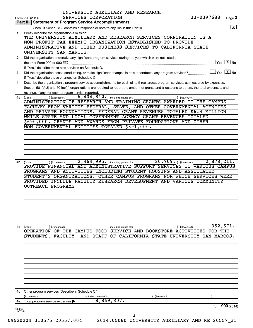|              | UNIVERSITY AUXILIARY AND RESEARCH<br>33-0397688<br>SERVICES CORPORATION<br>Page 2<br>Form 990 (2014)                                                                                           |
|--------------|------------------------------------------------------------------------------------------------------------------------------------------------------------------------------------------------|
|              | Part III   Statement of Program Service Accomplishments                                                                                                                                        |
|              | $\overline{\mathbf{X}}$                                                                                                                                                                        |
| 1            | Briefly describe the organization's mission:                                                                                                                                                   |
|              | THE UNIVERSITY AUXILIARY AND RESEARCH SERVICES CORPORATION IS A                                                                                                                                |
|              | NON-PROFIT TAX EXEMPT ORGANIZATION ESTABLISHED TO PROVIDE                                                                                                                                      |
|              | ADMINISTRATIVE AND OTHER BUSINESS SERVICES TO CALIFORNIA STATE                                                                                                                                 |
|              | UNIVERSITY SAN MARCOS.                                                                                                                                                                         |
| $\mathbf{2}$ | Did the organization undertake any significant program services during the year which were not listed on<br>$ {\mathsf Y}\mathsf{es}\ \boxed{{\mathsf X}}$ No<br>the prior Form 990 or 990-EZ? |
|              | If "Yes," describe these new services on Schedule O.                                                                                                                                           |
| 3            | $\overline{\ }$ Yes $\overline{\phantom{a}X}$ No<br>Did the organization cease conducting, or make significant changes in how it conducts, any program services?                               |
|              | If "Yes," describe these changes on Schedule O.                                                                                                                                                |
| 4            | Describe the organization's program service accomplishments for each of its three largest program services, as measured by expenses.                                                           |
|              | Section 501(c)(3) and 501(c)(4) organizations are required to report the amount of grants and allocations to others, the total expenses, and                                                   |
|              | revenue, if any, for each program service reported.                                                                                                                                            |
| 4a           | $6,404,812$ $\cdot$ including grants of \$<br>) (Expenses \$<br>(Code:<br>) (Revenue \$                                                                                                        |
|              | ADMINISTRATION OF RESEARCH AND TRAINING GRANTS AWARDED TO THE CAMPUS<br>FACULTY FROM VARIOUS FEDERAL, STATE, AND OTHER GOVERNMENTAL AGENCIES                                                   |
|              | AND PRIVATE FOUNDATIONS. FEDERAL GRANT REVENUES TOTALED \$6.4 MILLION                                                                                                                          |
|              | WHILE STATE AND LOCAL GOVERNMENT AGENCY GRANT REVENUES TOTALED                                                                                                                                 |
|              | \$690,000. GRANTS AND AWARDS FROM PRIVATE FOUNDATIONS AND OTHER                                                                                                                                |
|              | NON-GOVERNMENTAL ENTITIES TOTALED \$391,000.                                                                                                                                                   |
|              |                                                                                                                                                                                                |
|              |                                                                                                                                                                                                |
|              |                                                                                                                                                                                                |
|              |                                                                                                                                                                                                |
|              |                                                                                                                                                                                                |
|              | STUDENT'S ORGANIZATIONS. OTHER CAMPUS PROGRAMS FOR WHICH SERVICES WERE<br>PROVIDED INCLUDE FACULTY RESEARCH DEVELOPMENT AND VARIOUS COMMUNITY<br>OUTREACH PROGRAMS.                            |
|              |                                                                                                                                                                                                |
|              |                                                                                                                                                                                                |
|              |                                                                                                                                                                                                |
|              |                                                                                                                                                                                                |
| 4с           | 352,671.<br>(Code:<br>(Expenses \$<br>) (Revenue \$<br>including grants of \$                                                                                                                  |
|              | OPERATION OF THE CAMPUS FOOD SERVICE AND BOOKSTORE ACTIVITIES FOR THE                                                                                                                          |
|              | STUDENTS,<br>FACULTY, AND STAFF<br>OF<br><b>STATE</b><br>UNIVERSITY<br>SAN MARCOS.<br>CALIFORNIA                                                                                               |
|              |                                                                                                                                                                                                |
|              |                                                                                                                                                                                                |
|              |                                                                                                                                                                                                |
|              |                                                                                                                                                                                                |
|              |                                                                                                                                                                                                |
|              |                                                                                                                                                                                                |
|              |                                                                                                                                                                                                |
|              |                                                                                                                                                                                                |
|              |                                                                                                                                                                                                |
|              |                                                                                                                                                                                                |
|              | 4d Other program services (Describe in Schedule O.)<br>(Revenue \$<br>(Expenses \$<br>including grants of \$                                                                                   |
| 4е           | 8,869,807.<br>Total program service expenses                                                                                                                                                   |
| 432002       | Form 990 (2014)                                                                                                                                                                                |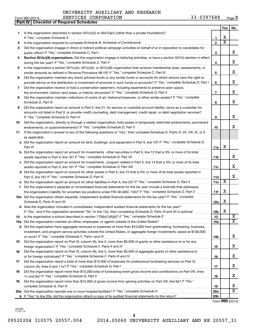**Part IV Checklist of Required Schedules**

|     |                                                                                                                                                                                                                                                   |                 | Yes                   | No                          |
|-----|---------------------------------------------------------------------------------------------------------------------------------------------------------------------------------------------------------------------------------------------------|-----------------|-----------------------|-----------------------------|
| 1   | Is the organization described in section 501(c)(3) or $4947(a)(1)$ (other than a private foundation)?                                                                                                                                             |                 |                       |                             |
|     | If "Yes," complete Schedule A                                                                                                                                                                                                                     | 1               | X                     |                             |
| 2   |                                                                                                                                                                                                                                                   | $\overline{2}$  | $\overline{\text{x}}$ |                             |
| 3   | Did the organization engage in direct or indirect political campaign activities on behalf of or in opposition to candidates for                                                                                                                   | 3               |                       | x                           |
| 4   | Section 501(c)(3) organizations. Did the organization engage in lobbying activities, or have a section 501(h) election in effect                                                                                                                  |                 |                       |                             |
|     |                                                                                                                                                                                                                                                   | 4               |                       | x                           |
| 5   | Is the organization a section 501(c)(4), 501(c)(5), or 501(c)(6) organization that receives membership dues, assessments, or                                                                                                                      |                 |                       |                             |
|     |                                                                                                                                                                                                                                                   | 5               |                       | x                           |
| 6   | Did the organization maintain any donor advised funds or any similar funds or accounts for which donors have the right to                                                                                                                         |                 |                       |                             |
|     | provide advice on the distribution or investment of amounts in such funds or accounts? If "Yes," complete Schedule D, Part I                                                                                                                      | 6               |                       | x                           |
| 7   | Did the organization receive or hold a conservation easement, including easements to preserve open space,                                                                                                                                         |                 |                       |                             |
|     | the environment, historic land areas, or historic structures? If "Yes," complete Schedule D, Part II                                                                                                                                              | $\overline{7}$  |                       | x                           |
| 8   | Did the organization maintain collections of works of art, historical treasures, or other similar assets? If "Yes," complete                                                                                                                      |                 |                       |                             |
|     |                                                                                                                                                                                                                                                   | 8               |                       | x                           |
| 9   | Did the organization report an amount in Part X, line 21, for escrow or custodial account liability; serve as a custodian for                                                                                                                     |                 |                       |                             |
|     | amounts not listed in Part X; or provide credit counseling, debt management, credit repair, or debt negotiation services?                                                                                                                         |                 |                       |                             |
|     | If "Yes," complete Schedule D, Part IV                                                                                                                                                                                                            | 9               |                       | x                           |
| 10  | Did the organization, directly or through a related organization, hold assets in temporarily restricted endowments, permanent                                                                                                                     |                 |                       | x                           |
|     |                                                                                                                                                                                                                                                   | 10              |                       |                             |
| 11  | If the organization's answer to any of the following questions is "Yes," then complete Schedule D, Parts VI, VII, VIII, IX, or X<br>as applicable.                                                                                                |                 |                       |                             |
|     | a Did the organization report an amount for land, buildings, and equipment in Part X, line 10? If "Yes," complete Schedule D,                                                                                                                     |                 |                       |                             |
|     | Part VI                                                                                                                                                                                                                                           | 11a             | x                     |                             |
|     | <b>b</b> Did the organization report an amount for investments - other securities in Part X, line 12 that is 5% or more of its total                                                                                                              |                 |                       |                             |
|     |                                                                                                                                                                                                                                                   | 11 <sub>b</sub> |                       | x                           |
|     | c Did the organization report an amount for investments - program related in Part X, line 13 that is 5% or more of its total                                                                                                                      |                 |                       |                             |
|     |                                                                                                                                                                                                                                                   | 11c             |                       | x                           |
|     | d Did the organization report an amount for other assets in Part X, line 15 that is 5% or more of its total assets reported in                                                                                                                    |                 |                       |                             |
|     |                                                                                                                                                                                                                                                   | 11d             | $\overline{\text{X}}$ | x                           |
|     | Did the organization report an amount for other liabilities in Part X, line 25? If "Yes," complete Schedule D, Part X                                                                                                                             | 11e             |                       |                             |
| f.  | Did the organization's separate or consolidated financial statements for the tax year include a footnote that addresses<br>the organization's liability for uncertain tax positions under FIN 48 (ASC 740)? If "Yes," complete Schedule D, Part X | 11f             | X                     |                             |
|     | 12a Did the organization obtain separate, independent audited financial statements for the tax year? If "Yes," complete                                                                                                                           |                 |                       |                             |
|     | Schedule D, Parts XI and XII                                                                                                                                                                                                                      | 12a             | X                     |                             |
|     | b Was the organization included in consolidated, independent audited financial statements for the tax year?                                                                                                                                       |                 |                       |                             |
|     | If "Yes," and if the organization answered "No" to line 12a, then completing Schedule D, Parts XI and XII is optional                                                                                                                             | 12b             | X                     |                             |
| 13  |                                                                                                                                                                                                                                                   | 13              |                       | $\overline{\text{X}}$       |
| 14a |                                                                                                                                                                                                                                                   | 14a             |                       | $\overline{\mathbf{X}}$     |
| b   | Did the organization have aggregate revenues or expenses of more than \$10,000 from grantmaking, fundraising, business,                                                                                                                           |                 |                       |                             |
|     | investment, and program service activities outside the United States, or aggregate foreign investments valued at \$100,000                                                                                                                        |                 |                       |                             |
|     |                                                                                                                                                                                                                                                   | 14b             |                       | x                           |
| 15  | Did the organization report on Part IX, column (A), line 3, more than \$5,000 of grants or other assistance to or for any                                                                                                                         |                 |                       |                             |
|     |                                                                                                                                                                                                                                                   | 15              |                       | x                           |
| 16  | Did the organization report on Part IX, column (A), line 3, more than \$5,000 of aggregate grants or other assistance to                                                                                                                          |                 |                       |                             |
|     |                                                                                                                                                                                                                                                   | 16              |                       | X                           |
| 17  | Did the organization report a total of more than \$15,000 of expenses for professional fundraising services on Part IX,                                                                                                                           | 17              |                       | x                           |
| 18  | Did the organization report more than \$15,000 total of fundraising event gross income and contributions on Part VIII, lines                                                                                                                      |                 |                       |                             |
|     |                                                                                                                                                                                                                                                   | 18              |                       | x                           |
| 19  | Did the organization report more than \$15,000 of gross income from gaming activities on Part VIII, line 9a? If "Yes,"                                                                                                                            |                 |                       |                             |
|     |                                                                                                                                                                                                                                                   | 19              |                       | x                           |
|     | 20a Did the organization operate one or more hospital facilities? If "Yes," complete Schedule H                                                                                                                                                   | 20a             |                       | $\overline{\text{x}}$       |
|     |                                                                                                                                                                                                                                                   | 20 <sub>b</sub> |                       |                             |
|     |                                                                                                                                                                                                                                                   |                 |                       | $F_{\text{sum}}$ 000 (2014) |

Form (2014) **990**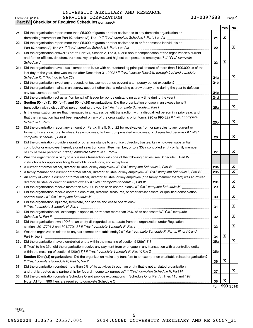|    | <b>Part IV   Checklist of Required Schedules (continued)</b>                                                                      |                 |     |                                     |
|----|-----------------------------------------------------------------------------------------------------------------------------------|-----------------|-----|-------------------------------------|
|    |                                                                                                                                   |                 | Yes | No                                  |
| 21 | Did the organization report more than \$5,000 of grants or other assistance to any domestic organization or                       |                 |     |                                     |
|    | domestic government on Part IX, column (A), line 1? If "Yes," complete Schedule I, Parts I and II                                 | 21              | X   |                                     |
| 22 | Did the organization report more than \$5,000 of grants or other assistance to or for domestic individuals on                     |                 |     |                                     |
|    |                                                                                                                                   | 22              |     | x                                   |
| 23 | Did the organization answer "Yes" to Part VII, Section A, line 3, 4, or 5 about compensation of the organization's current        |                 |     |                                     |
|    | and former officers, directors, trustees, key employees, and highest compensated employees? If "Yes," complete                    |                 |     |                                     |
|    | Schedule J                                                                                                                        | 23              | X   |                                     |
|    | 24a Did the organization have a tax-exempt bond issue with an outstanding principal amount of more than \$100,000 as of the       |                 |     |                                     |
|    | last day of the year, that was issued after December 31, 2002? If "Yes," answer lines 24b through 24d and complete                |                 |     |                                     |
|    | Schedule K. If "No", go to line 25a                                                                                               | 24a             |     | х                                   |
| b  | Did the organization invest any proceeds of tax-exempt bonds beyond a temporary period exception?                                 | 24 <sub>b</sub> |     |                                     |
| с  | Did the organization maintain an escrow account other than a refunding escrow at any time during the year to defease              |                 |     |                                     |
|    |                                                                                                                                   | 24c             |     |                                     |
|    | d Did the organization act as an "on behalf of" issuer for bonds outstanding at any time during the year?                         | 24d             |     |                                     |
|    | 25a Section 501(c)(3), 501(c)(4), and 501(c)(29) organizations. Did the organization engage in an excess benefit                  |                 |     |                                     |
|    |                                                                                                                                   | 25a             |     | x                                   |
|    | b Is the organization aware that it engaged in an excess benefit transaction with a disqualified person in a prior year, and      |                 |     |                                     |
|    | that the transaction has not been reported on any of the organization's prior Forms 990 or 990-EZ? If "Yes," complete             |                 |     |                                     |
|    | Schedule L, Part I                                                                                                                | 25 <sub>b</sub> |     | x                                   |
| 26 | Did the organization report any amount on Part X, line 5, 6, or 22 for receivables from or payables to any current or             |                 |     |                                     |
|    | former officers, directors, trustees, key employees, highest compensated employees, or disqualified persons? If "Yes,"            |                 |     |                                     |
|    | complete Schedule L, Part II                                                                                                      | 26              |     | X                                   |
| 27 | Did the organization provide a grant or other assistance to an officer, director, trustee, key employee, substantial              |                 |     |                                     |
|    | contributor or employee thereof, a grant selection committee member, or to a 35% controlled entity or family member               |                 |     |                                     |
|    |                                                                                                                                   | 27              |     | x                                   |
| 28 | Was the organization a party to a business transaction with one of the following parties (see Schedule L, Part IV                 |                 |     |                                     |
|    | instructions for applicable filing thresholds, conditions, and exceptions):                                                       |                 |     |                                     |
| а  | A current or former officer, director, trustee, or key employee? If "Yes," complete Schedule L, Part IV                           | <b>28a</b>      |     | х                                   |
|    | A family member of a current or former officer, director, trustee, or key employee? If "Yes," complete Schedule L, Part IV        | 28 <sub>b</sub> |     | $\overline{X}$                      |
|    | c An entity of which a current or former officer, director, trustee, or key employee (or a family member thereof) was an officer, |                 |     |                                     |
|    | director, trustee, or direct or indirect owner? If "Yes," complete Schedule L, Part IV [[[[[[[[[[[[[[[[[[[[[[                     | 28c             |     | X<br>$\overline{\mathbf{x}}$        |
| 29 |                                                                                                                                   | 29              |     |                                     |
| 30 | Did the organization receive contributions of art, historical treasures, or other similar assets, or qualified conservation       |                 |     |                                     |
|    |                                                                                                                                   | 30              |     | x                                   |
| 31 | Did the organization liquidate, terminate, or dissolve and cease operations?                                                      |                 |     | х                                   |
|    |                                                                                                                                   | 31              |     |                                     |
| 32 | Did the organization sell, exchange, dispose of, or transfer more than 25% of its net assets? If "Yes," complete                  |                 |     | X                                   |
|    | Did the organization own 100% of an entity disregarded as separate from the organization under Regulations                        | 32              |     |                                     |
| 33 |                                                                                                                                   | 33              |     | x                                   |
| 34 | Was the organization related to any tax-exempt or taxable entity? If "Yes," complete Schedule R, Part II, III, or IV, and         |                 |     |                                     |
|    | Part V, line 1                                                                                                                    | 34              | Χ   |                                     |
|    |                                                                                                                                   | 35a             |     | X                                   |
|    | b If "Yes" to line 35a, did the organization receive any payment from or engage in any transaction with a controlled entity       |                 |     |                                     |
|    |                                                                                                                                   | 35 <sub>b</sub> |     |                                     |
| 36 | Section 501(c)(3) organizations. Did the organization make any transfers to an exempt non-charitable related organization?        |                 |     |                                     |
|    |                                                                                                                                   | 36              | X   |                                     |
| 37 | Did the organization conduct more than 5% of its activities through an entity that is not a related organization                  |                 |     |                                     |
|    |                                                                                                                                   | 37              |     | x                                   |
| 38 | Did the organization complete Schedule O and provide explanations in Schedule O for Part VI, lines 11b and 19?                    |                 |     |                                     |
|    |                                                                                                                                   | 38              | X   |                                     |
|    |                                                                                                                                   |                 |     | $F_{\text{arm}}$ QQ $\Omega$ (2014) |

Form (2014) **990**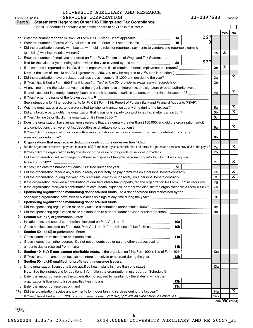| Yes<br>No<br>267<br>1a<br>1 <sub>b</sub><br>Enter the number of Forms W-2G included in line 1a. Enter -0- if not applicable<br>c Did the organization comply with backup withholding rules for reportable payments to vendors and reportable gaming<br>X<br>1c<br>2a Enter the number of employees reported on Form W-3, Transmittal of Wage and Tax Statements,<br>577<br>2a<br>filed for the calendar year ending with or within the year covered by this return<br>X<br><b>b</b> If at least one is reported on line 2a, did the organization file all required federal employment tax returns?<br>2b<br>x<br>3a Did the organization have unrelated business gross income of \$1,000 or more during the year?<br>За<br>3b<br>4a At any time during the calendar year, did the organization have an interest in, or a signature or other authority over, a<br>x<br>financial account in a foreign country (such as a bank account, securities account, or other financial account)?<br>4a<br><b>b</b> If "Yes," enter the name of the foreign country: $\blacktriangleright$<br>See instructions for filing requirements for FinCEN Form 114, Report of Foreign Bank and Financial Accounts (FBAR).<br>х<br>5a<br>$\overline{\mathtt{x}}$<br>5b<br>5c<br>6a Does the organization have annual gross receipts that are normally greater than \$100,000, and did the organization solicit<br>х<br>6a<br><b>b</b> If "Yes," did the organization include with every solicitation an express statement that such contributions or gifts<br>were not tax deductible?<br>6b<br>Organizations that may receive deductible contributions under section 170(c).<br>7<br>х<br>Did the organization receive a payment in excess of \$75 made partly as a contribution and partly for goods and services provided to the payor?<br>7a<br>7b<br>c Did the organization sell, exchange, or otherwise dispose of tangible personal property for which it was required<br>х<br>7c<br>7d<br>х<br>Did the organization receive any funds, directly or indirectly, to pay premiums on a personal benefit contract?<br>7е<br>$\overline{\texttt{x}}$<br>7f<br>t<br>If the organization received a contribution of qualified intellectual property, did the organization file Form 8899 as required?<br>7g<br>If the organization received a contribution of cars, boats, airplanes, or other vehicles, did the organization file a Form 1098-C?<br>7h<br>h<br>Sponsoring organizations maintaining donor advised funds. Did a donor advised fund maintained by the<br>8<br>8<br>Sponsoring organizations maintaining donor advised funds.<br>9<br>эа<br>9b<br>Section 501(c)(7) organizations. Enter:<br>10<br>10a<br>а<br><b>b</b> Gross receipts, included on Form 990, Part VIII, line 12, for public use of club facilities <i>manumum</i><br>10b<br>Section 501(c)(12) organizations. Enter:<br>11<br>11a<br>а<br><b>b</b> Gross income from other sources (Do not net amounts due or paid to other sources against<br>amounts due or received from them.)<br>11b<br>12a Section 4947(a)(1) non-exempt charitable trusts. Is the organization filing Form 990 in lieu of Form 1041?<br>12a<br>b If "Yes," enter the amount of tax-exempt interest received or accrued during the year<br>12b<br>Section 501(c)(29) qualified nonprofit health insurance issuers.<br>a Is the organization licensed to issue qualified health plans in more than one state?<br>13a<br>Note. See the instructions for additional information the organization must report on Schedule O.<br><b>b</b> Enter the amount of reserves the organization is required to maintain by the states in which the<br>13b<br>13с<br>X.<br>14a Did the organization receive any payments for indoor tanning services during the tax year?<br>14a<br>14b |    | Part V<br><b>Statements Regarding Other IRS Filings and Tax Compliance</b><br>Check if Schedule O contains a response or note to any line in this Part V |  |  |
|-------------------------------------------------------------------------------------------------------------------------------------------------------------------------------------------------------------------------------------------------------------------------------------------------------------------------------------------------------------------------------------------------------------------------------------------------------------------------------------------------------------------------------------------------------------------------------------------------------------------------------------------------------------------------------------------------------------------------------------------------------------------------------------------------------------------------------------------------------------------------------------------------------------------------------------------------------------------------------------------------------------------------------------------------------------------------------------------------------------------------------------------------------------------------------------------------------------------------------------------------------------------------------------------------------------------------------------------------------------------------------------------------------------------------------------------------------------------------------------------------------------------------------------------------------------------------------------------------------------------------------------------------------------------------------------------------------------------------------------------------------------------------------------------------------------------------------------------------------------------------------------------------------------------------------------------------------------------------------------------------------------------------------------------------------------------------------------------------------------------------------------------------------------------------------------------------------------------------------------------------------------------------------------------------------------------------------------------------------------------------------------------------------------------------------------------------------------------------------------------------------------------------------------------------------------------------------------------------------------------------------------------------------------------------------------------------------------------------------------------------------------------------------------------------------------------------------------------------------------------------------------------------------------------------------------------------------------------------------------------------------------------------------------------------------------------------------------------------------------------------------------------------------------------------------------------------------------------------------------------------------------------------------------------------------------------------------------------------------------------------------------------------------------------------------------------------------------------------------------------------------------------------------------------------------------------------------------------------------------------------------------------------------------------------------------------------------------------------------------------------------------------------------------------------------------|----|----------------------------------------------------------------------------------------------------------------------------------------------------------|--|--|
|                                                                                                                                                                                                                                                                                                                                                                                                                                                                                                                                                                                                                                                                                                                                                                                                                                                                                                                                                                                                                                                                                                                                                                                                                                                                                                                                                                                                                                                                                                                                                                                                                                                                                                                                                                                                                                                                                                                                                                                                                                                                                                                                                                                                                                                                                                                                                                                                                                                                                                                                                                                                                                                                                                                                                                                                                                                                                                                                                                                                                                                                                                                                                                                                                                                                                                                                                                                                                                                                                                                                                                                                                                                                                                                                                                                                             |    |                                                                                                                                                          |  |  |
|                                                                                                                                                                                                                                                                                                                                                                                                                                                                                                                                                                                                                                                                                                                                                                                                                                                                                                                                                                                                                                                                                                                                                                                                                                                                                                                                                                                                                                                                                                                                                                                                                                                                                                                                                                                                                                                                                                                                                                                                                                                                                                                                                                                                                                                                                                                                                                                                                                                                                                                                                                                                                                                                                                                                                                                                                                                                                                                                                                                                                                                                                                                                                                                                                                                                                                                                                                                                                                                                                                                                                                                                                                                                                                                                                                                                             |    |                                                                                                                                                          |  |  |
|                                                                                                                                                                                                                                                                                                                                                                                                                                                                                                                                                                                                                                                                                                                                                                                                                                                                                                                                                                                                                                                                                                                                                                                                                                                                                                                                                                                                                                                                                                                                                                                                                                                                                                                                                                                                                                                                                                                                                                                                                                                                                                                                                                                                                                                                                                                                                                                                                                                                                                                                                                                                                                                                                                                                                                                                                                                                                                                                                                                                                                                                                                                                                                                                                                                                                                                                                                                                                                                                                                                                                                                                                                                                                                                                                                                                             |    |                                                                                                                                                          |  |  |
|                                                                                                                                                                                                                                                                                                                                                                                                                                                                                                                                                                                                                                                                                                                                                                                                                                                                                                                                                                                                                                                                                                                                                                                                                                                                                                                                                                                                                                                                                                                                                                                                                                                                                                                                                                                                                                                                                                                                                                                                                                                                                                                                                                                                                                                                                                                                                                                                                                                                                                                                                                                                                                                                                                                                                                                                                                                                                                                                                                                                                                                                                                                                                                                                                                                                                                                                                                                                                                                                                                                                                                                                                                                                                                                                                                                                             |    |                                                                                                                                                          |  |  |
|                                                                                                                                                                                                                                                                                                                                                                                                                                                                                                                                                                                                                                                                                                                                                                                                                                                                                                                                                                                                                                                                                                                                                                                                                                                                                                                                                                                                                                                                                                                                                                                                                                                                                                                                                                                                                                                                                                                                                                                                                                                                                                                                                                                                                                                                                                                                                                                                                                                                                                                                                                                                                                                                                                                                                                                                                                                                                                                                                                                                                                                                                                                                                                                                                                                                                                                                                                                                                                                                                                                                                                                                                                                                                                                                                                                                             |    |                                                                                                                                                          |  |  |
|                                                                                                                                                                                                                                                                                                                                                                                                                                                                                                                                                                                                                                                                                                                                                                                                                                                                                                                                                                                                                                                                                                                                                                                                                                                                                                                                                                                                                                                                                                                                                                                                                                                                                                                                                                                                                                                                                                                                                                                                                                                                                                                                                                                                                                                                                                                                                                                                                                                                                                                                                                                                                                                                                                                                                                                                                                                                                                                                                                                                                                                                                                                                                                                                                                                                                                                                                                                                                                                                                                                                                                                                                                                                                                                                                                                                             |    |                                                                                                                                                          |  |  |
|                                                                                                                                                                                                                                                                                                                                                                                                                                                                                                                                                                                                                                                                                                                                                                                                                                                                                                                                                                                                                                                                                                                                                                                                                                                                                                                                                                                                                                                                                                                                                                                                                                                                                                                                                                                                                                                                                                                                                                                                                                                                                                                                                                                                                                                                                                                                                                                                                                                                                                                                                                                                                                                                                                                                                                                                                                                                                                                                                                                                                                                                                                                                                                                                                                                                                                                                                                                                                                                                                                                                                                                                                                                                                                                                                                                                             |    |                                                                                                                                                          |  |  |
|                                                                                                                                                                                                                                                                                                                                                                                                                                                                                                                                                                                                                                                                                                                                                                                                                                                                                                                                                                                                                                                                                                                                                                                                                                                                                                                                                                                                                                                                                                                                                                                                                                                                                                                                                                                                                                                                                                                                                                                                                                                                                                                                                                                                                                                                                                                                                                                                                                                                                                                                                                                                                                                                                                                                                                                                                                                                                                                                                                                                                                                                                                                                                                                                                                                                                                                                                                                                                                                                                                                                                                                                                                                                                                                                                                                                             |    |                                                                                                                                                          |  |  |
|                                                                                                                                                                                                                                                                                                                                                                                                                                                                                                                                                                                                                                                                                                                                                                                                                                                                                                                                                                                                                                                                                                                                                                                                                                                                                                                                                                                                                                                                                                                                                                                                                                                                                                                                                                                                                                                                                                                                                                                                                                                                                                                                                                                                                                                                                                                                                                                                                                                                                                                                                                                                                                                                                                                                                                                                                                                                                                                                                                                                                                                                                                                                                                                                                                                                                                                                                                                                                                                                                                                                                                                                                                                                                                                                                                                                             |    |                                                                                                                                                          |  |  |
|                                                                                                                                                                                                                                                                                                                                                                                                                                                                                                                                                                                                                                                                                                                                                                                                                                                                                                                                                                                                                                                                                                                                                                                                                                                                                                                                                                                                                                                                                                                                                                                                                                                                                                                                                                                                                                                                                                                                                                                                                                                                                                                                                                                                                                                                                                                                                                                                                                                                                                                                                                                                                                                                                                                                                                                                                                                                                                                                                                                                                                                                                                                                                                                                                                                                                                                                                                                                                                                                                                                                                                                                                                                                                                                                                                                                             |    |                                                                                                                                                          |  |  |
|                                                                                                                                                                                                                                                                                                                                                                                                                                                                                                                                                                                                                                                                                                                                                                                                                                                                                                                                                                                                                                                                                                                                                                                                                                                                                                                                                                                                                                                                                                                                                                                                                                                                                                                                                                                                                                                                                                                                                                                                                                                                                                                                                                                                                                                                                                                                                                                                                                                                                                                                                                                                                                                                                                                                                                                                                                                                                                                                                                                                                                                                                                                                                                                                                                                                                                                                                                                                                                                                                                                                                                                                                                                                                                                                                                                                             |    |                                                                                                                                                          |  |  |
|                                                                                                                                                                                                                                                                                                                                                                                                                                                                                                                                                                                                                                                                                                                                                                                                                                                                                                                                                                                                                                                                                                                                                                                                                                                                                                                                                                                                                                                                                                                                                                                                                                                                                                                                                                                                                                                                                                                                                                                                                                                                                                                                                                                                                                                                                                                                                                                                                                                                                                                                                                                                                                                                                                                                                                                                                                                                                                                                                                                                                                                                                                                                                                                                                                                                                                                                                                                                                                                                                                                                                                                                                                                                                                                                                                                                             |    |                                                                                                                                                          |  |  |
|                                                                                                                                                                                                                                                                                                                                                                                                                                                                                                                                                                                                                                                                                                                                                                                                                                                                                                                                                                                                                                                                                                                                                                                                                                                                                                                                                                                                                                                                                                                                                                                                                                                                                                                                                                                                                                                                                                                                                                                                                                                                                                                                                                                                                                                                                                                                                                                                                                                                                                                                                                                                                                                                                                                                                                                                                                                                                                                                                                                                                                                                                                                                                                                                                                                                                                                                                                                                                                                                                                                                                                                                                                                                                                                                                                                                             |    |                                                                                                                                                          |  |  |
|                                                                                                                                                                                                                                                                                                                                                                                                                                                                                                                                                                                                                                                                                                                                                                                                                                                                                                                                                                                                                                                                                                                                                                                                                                                                                                                                                                                                                                                                                                                                                                                                                                                                                                                                                                                                                                                                                                                                                                                                                                                                                                                                                                                                                                                                                                                                                                                                                                                                                                                                                                                                                                                                                                                                                                                                                                                                                                                                                                                                                                                                                                                                                                                                                                                                                                                                                                                                                                                                                                                                                                                                                                                                                                                                                                                                             |    |                                                                                                                                                          |  |  |
|                                                                                                                                                                                                                                                                                                                                                                                                                                                                                                                                                                                                                                                                                                                                                                                                                                                                                                                                                                                                                                                                                                                                                                                                                                                                                                                                                                                                                                                                                                                                                                                                                                                                                                                                                                                                                                                                                                                                                                                                                                                                                                                                                                                                                                                                                                                                                                                                                                                                                                                                                                                                                                                                                                                                                                                                                                                                                                                                                                                                                                                                                                                                                                                                                                                                                                                                                                                                                                                                                                                                                                                                                                                                                                                                                                                                             |    |                                                                                                                                                          |  |  |
|                                                                                                                                                                                                                                                                                                                                                                                                                                                                                                                                                                                                                                                                                                                                                                                                                                                                                                                                                                                                                                                                                                                                                                                                                                                                                                                                                                                                                                                                                                                                                                                                                                                                                                                                                                                                                                                                                                                                                                                                                                                                                                                                                                                                                                                                                                                                                                                                                                                                                                                                                                                                                                                                                                                                                                                                                                                                                                                                                                                                                                                                                                                                                                                                                                                                                                                                                                                                                                                                                                                                                                                                                                                                                                                                                                                                             |    |                                                                                                                                                          |  |  |
|                                                                                                                                                                                                                                                                                                                                                                                                                                                                                                                                                                                                                                                                                                                                                                                                                                                                                                                                                                                                                                                                                                                                                                                                                                                                                                                                                                                                                                                                                                                                                                                                                                                                                                                                                                                                                                                                                                                                                                                                                                                                                                                                                                                                                                                                                                                                                                                                                                                                                                                                                                                                                                                                                                                                                                                                                                                                                                                                                                                                                                                                                                                                                                                                                                                                                                                                                                                                                                                                                                                                                                                                                                                                                                                                                                                                             |    |                                                                                                                                                          |  |  |
|                                                                                                                                                                                                                                                                                                                                                                                                                                                                                                                                                                                                                                                                                                                                                                                                                                                                                                                                                                                                                                                                                                                                                                                                                                                                                                                                                                                                                                                                                                                                                                                                                                                                                                                                                                                                                                                                                                                                                                                                                                                                                                                                                                                                                                                                                                                                                                                                                                                                                                                                                                                                                                                                                                                                                                                                                                                                                                                                                                                                                                                                                                                                                                                                                                                                                                                                                                                                                                                                                                                                                                                                                                                                                                                                                                                                             |    |                                                                                                                                                          |  |  |
|                                                                                                                                                                                                                                                                                                                                                                                                                                                                                                                                                                                                                                                                                                                                                                                                                                                                                                                                                                                                                                                                                                                                                                                                                                                                                                                                                                                                                                                                                                                                                                                                                                                                                                                                                                                                                                                                                                                                                                                                                                                                                                                                                                                                                                                                                                                                                                                                                                                                                                                                                                                                                                                                                                                                                                                                                                                                                                                                                                                                                                                                                                                                                                                                                                                                                                                                                                                                                                                                                                                                                                                                                                                                                                                                                                                                             |    |                                                                                                                                                          |  |  |
|                                                                                                                                                                                                                                                                                                                                                                                                                                                                                                                                                                                                                                                                                                                                                                                                                                                                                                                                                                                                                                                                                                                                                                                                                                                                                                                                                                                                                                                                                                                                                                                                                                                                                                                                                                                                                                                                                                                                                                                                                                                                                                                                                                                                                                                                                                                                                                                                                                                                                                                                                                                                                                                                                                                                                                                                                                                                                                                                                                                                                                                                                                                                                                                                                                                                                                                                                                                                                                                                                                                                                                                                                                                                                                                                                                                                             |    |                                                                                                                                                          |  |  |
|                                                                                                                                                                                                                                                                                                                                                                                                                                                                                                                                                                                                                                                                                                                                                                                                                                                                                                                                                                                                                                                                                                                                                                                                                                                                                                                                                                                                                                                                                                                                                                                                                                                                                                                                                                                                                                                                                                                                                                                                                                                                                                                                                                                                                                                                                                                                                                                                                                                                                                                                                                                                                                                                                                                                                                                                                                                                                                                                                                                                                                                                                                                                                                                                                                                                                                                                                                                                                                                                                                                                                                                                                                                                                                                                                                                                             |    |                                                                                                                                                          |  |  |
|                                                                                                                                                                                                                                                                                                                                                                                                                                                                                                                                                                                                                                                                                                                                                                                                                                                                                                                                                                                                                                                                                                                                                                                                                                                                                                                                                                                                                                                                                                                                                                                                                                                                                                                                                                                                                                                                                                                                                                                                                                                                                                                                                                                                                                                                                                                                                                                                                                                                                                                                                                                                                                                                                                                                                                                                                                                                                                                                                                                                                                                                                                                                                                                                                                                                                                                                                                                                                                                                                                                                                                                                                                                                                                                                                                                                             |    |                                                                                                                                                          |  |  |
|                                                                                                                                                                                                                                                                                                                                                                                                                                                                                                                                                                                                                                                                                                                                                                                                                                                                                                                                                                                                                                                                                                                                                                                                                                                                                                                                                                                                                                                                                                                                                                                                                                                                                                                                                                                                                                                                                                                                                                                                                                                                                                                                                                                                                                                                                                                                                                                                                                                                                                                                                                                                                                                                                                                                                                                                                                                                                                                                                                                                                                                                                                                                                                                                                                                                                                                                                                                                                                                                                                                                                                                                                                                                                                                                                                                                             |    |                                                                                                                                                          |  |  |
|                                                                                                                                                                                                                                                                                                                                                                                                                                                                                                                                                                                                                                                                                                                                                                                                                                                                                                                                                                                                                                                                                                                                                                                                                                                                                                                                                                                                                                                                                                                                                                                                                                                                                                                                                                                                                                                                                                                                                                                                                                                                                                                                                                                                                                                                                                                                                                                                                                                                                                                                                                                                                                                                                                                                                                                                                                                                                                                                                                                                                                                                                                                                                                                                                                                                                                                                                                                                                                                                                                                                                                                                                                                                                                                                                                                                             |    |                                                                                                                                                          |  |  |
|                                                                                                                                                                                                                                                                                                                                                                                                                                                                                                                                                                                                                                                                                                                                                                                                                                                                                                                                                                                                                                                                                                                                                                                                                                                                                                                                                                                                                                                                                                                                                                                                                                                                                                                                                                                                                                                                                                                                                                                                                                                                                                                                                                                                                                                                                                                                                                                                                                                                                                                                                                                                                                                                                                                                                                                                                                                                                                                                                                                                                                                                                                                                                                                                                                                                                                                                                                                                                                                                                                                                                                                                                                                                                                                                                                                                             |    |                                                                                                                                                          |  |  |
|                                                                                                                                                                                                                                                                                                                                                                                                                                                                                                                                                                                                                                                                                                                                                                                                                                                                                                                                                                                                                                                                                                                                                                                                                                                                                                                                                                                                                                                                                                                                                                                                                                                                                                                                                                                                                                                                                                                                                                                                                                                                                                                                                                                                                                                                                                                                                                                                                                                                                                                                                                                                                                                                                                                                                                                                                                                                                                                                                                                                                                                                                                                                                                                                                                                                                                                                                                                                                                                                                                                                                                                                                                                                                                                                                                                                             |    |                                                                                                                                                          |  |  |
|                                                                                                                                                                                                                                                                                                                                                                                                                                                                                                                                                                                                                                                                                                                                                                                                                                                                                                                                                                                                                                                                                                                                                                                                                                                                                                                                                                                                                                                                                                                                                                                                                                                                                                                                                                                                                                                                                                                                                                                                                                                                                                                                                                                                                                                                                                                                                                                                                                                                                                                                                                                                                                                                                                                                                                                                                                                                                                                                                                                                                                                                                                                                                                                                                                                                                                                                                                                                                                                                                                                                                                                                                                                                                                                                                                                                             |    |                                                                                                                                                          |  |  |
|                                                                                                                                                                                                                                                                                                                                                                                                                                                                                                                                                                                                                                                                                                                                                                                                                                                                                                                                                                                                                                                                                                                                                                                                                                                                                                                                                                                                                                                                                                                                                                                                                                                                                                                                                                                                                                                                                                                                                                                                                                                                                                                                                                                                                                                                                                                                                                                                                                                                                                                                                                                                                                                                                                                                                                                                                                                                                                                                                                                                                                                                                                                                                                                                                                                                                                                                                                                                                                                                                                                                                                                                                                                                                                                                                                                                             |    |                                                                                                                                                          |  |  |
|                                                                                                                                                                                                                                                                                                                                                                                                                                                                                                                                                                                                                                                                                                                                                                                                                                                                                                                                                                                                                                                                                                                                                                                                                                                                                                                                                                                                                                                                                                                                                                                                                                                                                                                                                                                                                                                                                                                                                                                                                                                                                                                                                                                                                                                                                                                                                                                                                                                                                                                                                                                                                                                                                                                                                                                                                                                                                                                                                                                                                                                                                                                                                                                                                                                                                                                                                                                                                                                                                                                                                                                                                                                                                                                                                                                                             |    |                                                                                                                                                          |  |  |
|                                                                                                                                                                                                                                                                                                                                                                                                                                                                                                                                                                                                                                                                                                                                                                                                                                                                                                                                                                                                                                                                                                                                                                                                                                                                                                                                                                                                                                                                                                                                                                                                                                                                                                                                                                                                                                                                                                                                                                                                                                                                                                                                                                                                                                                                                                                                                                                                                                                                                                                                                                                                                                                                                                                                                                                                                                                                                                                                                                                                                                                                                                                                                                                                                                                                                                                                                                                                                                                                                                                                                                                                                                                                                                                                                                                                             |    |                                                                                                                                                          |  |  |
|                                                                                                                                                                                                                                                                                                                                                                                                                                                                                                                                                                                                                                                                                                                                                                                                                                                                                                                                                                                                                                                                                                                                                                                                                                                                                                                                                                                                                                                                                                                                                                                                                                                                                                                                                                                                                                                                                                                                                                                                                                                                                                                                                                                                                                                                                                                                                                                                                                                                                                                                                                                                                                                                                                                                                                                                                                                                                                                                                                                                                                                                                                                                                                                                                                                                                                                                                                                                                                                                                                                                                                                                                                                                                                                                                                                                             |    |                                                                                                                                                          |  |  |
|                                                                                                                                                                                                                                                                                                                                                                                                                                                                                                                                                                                                                                                                                                                                                                                                                                                                                                                                                                                                                                                                                                                                                                                                                                                                                                                                                                                                                                                                                                                                                                                                                                                                                                                                                                                                                                                                                                                                                                                                                                                                                                                                                                                                                                                                                                                                                                                                                                                                                                                                                                                                                                                                                                                                                                                                                                                                                                                                                                                                                                                                                                                                                                                                                                                                                                                                                                                                                                                                                                                                                                                                                                                                                                                                                                                                             |    |                                                                                                                                                          |  |  |
|                                                                                                                                                                                                                                                                                                                                                                                                                                                                                                                                                                                                                                                                                                                                                                                                                                                                                                                                                                                                                                                                                                                                                                                                                                                                                                                                                                                                                                                                                                                                                                                                                                                                                                                                                                                                                                                                                                                                                                                                                                                                                                                                                                                                                                                                                                                                                                                                                                                                                                                                                                                                                                                                                                                                                                                                                                                                                                                                                                                                                                                                                                                                                                                                                                                                                                                                                                                                                                                                                                                                                                                                                                                                                                                                                                                                             |    |                                                                                                                                                          |  |  |
|                                                                                                                                                                                                                                                                                                                                                                                                                                                                                                                                                                                                                                                                                                                                                                                                                                                                                                                                                                                                                                                                                                                                                                                                                                                                                                                                                                                                                                                                                                                                                                                                                                                                                                                                                                                                                                                                                                                                                                                                                                                                                                                                                                                                                                                                                                                                                                                                                                                                                                                                                                                                                                                                                                                                                                                                                                                                                                                                                                                                                                                                                                                                                                                                                                                                                                                                                                                                                                                                                                                                                                                                                                                                                                                                                                                                             |    |                                                                                                                                                          |  |  |
|                                                                                                                                                                                                                                                                                                                                                                                                                                                                                                                                                                                                                                                                                                                                                                                                                                                                                                                                                                                                                                                                                                                                                                                                                                                                                                                                                                                                                                                                                                                                                                                                                                                                                                                                                                                                                                                                                                                                                                                                                                                                                                                                                                                                                                                                                                                                                                                                                                                                                                                                                                                                                                                                                                                                                                                                                                                                                                                                                                                                                                                                                                                                                                                                                                                                                                                                                                                                                                                                                                                                                                                                                                                                                                                                                                                                             |    |                                                                                                                                                          |  |  |
|                                                                                                                                                                                                                                                                                                                                                                                                                                                                                                                                                                                                                                                                                                                                                                                                                                                                                                                                                                                                                                                                                                                                                                                                                                                                                                                                                                                                                                                                                                                                                                                                                                                                                                                                                                                                                                                                                                                                                                                                                                                                                                                                                                                                                                                                                                                                                                                                                                                                                                                                                                                                                                                                                                                                                                                                                                                                                                                                                                                                                                                                                                                                                                                                                                                                                                                                                                                                                                                                                                                                                                                                                                                                                                                                                                                                             |    |                                                                                                                                                          |  |  |
|                                                                                                                                                                                                                                                                                                                                                                                                                                                                                                                                                                                                                                                                                                                                                                                                                                                                                                                                                                                                                                                                                                                                                                                                                                                                                                                                                                                                                                                                                                                                                                                                                                                                                                                                                                                                                                                                                                                                                                                                                                                                                                                                                                                                                                                                                                                                                                                                                                                                                                                                                                                                                                                                                                                                                                                                                                                                                                                                                                                                                                                                                                                                                                                                                                                                                                                                                                                                                                                                                                                                                                                                                                                                                                                                                                                                             |    |                                                                                                                                                          |  |  |
|                                                                                                                                                                                                                                                                                                                                                                                                                                                                                                                                                                                                                                                                                                                                                                                                                                                                                                                                                                                                                                                                                                                                                                                                                                                                                                                                                                                                                                                                                                                                                                                                                                                                                                                                                                                                                                                                                                                                                                                                                                                                                                                                                                                                                                                                                                                                                                                                                                                                                                                                                                                                                                                                                                                                                                                                                                                                                                                                                                                                                                                                                                                                                                                                                                                                                                                                                                                                                                                                                                                                                                                                                                                                                                                                                                                                             |    |                                                                                                                                                          |  |  |
|                                                                                                                                                                                                                                                                                                                                                                                                                                                                                                                                                                                                                                                                                                                                                                                                                                                                                                                                                                                                                                                                                                                                                                                                                                                                                                                                                                                                                                                                                                                                                                                                                                                                                                                                                                                                                                                                                                                                                                                                                                                                                                                                                                                                                                                                                                                                                                                                                                                                                                                                                                                                                                                                                                                                                                                                                                                                                                                                                                                                                                                                                                                                                                                                                                                                                                                                                                                                                                                                                                                                                                                                                                                                                                                                                                                                             |    |                                                                                                                                                          |  |  |
|                                                                                                                                                                                                                                                                                                                                                                                                                                                                                                                                                                                                                                                                                                                                                                                                                                                                                                                                                                                                                                                                                                                                                                                                                                                                                                                                                                                                                                                                                                                                                                                                                                                                                                                                                                                                                                                                                                                                                                                                                                                                                                                                                                                                                                                                                                                                                                                                                                                                                                                                                                                                                                                                                                                                                                                                                                                                                                                                                                                                                                                                                                                                                                                                                                                                                                                                                                                                                                                                                                                                                                                                                                                                                                                                                                                                             |    |                                                                                                                                                          |  |  |
|                                                                                                                                                                                                                                                                                                                                                                                                                                                                                                                                                                                                                                                                                                                                                                                                                                                                                                                                                                                                                                                                                                                                                                                                                                                                                                                                                                                                                                                                                                                                                                                                                                                                                                                                                                                                                                                                                                                                                                                                                                                                                                                                                                                                                                                                                                                                                                                                                                                                                                                                                                                                                                                                                                                                                                                                                                                                                                                                                                                                                                                                                                                                                                                                                                                                                                                                                                                                                                                                                                                                                                                                                                                                                                                                                                                                             |    |                                                                                                                                                          |  |  |
|                                                                                                                                                                                                                                                                                                                                                                                                                                                                                                                                                                                                                                                                                                                                                                                                                                                                                                                                                                                                                                                                                                                                                                                                                                                                                                                                                                                                                                                                                                                                                                                                                                                                                                                                                                                                                                                                                                                                                                                                                                                                                                                                                                                                                                                                                                                                                                                                                                                                                                                                                                                                                                                                                                                                                                                                                                                                                                                                                                                                                                                                                                                                                                                                                                                                                                                                                                                                                                                                                                                                                                                                                                                                                                                                                                                                             |    |                                                                                                                                                          |  |  |
|                                                                                                                                                                                                                                                                                                                                                                                                                                                                                                                                                                                                                                                                                                                                                                                                                                                                                                                                                                                                                                                                                                                                                                                                                                                                                                                                                                                                                                                                                                                                                                                                                                                                                                                                                                                                                                                                                                                                                                                                                                                                                                                                                                                                                                                                                                                                                                                                                                                                                                                                                                                                                                                                                                                                                                                                                                                                                                                                                                                                                                                                                                                                                                                                                                                                                                                                                                                                                                                                                                                                                                                                                                                                                                                                                                                                             |    |                                                                                                                                                          |  |  |
|                                                                                                                                                                                                                                                                                                                                                                                                                                                                                                                                                                                                                                                                                                                                                                                                                                                                                                                                                                                                                                                                                                                                                                                                                                                                                                                                                                                                                                                                                                                                                                                                                                                                                                                                                                                                                                                                                                                                                                                                                                                                                                                                                                                                                                                                                                                                                                                                                                                                                                                                                                                                                                                                                                                                                                                                                                                                                                                                                                                                                                                                                                                                                                                                                                                                                                                                                                                                                                                                                                                                                                                                                                                                                                                                                                                                             |    |                                                                                                                                                          |  |  |
|                                                                                                                                                                                                                                                                                                                                                                                                                                                                                                                                                                                                                                                                                                                                                                                                                                                                                                                                                                                                                                                                                                                                                                                                                                                                                                                                                                                                                                                                                                                                                                                                                                                                                                                                                                                                                                                                                                                                                                                                                                                                                                                                                                                                                                                                                                                                                                                                                                                                                                                                                                                                                                                                                                                                                                                                                                                                                                                                                                                                                                                                                                                                                                                                                                                                                                                                                                                                                                                                                                                                                                                                                                                                                                                                                                                                             |    |                                                                                                                                                          |  |  |
|                                                                                                                                                                                                                                                                                                                                                                                                                                                                                                                                                                                                                                                                                                                                                                                                                                                                                                                                                                                                                                                                                                                                                                                                                                                                                                                                                                                                                                                                                                                                                                                                                                                                                                                                                                                                                                                                                                                                                                                                                                                                                                                                                                                                                                                                                                                                                                                                                                                                                                                                                                                                                                                                                                                                                                                                                                                                                                                                                                                                                                                                                                                                                                                                                                                                                                                                                                                                                                                                                                                                                                                                                                                                                                                                                                                                             | 13 |                                                                                                                                                          |  |  |
|                                                                                                                                                                                                                                                                                                                                                                                                                                                                                                                                                                                                                                                                                                                                                                                                                                                                                                                                                                                                                                                                                                                                                                                                                                                                                                                                                                                                                                                                                                                                                                                                                                                                                                                                                                                                                                                                                                                                                                                                                                                                                                                                                                                                                                                                                                                                                                                                                                                                                                                                                                                                                                                                                                                                                                                                                                                                                                                                                                                                                                                                                                                                                                                                                                                                                                                                                                                                                                                                                                                                                                                                                                                                                                                                                                                                             |    |                                                                                                                                                          |  |  |
|                                                                                                                                                                                                                                                                                                                                                                                                                                                                                                                                                                                                                                                                                                                                                                                                                                                                                                                                                                                                                                                                                                                                                                                                                                                                                                                                                                                                                                                                                                                                                                                                                                                                                                                                                                                                                                                                                                                                                                                                                                                                                                                                                                                                                                                                                                                                                                                                                                                                                                                                                                                                                                                                                                                                                                                                                                                                                                                                                                                                                                                                                                                                                                                                                                                                                                                                                                                                                                                                                                                                                                                                                                                                                                                                                                                                             |    |                                                                                                                                                          |  |  |
|                                                                                                                                                                                                                                                                                                                                                                                                                                                                                                                                                                                                                                                                                                                                                                                                                                                                                                                                                                                                                                                                                                                                                                                                                                                                                                                                                                                                                                                                                                                                                                                                                                                                                                                                                                                                                                                                                                                                                                                                                                                                                                                                                                                                                                                                                                                                                                                                                                                                                                                                                                                                                                                                                                                                                                                                                                                                                                                                                                                                                                                                                                                                                                                                                                                                                                                                                                                                                                                                                                                                                                                                                                                                                                                                                                                                             |    |                                                                                                                                                          |  |  |
|                                                                                                                                                                                                                                                                                                                                                                                                                                                                                                                                                                                                                                                                                                                                                                                                                                                                                                                                                                                                                                                                                                                                                                                                                                                                                                                                                                                                                                                                                                                                                                                                                                                                                                                                                                                                                                                                                                                                                                                                                                                                                                                                                                                                                                                                                                                                                                                                                                                                                                                                                                                                                                                                                                                                                                                                                                                                                                                                                                                                                                                                                                                                                                                                                                                                                                                                                                                                                                                                                                                                                                                                                                                                                                                                                                                                             |    |                                                                                                                                                          |  |  |
|                                                                                                                                                                                                                                                                                                                                                                                                                                                                                                                                                                                                                                                                                                                                                                                                                                                                                                                                                                                                                                                                                                                                                                                                                                                                                                                                                                                                                                                                                                                                                                                                                                                                                                                                                                                                                                                                                                                                                                                                                                                                                                                                                                                                                                                                                                                                                                                                                                                                                                                                                                                                                                                                                                                                                                                                                                                                                                                                                                                                                                                                                                                                                                                                                                                                                                                                                                                                                                                                                                                                                                                                                                                                                                                                                                                                             |    |                                                                                                                                                          |  |  |
|                                                                                                                                                                                                                                                                                                                                                                                                                                                                                                                                                                                                                                                                                                                                                                                                                                                                                                                                                                                                                                                                                                                                                                                                                                                                                                                                                                                                                                                                                                                                                                                                                                                                                                                                                                                                                                                                                                                                                                                                                                                                                                                                                                                                                                                                                                                                                                                                                                                                                                                                                                                                                                                                                                                                                                                                                                                                                                                                                                                                                                                                                                                                                                                                                                                                                                                                                                                                                                                                                                                                                                                                                                                                                                                                                                                                             |    |                                                                                                                                                          |  |  |
|                                                                                                                                                                                                                                                                                                                                                                                                                                                                                                                                                                                                                                                                                                                                                                                                                                                                                                                                                                                                                                                                                                                                                                                                                                                                                                                                                                                                                                                                                                                                                                                                                                                                                                                                                                                                                                                                                                                                                                                                                                                                                                                                                                                                                                                                                                                                                                                                                                                                                                                                                                                                                                                                                                                                                                                                                                                                                                                                                                                                                                                                                                                                                                                                                                                                                                                                                                                                                                                                                                                                                                                                                                                                                                                                                                                                             |    |                                                                                                                                                          |  |  |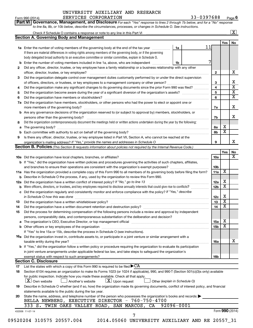### UNIVERSITY AUXILIARY AND RESEARCH SERVICES CORPORATION 33-0397688

Form 990 (2014) Page **6**

|     | <b>Part VI   Governance, Management, and Disclosure</b> For each "Yes" response to lines 2 through 7b below, and for a "No" response<br>to line 8a, 8b, or 10b below, describe the circumstances, processes, or changes in Schedule O. See instructions. |    |    |                 |                         |                         |
|-----|----------------------------------------------------------------------------------------------------------------------------------------------------------------------------------------------------------------------------------------------------------|----|----|-----------------|-------------------------|-------------------------|
|     |                                                                                                                                                                                                                                                          |    |    |                 |                         | $\boxed{\textbf{X}}$    |
|     | <b>Section A. Governing Body and Management</b>                                                                                                                                                                                                          |    |    |                 | Yes                     | No                      |
|     | 1a Enter the number of voting members of the governing body at the end of the tax year                                                                                                                                                                   | 1a | 11 |                 |                         |                         |
|     | If there are material differences in voting rights among members of the governing body, or if the governing                                                                                                                                              |    |    |                 |                         |                         |
|     | body delegated broad authority to an executive committee or similar committee, explain in Schedule O.                                                                                                                                                    |    |    |                 |                         |                         |
| b   | Enter the number of voting members included in line 1a, above, who are independent <i>manum</i>                                                                                                                                                          | 1b |    |                 |                         |                         |
| 2   | Did any officer, director, trustee, or key employee have a family relationship or a business relationship with any other                                                                                                                                 |    |    |                 |                         |                         |
|     | officer, director, trustee, or key employee?                                                                                                                                                                                                             |    |    | $\mathbf{2}$    |                         | х                       |
| 3   | Did the organization delegate control over management duties customarily performed by or under the direct supervision                                                                                                                                    |    |    |                 |                         |                         |
|     |                                                                                                                                                                                                                                                          |    |    | 3               |                         | х                       |
| 4   | Did the organization make any significant changes to its governing documents since the prior Form 990 was filed?                                                                                                                                         |    |    | 4               |                         | $\overline{\mathbf{x}}$ |
| 5   |                                                                                                                                                                                                                                                          |    |    | 5               |                         | $\overline{\mathbf{x}}$ |
| 6   |                                                                                                                                                                                                                                                          |    |    | 6               |                         | $\overline{\mathbf{X}}$ |
| 7a  | Did the organization have members, stockholders, or other persons who had the power to elect or appoint one or                                                                                                                                           |    |    |                 |                         |                         |
|     |                                                                                                                                                                                                                                                          |    |    | 7a              |                         | х                       |
|     | <b>b</b> Are any governance decisions of the organization reserved to (or subject to approval by) members, stockholders, or                                                                                                                              |    |    |                 |                         |                         |
|     | persons other than the governing body?                                                                                                                                                                                                                   |    |    | 7b              |                         | x                       |
| 8   | Did the organization contemporaneously document the meetings held or written actions undertaken during the year by the following:                                                                                                                        |    |    |                 |                         |                         |
| a   |                                                                                                                                                                                                                                                          |    |    | 8а              | х                       |                         |
|     |                                                                                                                                                                                                                                                          |    |    | 8b              | $\overline{\mathbf{x}}$ |                         |
| 9   | Is there any officer, director, trustee, or key employee listed in Part VII, Section A, who cannot be reached at the                                                                                                                                     |    |    |                 |                         |                         |
|     |                                                                                                                                                                                                                                                          |    |    | 9               |                         | x                       |
|     | Section B. Policies (This Section B requests information about policies not required by the Internal Revenue Code.)                                                                                                                                      |    |    |                 |                         |                         |
|     |                                                                                                                                                                                                                                                          |    |    |                 | Yes                     | No                      |
|     |                                                                                                                                                                                                                                                          |    |    | 10a             |                         | х                       |
|     | <b>b</b> If "Yes," did the organization have written policies and procedures governing the activities of such chapters, affiliates,                                                                                                                      |    |    |                 |                         |                         |
|     | and branches to ensure their operations are consistent with the organization's exempt purposes? www.www.www.www.                                                                                                                                         |    |    | 10b             |                         |                         |
|     | 11a Has the organization provided a complete copy of this Form 990 to all members of its governing body before filing the form?                                                                                                                          |    |    | 11a             | х                       |                         |
|     | <b>b</b> Describe in Schedule O the process, if any, used by the organization to review this Form 990.                                                                                                                                                   |    |    |                 |                         |                         |
| 12a | Did the organization have a written conflict of interest policy? If "No," go to line 13                                                                                                                                                                  |    |    | 12a             | х                       |                         |
| b   | Were officers, directors, or trustees, and key employees required to disclose annually interests that could give rise to conflicts?                                                                                                                      |    |    | 12 <sub>b</sub> | X                       |                         |
|     | Did the organization regularly and consistently monitor and enforce compliance with the policy? If "Yes," describe                                                                                                                                       |    |    |                 |                         |                         |
|     |                                                                                                                                                                                                                                                          |    |    | 12c             | х                       |                         |
| 13  |                                                                                                                                                                                                                                                          |    |    | 13              | X                       |                         |
| 14  | Did the organization have a written document retention and destruction policy?                                                                                                                                                                           |    |    | 14              | $\overline{\mathtt{x}}$ |                         |
| 15  | Did the process for determining compensation of the following persons include a review and approval by independent                                                                                                                                       |    |    |                 |                         |                         |
|     | persons, comparability data, and contemporaneous substantiation of the deliberation and decision?                                                                                                                                                        |    |    |                 |                         |                         |
| а   | The organization's CEO, Executive Director, or top management official manufactured content of the organization's CEO, Executive Director, or top management official manufactured content of the state of the state of the st                           |    |    | 15a             | х                       |                         |
| b   |                                                                                                                                                                                                                                                          |    |    | 15b             | X                       |                         |
|     | If "Yes" to line 15a or 15b, describe the process in Schedule O (see instructions).                                                                                                                                                                      |    |    |                 |                         |                         |
|     | <b>16a</b> Did the organization invest in, contribute assets to, or participate in a joint venture or similar arrangement with a                                                                                                                         |    |    |                 |                         |                         |
|     | taxable entity during the year?                                                                                                                                                                                                                          |    |    | 16a             |                         | x                       |
|     | b If "Yes," did the organization follow a written policy or procedure requiring the organization to evaluate its participation                                                                                                                           |    |    |                 |                         |                         |
|     | in joint venture arrangements under applicable federal tax law, and take steps to safeguard the organization's                                                                                                                                           |    |    |                 |                         |                         |
|     | exempt status with respect to such arrangements?                                                                                                                                                                                                         |    |    | 16b             |                         |                         |
|     | <b>Section C. Disclosure</b>                                                                                                                                                                                                                             |    |    |                 |                         |                         |
| 17  | List the states with which a copy of this Form 990 is required to be filed $\blacktriangleright$ CA                                                                                                                                                      |    |    |                 |                         |                         |
| 18  | Section 6104 requires an organization to make its Forms 1023 (or 1024 if applicable), 990, and 990-T (Section 501(c)(3)s only) available                                                                                                                 |    |    |                 |                         |                         |
|     | for public inspection. Indicate how you made these available. Check all that apply.                                                                                                                                                                      |    |    |                 |                         |                         |
|     | $\lfloor x \rfloor$ Own website<br>$\lfloor x \rfloor$ Upon request<br>Another's website<br>Other (explain in Schedule O)                                                                                                                                |    |    |                 |                         |                         |
| 19  | Describe in Schedule O whether (and if so, how) the organization made its governing documents, conflict of interest policy, and financial                                                                                                                |    |    |                 |                         |                         |
|     | statements available to the public during the tax year.                                                                                                                                                                                                  |    |    |                 |                         |                         |
| 20  | State the name, address, and telephone number of the person who possesses the organization's books and records:                                                                                                                                          |    |    |                 |                         |                         |
|     | BELLA NEWBERG, EXECUTIVE DIRECTOR - 760-750-4700                                                                                                                                                                                                         |    |    |                 |                         |                         |
|     | 333 S. TWIN OAKS VALLEY ROAD, SAN MARCOS, CA<br>$92096 - 0001$                                                                                                                                                                                           |    |    |                 |                         |                         |
|     | 432006 11-07-14                                                                                                                                                                                                                                          |    |    |                 |                         | Form 990 (2014)         |
|     | 7                                                                                                                                                                                                                                                        |    |    |                 |                         |                         |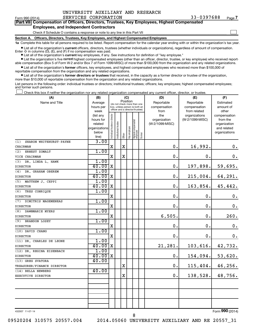| UNIVERSITY AUXILIARY AND RESEARCH |  |
|-----------------------------------|--|
|-----------------------------------|--|

 $\Box$ 

| Part VII Compensation of Officers, Directors, Trustees, Key Employees, Highest Compensated |
|--------------------------------------------------------------------------------------------|
| <b>Employees, and Independent Contractors</b>                                              |

### Check if Schedule O contains a response or note to any line in this Part VII

**Section A. Officers, Directors, Trustees, Key Employees, and Highest Compensated Employees**

**1a**  Complete this table for all persons required to be listed. Report compensation for the calendar year ending with or within the organization's tax year.

**•** List all of the organization's current officers, directors, trustees (whether individuals or organizations), regardless of amount of compensation.

**•** List all of the organization's **current** key employees, if any. See instructions for definition of "key employee." Enter -0- in columns  $(D)$ ,  $(E)$ , and  $(F)$  if no compensation was paid.

**•** List the organization's five current highest compensated employees (other than an officer, director, trustee, or key employee) who received report-

**•** List all of the organization's former officers, key employees, and highest compensated employees who received more than \$100,000 of able compensation (Box 5 of Form W-2 and/or Box 7 of Form 1099-MISC) of more than \$100,000 from the organization and any related organizations. reportable compensation from the organization and any related organizations.

**•** List all of the organization's former directors or trustees that received, in the capacity as a former director or trustee of the organization, more than \$10,000 of reportable compensation from the organization and any related organizations.

List persons in the following order: individual trustees or directors; institutional trustees; officers; key employees; highest compensated employees; and former such persons.

|  |  |  | Check this box if neither the organization nor any related organization compensated any current officer, director, or trustee. |  |  |
|--|--|--|--------------------------------------------------------------------------------------------------------------------------------|--|--|
|  |  |  |                                                                                                                                |  |  |

| (A)                            | (B)           |                                |                                                                  |             | (C)          |                                 |        | (D)             | (E)             | (F)                |
|--------------------------------|---------------|--------------------------------|------------------------------------------------------------------|-------------|--------------|---------------------------------|--------|-----------------|-----------------|--------------------|
| Name and Title                 | Average       |                                | (do not check more than one                                      | Position    |              |                                 |        | Reportable      | Reportable      | Estimated          |
|                                | hours per     |                                | box, unless person is both an<br>officer and a director/trustee) |             |              |                                 |        | compensation    | compensation    | amount of          |
|                                | week          |                                |                                                                  |             |              |                                 |        | from            | from related    | other              |
|                                | (list any     |                                |                                                                  |             |              |                                 |        | the             | organizations   | compensation       |
|                                | hours for     |                                |                                                                  |             |              |                                 |        | organization    | (W-2/1099-MISC) | from the           |
|                                | related       |                                |                                                                  |             |              |                                 |        | (W-2/1099-MISC) |                 | organization       |
|                                | organizations |                                |                                                                  |             |              |                                 |        |                 |                 | and related        |
|                                | below         | Individual trustee or director | nstitutional trustee                                             | Officer     | Key employee | Highest compensated<br>employee | Former |                 |                 | organizations      |
| (1)<br>SHARON WHITEHURST-PAYNE | line)<br>3.00 |                                |                                                                  |             |              |                                 |        |                 |                 |                    |
| CHAIRMAN                       |               | $\mathbf X$                    |                                                                  | $\mathbf X$ |              |                                 |        | 0.              | 16,992.         | $\boldsymbol{0}$ . |
| ERNEST ZOMALT<br>(2)           | 1.00          |                                |                                                                  |             |              |                                 |        |                 |                 |                    |
| VICE CHAIRMAN                  |               | $\mathbf X$                    |                                                                  | $\mathbf X$ |              |                                 |        | $\mathbf 0$ .   | 0.              | 0.                 |
|                                | 1.00          |                                |                                                                  |             |              |                                 |        |                 |                 |                    |
| (3)<br>DR. LINDA L. HAWK       |               |                                |                                                                  |             |              |                                 |        |                 |                 |                    |
| <b>DIRECTOR</b>                | 40.00         | $\mathbf X$                    |                                                                  |             |              |                                 |        | $\mathbf 0$ .   | 197,898.        | 59,695.            |
| (4)<br>DR. GRAHAM OBEREM       | 1.00          |                                |                                                                  |             |              |                                 |        |                 |                 |                    |
| <b>DIRECTOR</b>                | 40.00         | X                              |                                                                  |             |              |                                 |        | 0.              | 215,004.        | 64,291.            |
| MATTHEW J. CEPPI<br>(5)        | 1.00          |                                |                                                                  |             |              |                                 |        |                 |                 |                    |
| <b>DIRECTOR</b>                | 40.00         | $\mathbf X$                    |                                                                  |             |              |                                 |        | 0.              | 163, 854.       | 45,442.            |
| (6)<br>TRES CONRIQUE           | 1.00          |                                |                                                                  |             |              |                                 |        |                 |                 |                    |
| <b>DIRECTOR</b>                |               | $\mathbf X$                    |                                                                  |             |              |                                 |        | 0.              | 0.              | 0.                 |
| DIMITRIS MAGEMENEAS<br>(7)     | 1.00          |                                |                                                                  |             |              |                                 |        |                 |                 |                    |
| <b>DIRECTOR</b>                |               | $\mathbf X$                    |                                                                  |             |              |                                 |        | 0.              | 0.              | $\mathbf 0$ .      |
| DAWNMARIE MYERS<br>(8)         | 1.00          |                                |                                                                  |             |              |                                 |        |                 |                 |                    |
| <b>DIRECTOR</b>                |               | $\mathbf X$                    |                                                                  |             |              |                                 |        | 6,505.          | 0.              | 260.               |
| <b>BRANDON LOSEY</b><br>(9)    | 1.00          |                                |                                                                  |             |              |                                 |        |                 |                 |                    |
| <b>DIRECTOR</b>                |               | $\mathbf X$                    |                                                                  |             |              |                                 |        | $\mathbf 0$ .   | 0.              | $\mathbf 0$ .      |
| (10) DAVID CHANG               | 1.00          |                                |                                                                  |             |              |                                 |        |                 |                 |                    |
| <b>DIRECTOR</b>                |               | $\mathbf X$                    |                                                                  |             |              |                                 |        | 0.              | 0.              | 0.                 |
| (11) DR. CHARLES DE LEONE      | 1.00          |                                |                                                                  |             |              |                                 |        |                 |                 |                    |
| <b>DIRECTOR</b>                | 40.00         | $\mathbf X$                    |                                                                  |             |              |                                 |        | 21,281.         | 103,616.        | 42,732.            |
| (12) DR. REGINA EISENBACH      | 1.00          |                                |                                                                  |             |              |                                 |        |                 |                 |                    |
| <b>DIRECTOR</b>                | 40.00         | $\mathbf X$                    |                                                                  |             |              |                                 |        | 0.              | 154,094.        | 53,620.            |
| (13) GREG SVATORA              | 40.00         |                                |                                                                  |             |              |                                 |        |                 |                 |                    |
| TREASURER/FINANCE DIRECTOR     |               |                                |                                                                  | $\mathbf X$ |              |                                 |        | 0.              | 115, 404.       | 46,256.            |
| (14) BELLA NEWBERG             | 40.00         |                                |                                                                  |             |              |                                 |        |                 |                 |                    |
| EXECUTIVE DIRECTOR             |               |                                |                                                                  | X           |              |                                 |        | 0.              | 138,528.        | 48,756.            |
|                                |               |                                |                                                                  |             |              |                                 |        |                 |                 |                    |
|                                |               |                                |                                                                  |             |              |                                 |        |                 |                 |                    |
|                                |               |                                |                                                                  |             |              |                                 |        |                 |                 |                    |
|                                |               |                                |                                                                  |             |              |                                 |        |                 |                 |                    |
|                                |               |                                |                                                                  |             |              |                                 |        |                 |                 |                    |
|                                |               |                                |                                                                  |             |              |                                 |        |                 |                 |                    |

432007 11-07-14

Form (2014) **990**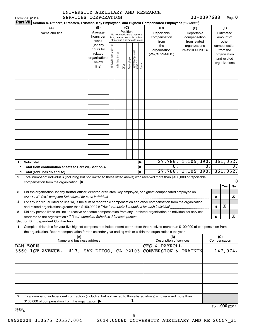|              |                                                                                                                                                                                                                                                        | UNIVERSITY AUXILIARY AND RESEARCH |                                                                      |                                |                                                                                                 |                 |              |                                 |        |                                                                                                        |                                                   |                         |                                                                          |         |
|--------------|--------------------------------------------------------------------------------------------------------------------------------------------------------------------------------------------------------------------------------------------------------|-----------------------------------|----------------------------------------------------------------------|--------------------------------|-------------------------------------------------------------------------------------------------|-----------------|--------------|---------------------------------|--------|--------------------------------------------------------------------------------------------------------|---------------------------------------------------|-------------------------|--------------------------------------------------------------------------|---------|
|              | Form 990 (2014)                                                                                                                                                                                                                                        | SERVICES CORPORATION              |                                                                      |                                |                                                                                                 |                 |              |                                 |        |                                                                                                        |                                                   | 33-0397688              |                                                                          | Page 8  |
|              | <b>Part VII</b>                                                                                                                                                                                                                                        |                                   |                                                                      |                                |                                                                                                 |                 |              |                                 |        | Section A. Officers, Directors, Trustees, Key Employees, and Highest Compensated Employees (continued) |                                                   |                         |                                                                          |         |
|              | (A)<br>Name and title                                                                                                                                                                                                                                  |                                   | (B)<br>Average<br>hours per<br>week                                  |                                | (do not check more than one<br>box, unless person is both an<br>officer and a director/trustee) | (C)<br>Position |              |                                 |        | (D)<br>Reportable<br>compensation<br>from                                                              | (E)<br>Reportable<br>compensation<br>from related |                         | (F)<br>Estimated<br>amount of<br>other                                   |         |
|              |                                                                                                                                                                                                                                                        |                                   | (list any<br>hours for<br>related<br>organizations<br>below<br>line) | Individual trustee or director | Institutional trustee                                                                           | Officer         | Key employee | Highest compensated<br>employee | Former | the<br>organization<br>(W-2/1099-MISC)                                                                 | organizations<br>(W-2/1099-MISC)                  |                         | compensation<br>from the<br>organization<br>and related<br>organizations |         |
|              |                                                                                                                                                                                                                                                        |                                   |                                                                      |                                |                                                                                                 |                 |              |                                 |        |                                                                                                        |                                                   |                         |                                                                          |         |
|              |                                                                                                                                                                                                                                                        |                                   |                                                                      |                                |                                                                                                 |                 |              |                                 |        |                                                                                                        |                                                   |                         |                                                                          |         |
|              |                                                                                                                                                                                                                                                        |                                   |                                                                      |                                |                                                                                                 |                 |              |                                 |        |                                                                                                        |                                                   |                         |                                                                          |         |
|              |                                                                                                                                                                                                                                                        |                                   |                                                                      |                                |                                                                                                 |                 |              |                                 |        |                                                                                                        |                                                   |                         |                                                                          |         |
|              | 1b Sub-total<br>c Total from continuation sheets to Part VII, Section A manuscreen continuum                                                                                                                                                           |                                   |                                                                      |                                |                                                                                                 |                 |              |                                 |        | О.                                                                                                     | 27,786, 1,105,390.<br>$27,786.$ 1,105,390.        | $0$ .                   | 361,052.<br>361,052.                                                     | 0.      |
| $\mathbf{2}$ | Total number of individuals (including but not limited to those listed above) who received more than \$100,000 of reportable<br>compensation from the organization $\blacktriangleright$                                                               |                                   |                                                                      |                                |                                                                                                 |                 |              |                                 |        |                                                                                                        |                                                   |                         |                                                                          | 0       |
| З            | Did the organization list any former officer, director, or trustee, key employee, or highest compensated employee on<br>line 1a? If "Yes," complete Schedule J for such individual                                                                     |                                   |                                                                      |                                |                                                                                                 |                 |              |                                 |        |                                                                                                        |                                                   | з                       | Yes                                                                      | No<br>X |
| 4            | For any individual listed on line 1a, is the sum of reportable compensation and other compensation from the organization                                                                                                                               |                                   |                                                                      |                                |                                                                                                 |                 |              |                                 |        |                                                                                                        |                                                   | $\overline{\mathbf{4}}$ | X                                                                        |         |
| 5            | Did any person listed on line 1a receive or accrue compensation from any unrelated organization or individual for services<br>rendered to the organization? If "Yes," complete Schedule J for such person<br><b>Section B. Independent Contractors</b> |                                   |                                                                      |                                |                                                                                                 |                 |              |                                 |        |                                                                                                        |                                                   | 5                       |                                                                          | x       |
| 1            | Complete this table for your five highest compensated independent contractors that received more than \$100,000 of compensation from<br>the organization. Report compensation for the calendar year ending with or within the organization's tax year. |                                   |                                                                      |                                |                                                                                                 |                 |              |                                 |        |                                                                                                        |                                                   |                         |                                                                          |         |
|              |                                                                                                                                                                                                                                                        | (A)<br>Name and business address  |                                                                      |                                |                                                                                                 |                 |              |                                 |        | (B)<br>Description of services                                                                         |                                                   |                         | (C)<br>Compensation                                                      |         |
|              | DAN ZORN<br>3560 1ST AVENUE., #13, SAN DIEGO, CA 92103                                                                                                                                                                                                 |                                   |                                                                      |                                |                                                                                                 |                 |              |                                 |        | $\overline{\text{CFS}}$<br>& PAYROLL<br>CONVERSION & TRAININ                                           |                                                   |                         | 147,074.                                                                 |         |
|              |                                                                                                                                                                                                                                                        |                                   |                                                                      |                                |                                                                                                 |                 |              |                                 |        |                                                                                                        |                                                   |                         |                                                                          |         |
|              |                                                                                                                                                                                                                                                        |                                   |                                                                      |                                |                                                                                                 |                 |              |                                 |        |                                                                                                        |                                                   |                         |                                                                          |         |
|              |                                                                                                                                                                                                                                                        |                                   |                                                                      |                                |                                                                                                 |                 |              |                                 |        |                                                                                                        |                                                   |                         |                                                                          |         |
| 2            | Total number of independent contractors (including but not limited to those listed above) who received more than<br>\$100,000 of compensation from the organization                                                                                    |                                   |                                                                      |                                |                                                                                                 |                 |              | 1                               |        |                                                                                                        |                                                   |                         |                                                                          |         |
| 432008       |                                                                                                                                                                                                                                                        |                                   |                                                                      |                                |                                                                                                 |                 |              |                                 |        |                                                                                                        |                                                   |                         | Form 990 (2014)                                                          |         |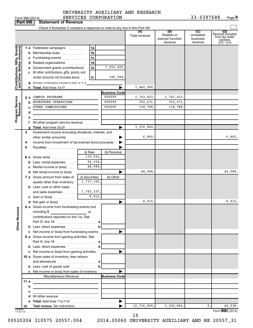|                                                           |      | Form 990 (2014)                                                                                                       | SERVICES CORPORATION |                       |                      |                                                 | 33-0397688                                         | Page 9                                                             |
|-----------------------------------------------------------|------|-----------------------------------------------------------------------------------------------------------------------|----------------------|-----------------------|----------------------|-------------------------------------------------|----------------------------------------------------|--------------------------------------------------------------------|
| <b>Part VIII</b>                                          |      | <b>Statement of Revenue</b>                                                                                           |                      |                       |                      |                                                 |                                                    |                                                                    |
|                                                           |      |                                                                                                                       |                      |                       |                      |                                                 |                                                    |                                                                    |
|                                                           |      |                                                                                                                       |                      |                       | (A)<br>Total revenue | (B)<br>Related or<br>exempt function<br>revenue | $\overline{C}$<br>Unrelated<br>business<br>revenue | (D)<br>Revenue excluded<br>from tax under<br>sections<br>512 - 514 |
|                                                           |      | 1 a Federated campaigns                                                                                               | 1a                   |                       |                      |                                                 |                                                    |                                                                    |
| Contributions, Gifts, Grants<br>and Other Similar Amounts |      | <b>b</b> Membership dues                                                                                              | 1b                   |                       |                      |                                                 |                                                    |                                                                    |
|                                                           |      | c Fundraising events                                                                                                  | 1c                   |                       |                      |                                                 |                                                    |                                                                    |
|                                                           |      | d Related organizations<br>.                                                                                          | 1d                   |                       |                      |                                                 |                                                    |                                                                    |
|                                                           |      | e Government grants (contributions)                                                                                   | 1e                   | 7,052,405.            |                      |                                                 |                                                    |                                                                    |
|                                                           |      | f All other contributions, gifts, grants, and                                                                         |                      |                       |                      |                                                 |                                                    |                                                                    |
|                                                           |      | similar amounts not included above                                                                                    | 1f                   | 390,584.              |                      |                                                 |                                                    |                                                                    |
|                                                           |      | g Noncash contributions included in lines 1a-1f: \$                                                                   |                      |                       |                      |                                                 |                                                    |                                                                    |
|                                                           |      |                                                                                                                       |                      |                       | 7,442,989            |                                                 |                                                    |                                                                    |
|                                                           |      |                                                                                                                       |                      | <b>Business Code</b>  |                      |                                                 |                                                    |                                                                    |
|                                                           | 2 a  | CAMPUS PROGRAMS                                                                                                       |                      | 900099                | 2,743,423.           | 2,743,423.                                      |                                                    |                                                                    |
|                                                           |      | BOOKSTORE OPERATIONS<br>b                                                                                             |                      | 900099                | 352,671.             | 352,671                                         |                                                    |                                                                    |
|                                                           |      | OTHER COMMISSIONS                                                                                                     |                      | 900099                | 134,788.             | 134,788                                         |                                                    |                                                                    |
|                                                           | d    |                                                                                                                       |                      |                       |                      |                                                 |                                                    |                                                                    |
| Program Service<br>Revenue                                |      |                                                                                                                       |                      |                       |                      |                                                 |                                                    |                                                                    |
|                                                           |      | f All other program service revenue                                                                                   |                      |                       |                      |                                                 |                                                    |                                                                    |
|                                                           |      |                                                                                                                       |                      |                       | 3,230,882            |                                                 |                                                    |                                                                    |
|                                                           | 3    | Investment income (including dividends, interest, and                                                                 |                      |                       |                      |                                                 |                                                    |                                                                    |
|                                                           |      |                                                                                                                       |                      |                       | 6,860                |                                                 |                                                    | 6,860.                                                             |
|                                                           | 4    | Income from investment of tax-exempt bond proceeds                                                                    |                      |                       |                      |                                                 |                                                    |                                                                    |
|                                                           | 5    |                                                                                                                       |                      |                       |                      |                                                 |                                                    |                                                                    |
|                                                           |      |                                                                                                                       | (i) Real             | (ii) Personal         |                      |                                                 |                                                    |                                                                    |
|                                                           |      | 6 a Gross rents                                                                                                       | 139,092.             |                       |                      |                                                 |                                                    |                                                                    |
|                                                           |      | <b>b</b> Less: rental expenses                                                                                        | 94,104.              |                       |                      |                                                 |                                                    |                                                                    |
|                                                           |      | c Rental income or (loss)                                                                                             | 44,988.              |                       |                      |                                                 |                                                    |                                                                    |
|                                                           |      | <b>d</b> Net rental income or (loss)                                                                                  |                      |                       | 44,988.              |                                                 |                                                    | 44,988.                                                            |
|                                                           |      | 7 a Gross amount from sales of                                                                                        | (i) Securities       | (ii) Other            |                      |                                                 |                                                    |                                                                    |
|                                                           |      | assets other than inventory                                                                                           | 1,733,325.           |                       |                      |                                                 |                                                    |                                                                    |
|                                                           |      | <b>b</b> Less: cost or other basis                                                                                    |                      |                       |                      |                                                 |                                                    |                                                                    |
|                                                           |      | and sales expenses                                                                                                    | 1,742,235.           |                       |                      |                                                 |                                                    |                                                                    |
|                                                           |      | c Gain or (loss)                                                                                                      | $-8,910.$            |                       |                      |                                                 |                                                    |                                                                    |
|                                                           |      |                                                                                                                       |                      |                       | $-8,910.$            |                                                 |                                                    | $-8,910.$                                                          |
| <b>Other Revenue</b>                                      |      | 8 a Gross income from fundraising events (not<br>including \$                                                         |                      |                       |                      |                                                 |                                                    |                                                                    |
|                                                           |      | contributions reported on line 1c). See                                                                               |                      |                       |                      |                                                 |                                                    |                                                                    |
|                                                           |      |                                                                                                                       |                      |                       |                      |                                                 |                                                    |                                                                    |
|                                                           |      |                                                                                                                       |                      |                       |                      |                                                 |                                                    |                                                                    |
|                                                           |      |                                                                                                                       |                      |                       |                      |                                                 |                                                    |                                                                    |
|                                                           |      | 9 a Gross income from gaming activities. See                                                                          |                      |                       |                      |                                                 |                                                    |                                                                    |
|                                                           |      |                                                                                                                       |                      |                       |                      |                                                 |                                                    |                                                                    |
|                                                           |      |                                                                                                                       |                      |                       |                      |                                                 |                                                    |                                                                    |
|                                                           |      |                                                                                                                       |                      |                       |                      |                                                 |                                                    |                                                                    |
|                                                           |      | 10 a Gross sales of inventory, less returns                                                                           |                      |                       |                      |                                                 |                                                    |                                                                    |
|                                                           |      | <b>b</b> Less: cost of goods sold $\ldots$ <b>b</b>                                                                   |                      |                       |                      |                                                 |                                                    |                                                                    |
|                                                           |      |                                                                                                                       |                      |                       |                      |                                                 |                                                    |                                                                    |
|                                                           |      | c Net income or (loss) from sales of inventory<br>Miscellaneous Revenue                                               |                      | <b>Business Code</b>  |                      |                                                 |                                                    |                                                                    |
|                                                           | 11 a |                                                                                                                       |                      |                       |                      |                                                 |                                                    |                                                                    |
|                                                           | b    |                                                                                                                       |                      |                       |                      |                                                 |                                                    |                                                                    |
|                                                           | с    | <u> 1989 - Johann Barbara, martin amerikan basar dan berasal dalam basar dalam basar dalam basar dalam basar dala</u> |                      |                       |                      |                                                 |                                                    |                                                                    |
|                                                           |      | <u> 1989 - Johann Barbara, martxa alemaniar a</u>                                                                     |                      |                       |                      |                                                 |                                                    |                                                                    |
|                                                           |      |                                                                                                                       |                      | $\blacktriangleright$ |                      |                                                 |                                                    |                                                                    |
|                                                           | 12   |                                                                                                                       |                      |                       | 10,716,809.          | 3,230,882.                                      | 0.                                                 | 42,938.                                                            |
| 432009<br>$11-07-14$                                      |      |                                                                                                                       |                      |                       |                      |                                                 |                                                    | Form 990 (2014)                                                    |

09520204 310575 20557.004 2014.05060 UNIVERSITY AUXILIARY AND RE 20557\_31

10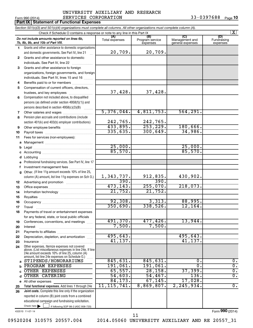### Form 990 (2014)  $SERVICES \quad CORPORTION \qquad 33-0397688 \quad Page$ UNIVERSITY AUXILIARY AND RESEARCH

|              | <b>Part IX   Statement of Functional Expenses</b>                                                                                                                                                           |                       |                                    |                                           |                                |
|--------------|-------------------------------------------------------------------------------------------------------------------------------------------------------------------------------------------------------------|-----------------------|------------------------------------|-------------------------------------------|--------------------------------|
|              | Section 501(c)(3) and 501(c)(4) organizations must complete all columns. All other organizations must complete column (A).                                                                                  |                       |                                    |                                           |                                |
|              | Check if Schedule O contains a response or note to any line in this Part IX                                                                                                                                 |                       |                                    |                                           | $\vert X \vert$                |
|              | Do not include amounts reported on lines 6b,<br>7b, 8b, 9b, and 10b of Part VIII.                                                                                                                           | (A)<br>Total expenses | (B)<br>Program service<br>expenses | (C)<br>Management and<br>general expenses | (D)<br>Fundraising<br>expenses |
| 1            | Grants and other assistance to domestic organizations                                                                                                                                                       |                       |                                    |                                           |                                |
|              | and domestic governments. See Part IV, line 21                                                                                                                                                              | 20,709.               | 20,709.                            |                                           |                                |
| $\mathbf{2}$ | Grants and other assistance to domestic                                                                                                                                                                     |                       |                                    |                                           |                                |
|              | individuals. See Part IV, line 22                                                                                                                                                                           |                       |                                    |                                           |                                |
| 3            | Grants and other assistance to foreign                                                                                                                                                                      |                       |                                    |                                           |                                |
|              | organizations, foreign governments, and foreign                                                                                                                                                             |                       |                                    |                                           |                                |
|              | individuals. See Part IV, lines 15 and 16                                                                                                                                                                   |                       |                                    |                                           |                                |
| 4            | Benefits paid to or for members                                                                                                                                                                             |                       |                                    |                                           |                                |
| 5            | Compensation of current officers, directors,                                                                                                                                                                |                       |                                    |                                           |                                |
|              | trustees, and key employees                                                                                                                                                                                 | 37,428.               | 37,428.                            |                                           |                                |
| 6            | Compensation not included above, to disqualified                                                                                                                                                            |                       |                                    |                                           |                                |
|              | persons (as defined under section 4958(f)(1)) and                                                                                                                                                           |                       |                                    |                                           |                                |
|              | persons described in section 4958(c)(3)(B)                                                                                                                                                                  | 5,376,044.            | 4,811,753.                         | 564, 291.                                 |                                |
| 7<br>8       | Other salaries and wages<br>Pension plan accruals and contributions (include                                                                                                                                |                       |                                    |                                           |                                |
|              | section 401(k) and 403(b) employer contributions)                                                                                                                                                           | 242,765.              | 242,765.                           |                                           |                                |
| 9            |                                                                                                                                                                                                             | 433,895.              | 253, 229.                          | 180,666.                                  |                                |
| 10           |                                                                                                                                                                                                             | 335,635.              | 300, 649.                          | 34,986.                                   |                                |
| 11           | Fees for services (non-employees):                                                                                                                                                                          |                       |                                    |                                           |                                |
| a            |                                                                                                                                                                                                             |                       |                                    |                                           |                                |
| b            |                                                                                                                                                                                                             | 25,000.               |                                    | 25,000.                                   |                                |
| c            |                                                                                                                                                                                                             | 85,570.               |                                    | 85,570.                                   |                                |
| d            | Lobbying                                                                                                                                                                                                    |                       |                                    |                                           |                                |
| e            | Professional fundraising services. See Part IV, line 17                                                                                                                                                     |                       |                                    |                                           |                                |
| f            | Investment management fees                                                                                                                                                                                  |                       |                                    |                                           |                                |
| $\mathbf{q}$ | Other. (If line 11g amount exceeds 10% of line 25,                                                                                                                                                          |                       |                                    |                                           |                                |
|              | column (A) amount, list line 11g expenses on Sch O.)                                                                                                                                                        | 1,343,737.            | 912,835.                           | 430,902.                                  |                                |
| 12           |                                                                                                                                                                                                             | 390.                  | 390.                               |                                           |                                |
| 13           |                                                                                                                                                                                                             | 473, 143.             | 255,070.                           | 218,073.                                  |                                |
| 14           |                                                                                                                                                                                                             | 21,752.               | 21,752.                            |                                           |                                |
| 15           |                                                                                                                                                                                                             |                       |                                    |                                           |                                |
| 16           |                                                                                                                                                                                                             | 92,308.<br>350,690.   | 3,313.<br>338,526.                 | 88,995.<br>12, 164.                       |                                |
| 17           | Travel                                                                                                                                                                                                      |                       |                                    |                                           |                                |
| 18           | Payments of travel or entertainment expenses                                                                                                                                                                |                       |                                    |                                           |                                |
| 19           | for any federal, state, or local public officials<br>Conferences, conventions, and meetings                                                                                                                 | 491,370.              | 477, 426.                          | 13,944.                                   |                                |
| 20           | Interest                                                                                                                                                                                                    | 7,500.                | 7,500.                             |                                           |                                |
| 21           |                                                                                                                                                                                                             |                       |                                    |                                           |                                |
| 22           | Depreciation, depletion, and amortization                                                                                                                                                                   | 495,643.              |                                    | 495,643.                                  |                                |
| 23           | Insurance                                                                                                                                                                                                   | 41, 137.              |                                    | 41, 137.                                  |                                |
| 24           | Other expenses. Itemize expenses not covered<br>above. (List miscellaneous expenses in line 24e. If line<br>24e amount exceeds 10% of line 25, column (A)<br>amount, list line 24e expenses on Schedule O.) |                       |                                    |                                           |                                |
| a            | STIPENDS/HONORARIUMS                                                                                                                                                                                        | 845,631.              | 845,631.                           | 0.                                        | 0.                             |
| b            | PROGRAM EXPENSES                                                                                                                                                                                            | 191,061.              | 191,061.                           | $\overline{0}$ .                          | $\overline{0}$ .               |
| C            | OTHER EXPENSES                                                                                                                                                                                              | 65,557.               | 28,158.                            | 37,399.                                   | $\overline{0}$ .               |
| d            | OTHER CATERING                                                                                                                                                                                              | 54,603.               | 54,467.                            | 136.                                      | $\overline{0}$ .               |
| е            | All other expenses                                                                                                                                                                                          | 84, 173.              | 67, 145.                           | 17,028.                                   |                                |
| 25           | Total functional expenses. Add lines 1 through 24e                                                                                                                                                          | 11, 115, 741.         | 8,869,807.                         | 2, 245, 934.                              | $\overline{0}$ .               |
| 26           | Joint costs. Complete this line only if the organization                                                                                                                                                    |                       |                                    |                                           |                                |
|              | reported in column (B) joint costs from a combined                                                                                                                                                          |                       |                                    |                                           |                                |
|              | educational campaign and fundraising solicitation.<br>Check here $\blacktriangleright$                                                                                                                      |                       |                                    |                                           |                                |
|              | if following SOP 98-2 (ASC 958-720)                                                                                                                                                                         |                       |                                    |                                           |                                |

432010 11-07-14

Form (2014) **990**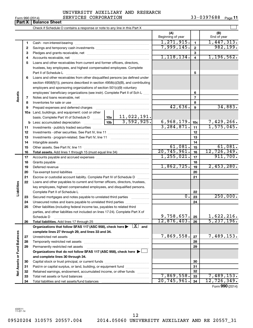**Part X** | **Balance Sheet** 

### Form 990 (2014)  $SERVICES \text{ CORPORTION}$  33-0397688  $Page$ UNIVERSITY AUXILIARY AND RESEARCH

 $\perp$ Check if Schedule O contains a response or note to any line in this Part X **(A) (B)** Beginning of year | | End of year  $1,271,915.$   $1,447,313.$ **1 1** Cash - non-interest-bearing ~~~~~~~~~~~~~~~~~~~~~~~~~ 7,999,145. 982,199. **2 2** Savings and temporary cash investments ~~~~~~~~~~~~~~~~~~ **3 3** Pledges and grants receivable, net ~~~~~~~~~~~~~~~~~~~~~ 1,118,134. 1,196,562. **4 4** Accounts receivable, net ~~~~~~~~~~~~~~~~~~~~~~~~~~ **5** Loans and other receivables from current and former officers, directors, trustees, key employees, and highest compensated employees. Complete **5** Part II of Schedule L ~~~~~~~~~~~~~~~~~~~~~~~~~~~~ **6** Loans and other receivables from other disqualified persons (as defined under section 4958(f)(1)), persons described in section 4958(c)(3)(B), and contributing employers and sponsoring organizations of section 501(c)(9) voluntary employees' beneficiary organizations (see instr). Complete Part II of Sch L ...... **6 Assets 7 7** Notes and loans receivable, net ~~~~~~~~~~~~~~~~~~~~~~~ **8 8** Inventories for sale or use ~~~~~~~~~~~~~~~~~~~~~~~~~~ 42,636. 34,883. **9 9** Prepaid expenses and deferred charges ~~~~~~~~~~~~~~~~~~ **10 a** Land, buildings, and equipment: cost or other 11,022,191. basis. Complete Part VI of Schedule D  $\frac{1}{10}$  10a  $\overline{3,592,925.}$  6,968,179. 10c 7,429,266. **10c b** Less: accumulated depreciation  $\ldots$  [10b 3,284,871. 1,575,045. **11 11** Investments - publicly traded securities ~~~~~~~~~~~~~~~~~~~ **12 12** Investments - other securities. See Part IV, line 11 ~~~~~~~~~~~~~~ **13 13** Investments - program-related. See Part IV, line 11 ~~~~~~~~~~~~~ **14 14** Intangible assets ~~~~~~~~~~~~~~~~~~~~~~~~~~~~~~  $61,081.$   $15$   $61,081.$ Other assets. See Part IV, line 11 ~~~~~~~~~~~~~~~~~~~~~~ **15 15**  $\overline{20,745,961.}$  16 12,726,349. **16 16 Total assets.**  Add lines 1 through 15 (must equal line 34) 1,255,021. 911,700. **17 17** Accounts payable and accrued expenses ~~~~~~~~~~~~~~~~~~ **18 18** Grants payable ~~~~~~~~~~~~~~~~~~~~~~~~~~~~~~~  $1,862,725.$  19  $2,453,280.$ **19 19** Deferred revenue ~~~~~~~~~~~~~~~~~~~~~~~~~~~~~~ **20 20** Tax-exempt bond liabilities ~~~~~~~~~~~~~~~~~~~~~~~~~ **21 21** Escrow or custodial account liability. Complete Part IV of Schedule D ........... **22** Loans and other payables to current and former officers, directors, trustees, **Liabilities** key employees, highest compensated employees, and disqualified persons. Complete Part II of Schedule L ~~~~~~~~~~~~~~~~~~~~~~~ **22**  $0.23$  250,000. Secured mortgages and notes payable to unrelated third parties  $\ldots$ ................. **23 23 24** Unsecured notes and loans payable to unrelated third parties ~~~~~~~~ **24 25** Other liabilities (including federal income tax, payables to related third parties, and other liabilities not included on lines 17-24). Complete Part X of  $9,758,657.$  25 | 1,622,216. Schedule D ~~~~~~~~~~~~~~~~~~~~~~~~~~~~~~~~ **25**  $12,876,403.$   $26$  5,237,196. **26 26 Total liabilities.**  Add lines 17 through 25 Organizations that follow SFAS 117 (ASC 958), check here  $\blacktriangleright$   $\boxed{X}$  and **complete lines 27 through 29, and lines 33 and 34. Vet Assets or Fund Balances Net Assets or Fund Balances**  $7,869,558$ .  $\boxed{27}$  7,489,153. **27 27** Unrestricted net assets ~~~~~~~~~~~~~~~~~~~~~~~~~~~ **28 28** Temporarily restricted net assets ~~~~~~~~~~~~~~~~~~~~~~ **29 29** Permanently restricted net assets ~~~~~~~~~~~~~~~~~~~~~ **Organizations that do not follow SFAS 117 (ASC 958), check here** | † **and complete lines 30 through 34. 30 30** Capital stock or trust principal, or current funds ~~~~~~~~~~~~~~~ **31 31** Paid-in or capital surplus, or land, building, or equipment fund ....................... **32 32** Retained earnings, endowment, accumulated income, or other funds ............ 7,869,558. 7,489,153. Total net assets or fund balances ~~~~~~~~~~~~~~~~~~~~~~ **33**

Form (2014) **990**

**34**

20,745,961. 12,726,349.

432011 11-07-14

**33 34**

09520204 310575 20557.004 2014.05060 UNIVERSITY AUXILIARY AND RE 20557\_31

Total liabilities and net assets/fund balances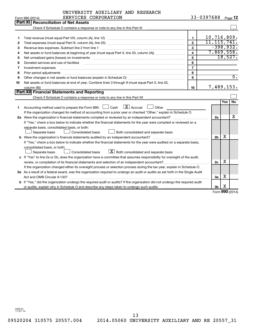|    | UNIVERSITY AUXILIARY AND RESEARCH                                                                                                                                                                                              |                          |                |            |                  |
|----|--------------------------------------------------------------------------------------------------------------------------------------------------------------------------------------------------------------------------------|--------------------------|----------------|------------|------------------|
|    | SERVICES CORPORATION<br>Form 990 (2014)                                                                                                                                                                                        |                          | 33-0397688     |            | Page 12          |
|    | Part XI   Reconciliation of Net Assets                                                                                                                                                                                         |                          |                |            |                  |
|    | Check if Schedule O contains a response or note to any line in this Part XI [11] [12] Check if Schedule O contains a response or note to any line in this Part XI                                                              |                          |                |            |                  |
|    |                                                                                                                                                                                                                                |                          |                |            |                  |
| 1. |                                                                                                                                                                                                                                | 1                        | 10,716,809.    |            |                  |
| 2  |                                                                                                                                                                                                                                | $\overline{2}$           | 11, 115, 741.  |            |                  |
| 3  |                                                                                                                                                                                                                                | 3                        |                |            | $-398,932.$      |
| 4  |                                                                                                                                                                                                                                | $\overline{\mathbf{A}}$  | 7,869,558.     |            |                  |
| 5  | Net unrealized gains (losses) on investments [11] matter contracts and the state of the state of the state of the state of the state of the state of the state of the state of the state of the state of the state of the stat | 5                        |                |            | 18,527.          |
| 6  | Donated services and use of facilities                                                                                                                                                                                         | 6                        |                |            |                  |
| 7  | Investment expenses                                                                                                                                                                                                            | $\overline{\phantom{a}}$ |                |            |                  |
| 8  | Prior period adjustments                                                                                                                                                                                                       | 8                        |                |            |                  |
| 9  |                                                                                                                                                                                                                                | 9                        |                |            | $\overline{0}$ . |
| 10 | Net assets or fund balances at end of year. Combine lines 3 through 9 (must equal Part X, line 33,                                                                                                                             |                          |                |            |                  |
|    | column (B))                                                                                                                                                                                                                    | 10                       | 7,489,153.     |            |                  |
|    | Part XII Financial Statements and Reporting                                                                                                                                                                                    |                          |                |            |                  |
|    |                                                                                                                                                                                                                                |                          |                |            |                  |
|    |                                                                                                                                                                                                                                |                          |                | <b>Yes</b> | No               |
| 1  | $\lfloor x \rfloor$ Accrual<br>Accounting method used to prepare the Form 990: $\Box$ Cash<br>Other                                                                                                                            |                          |                |            |                  |
|    | If the organization changed its method of accounting from a prior year or checked "Other," explain in Schedule O.                                                                                                              |                          |                |            |                  |
|    |                                                                                                                                                                                                                                |                          | 2a             |            | x                |
|    | If "Yes," check a box below to indicate whether the financial statements for the year were compiled or reviewed on a                                                                                                           |                          |                |            |                  |
|    | separate basis, consolidated basis, or both:                                                                                                                                                                                   |                          |                |            |                  |
|    | Consolidated basis<br>Separate basis<br>Both consolidated and separate basis                                                                                                                                                   |                          |                |            |                  |
|    |                                                                                                                                                                                                                                |                          | 2 <sub>b</sub> | X          |                  |
|    | If "Yes," check a box below to indicate whether the financial statements for the year were audited on a separate basis,                                                                                                        |                          |                |            |                  |
|    | consolidated basis, or both:                                                                                                                                                                                                   |                          |                |            |                  |
|    | $\boxed{\textbf{X}}$ Both consolidated and separate basis<br>Separate basis<br>Consolidated basis                                                                                                                              |                          |                |            |                  |
|    | c If "Yes" to line 2a or 2b, does the organization have a committee that assumes responsibility for oversight of the audit,                                                                                                    |                          |                |            |                  |
|    |                                                                                                                                                                                                                                |                          | 2c             | х          |                  |
|    | If the organization changed either its oversight process or selection process during the tax year, explain in Schedule O.                                                                                                      |                          |                |            |                  |
|    | 3a As a result of a federal award, was the organization required to undergo an audit or audits as set forth in the Single Audit                                                                                                |                          |                |            |                  |
|    |                                                                                                                                                                                                                                |                          | За             | x          |                  |
|    | b If "Yes," did the organization undergo the required audit or audits? If the organization did not undergo the required audit                                                                                                  |                          |                |            |                  |
|    |                                                                                                                                                                                                                                |                          | 3 <sub>b</sub> | X          |                  |

Form (2014) **990**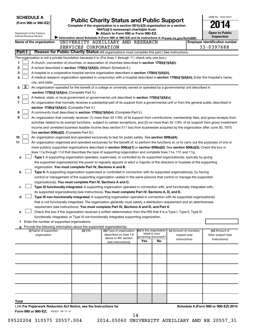| <b>SCHEDULE A</b>                                                                                         |                                                                                                                                                                                                                                                           |                                                       |     |                                            |                                        | OMB No. 1545-0047                                                                                                                             |
|-----------------------------------------------------------------------------------------------------------|-----------------------------------------------------------------------------------------------------------------------------------------------------------------------------------------------------------------------------------------------------------|-------------------------------------------------------|-----|--------------------------------------------|----------------------------------------|-----------------------------------------------------------------------------------------------------------------------------------------------|
| (Form 990 or 990-EZ)                                                                                      | <b>Public Charity Status and Public Support</b><br>Complete if the organization is a section 501(c)(3) organization or a section                                                                                                                          |                                                       |     |                                            |                                        |                                                                                                                                               |
|                                                                                                           |                                                                                                                                                                                                                                                           | 4947(a)(1) nonexempt charitable trust.                |     |                                            |                                        |                                                                                                                                               |
| Department of the Treasury<br>Internal Revenue Service                                                    |                                                                                                                                                                                                                                                           | Attach to Form 990 or Form 990-EZ.                    |     |                                            |                                        | <b>Open to Public</b><br><b>Inspection</b>                                                                                                    |
| Name of the organization                                                                                  | Information about Schedule A (Form 990 or 990-EZ) and its instructions is at www.irs.gov/form990.<br>UNIVERSITY AUXILIARY AND RESEARCH                                                                                                                    |                                                       |     |                                            |                                        | <b>Employer identification number</b>                                                                                                         |
|                                                                                                           | SERVICES CORPORATION                                                                                                                                                                                                                                      |                                                       |     |                                            |                                        | 33-0397688                                                                                                                                    |
| Part I                                                                                                    | Reason for Public Charity Status (All organizations must complete this part.) See instructions.                                                                                                                                                           |                                                       |     |                                            |                                        |                                                                                                                                               |
| The organization is not a private foundation because it is: (For lines 1 through 11, check only one box.) |                                                                                                                                                                                                                                                           |                                                       |     |                                            |                                        |                                                                                                                                               |
| 1                                                                                                         | A church, convention of churches, or association of churches described in section 170(b)(1)(A)(i).                                                                                                                                                        |                                                       |     |                                            |                                        |                                                                                                                                               |
| 2                                                                                                         | A school described in section 170(b)(1)(A)(ii). (Attach Schedule E.)                                                                                                                                                                                      |                                                       |     |                                            |                                        |                                                                                                                                               |
| 3                                                                                                         | A hospital or a cooperative hospital service organization described in section 170(b)(1)(A)(iii).                                                                                                                                                         |                                                       |     |                                            |                                        |                                                                                                                                               |
| 4                                                                                                         |                                                                                                                                                                                                                                                           |                                                       |     |                                            |                                        | A medical research organization operated in conjunction with a hospital described in section 170(b)(1)(A)(iii). Enter the hospital's name,    |
| city, and state:                                                                                          |                                                                                                                                                                                                                                                           |                                                       |     |                                            |                                        |                                                                                                                                               |
| $\lfloor x \rfloor$<br>5                                                                                  | An organization operated for the benefit of a college or university owned or operated by a governmental unit described in                                                                                                                                 |                                                       |     |                                            |                                        |                                                                                                                                               |
|                                                                                                           | section 170(b)(1)(A)(iv). (Complete Part II.)                                                                                                                                                                                                             |                                                       |     |                                            |                                        |                                                                                                                                               |
| 6<br>7                                                                                                    | A federal, state, or local government or governmental unit described in section 170(b)(1)(A)(v).                                                                                                                                                          |                                                       |     |                                            |                                        | An organization that normally receives a substantial part of its support from a governmental unit or from the general public described in     |
|                                                                                                           | section 170(b)(1)(A)(vi). (Complete Part II.)                                                                                                                                                                                                             |                                                       |     |                                            |                                        |                                                                                                                                               |
| 8                                                                                                         | A community trust described in section 170(b)(1)(A)(vi). (Complete Part II.)                                                                                                                                                                              |                                                       |     |                                            |                                        |                                                                                                                                               |
| 9                                                                                                         |                                                                                                                                                                                                                                                           |                                                       |     |                                            |                                        | An organization that normally receives: (1) more than 33 1/3% of its support from contributions, membership fees, and gross receipts from     |
|                                                                                                           |                                                                                                                                                                                                                                                           |                                                       |     |                                            |                                        | activities related to its exempt functions - subject to certain exceptions, and (2) no more than 33 1/3% of its support from gross investment |
|                                                                                                           |                                                                                                                                                                                                                                                           |                                                       |     |                                            |                                        | income and unrelated business taxable income (less section 511 tax) from businesses acquired by the organization after June 30, 1975.         |
|                                                                                                           | See section 509(a)(2). (Complete Part III.)                                                                                                                                                                                                               |                                                       |     |                                            |                                        |                                                                                                                                               |
| 10                                                                                                        | An organization organized and operated exclusively to test for public safety. See section 509(a)(4).                                                                                                                                                      |                                                       |     |                                            |                                        |                                                                                                                                               |
| 11                                                                                                        |                                                                                                                                                                                                                                                           |                                                       |     |                                            |                                        | An organization organized and operated exclusively for the benefit of, to perform the functions of, or to carry out the purposes of one or    |
|                                                                                                           | more publicly supported organizations described in section 509(a)(1) or section 509(a)(2). See section 509(a)(3). Check the box in<br>lines 11a through 11d that describes the type of supporting organization and complete lines 11e, 11f, and 11g.      |                                                       |     |                                            |                                        |                                                                                                                                               |
| а                                                                                                         | Type I. A supporting organization operated, supervised, or controlled by its supported organization(s), typically by giving                                                                                                                               |                                                       |     |                                            |                                        |                                                                                                                                               |
|                                                                                                           | the supported organization(s) the power to regularly appoint or elect a majority of the directors or trustees of the supporting                                                                                                                           |                                                       |     |                                            |                                        |                                                                                                                                               |
|                                                                                                           | organization. You must complete Part IV, Sections A and B.                                                                                                                                                                                                |                                                       |     |                                            |                                        |                                                                                                                                               |
| b                                                                                                         | Type II. A supporting organization supervised or controlled in connection with its supported organization(s), by having                                                                                                                                   |                                                       |     |                                            |                                        |                                                                                                                                               |
|                                                                                                           | control or management of the supporting organization vested in the same persons that control or manage the supported                                                                                                                                      |                                                       |     |                                            |                                        |                                                                                                                                               |
|                                                                                                           | organization(s). You must complete Part IV, Sections A and C.                                                                                                                                                                                             |                                                       |     |                                            |                                        |                                                                                                                                               |
| c                                                                                                         | Type III functionally integrated. A supporting organization operated in connection with, and functionally integrated with,                                                                                                                                |                                                       |     |                                            |                                        |                                                                                                                                               |
|                                                                                                           | its supported organization(s) (see instructions). You must complete Part IV, Sections A, D, and E.                                                                                                                                                        |                                                       |     |                                            |                                        |                                                                                                                                               |
| d                                                                                                         | Type III non-functionally integrated. A supporting organization operated in connection with its supported organization(s)<br>that is not functionally integrated. The organization generally must satisfy a distribution requirement and an attentiveness |                                                       |     |                                            |                                        |                                                                                                                                               |
|                                                                                                           | requirement (see instructions). You must complete Part IV, Sections A and D, and Part V.                                                                                                                                                                  |                                                       |     |                                            |                                        |                                                                                                                                               |
| е                                                                                                         | Check this box if the organization received a written determination from the IRS that it is a Type I, Type II, Type III                                                                                                                                   |                                                       |     |                                            |                                        |                                                                                                                                               |
|                                                                                                           | functionally integrated, or Type III non-functionally integrated supporting organization.                                                                                                                                                                 |                                                       |     |                                            |                                        |                                                                                                                                               |
|                                                                                                           |                                                                                                                                                                                                                                                           |                                                       |     |                                            |                                        |                                                                                                                                               |
| Provide the following information about the supported organization(s).                                    |                                                                                                                                                                                                                                                           |                                                       |     |                                            |                                        |                                                                                                                                               |
| (i) Name of supported<br>organization                                                                     | (ii) EIN                                                                                                                                                                                                                                                  | (iii) Type of organization<br>(described on lines 1-9 |     | (iv) Is the organization<br>listed in your | (v) Amount of monetary<br>support (see | (vi) Amount of<br>other support (see                                                                                                          |
|                                                                                                           |                                                                                                                                                                                                                                                           | above or IRC section                                  | Yes | governing document?<br>No                  | Instructions)                          | Instructions)                                                                                                                                 |
|                                                                                                           |                                                                                                                                                                                                                                                           | (see instructions))                                   |     |                                            |                                        |                                                                                                                                               |
|                                                                                                           |                                                                                                                                                                                                                                                           |                                                       |     |                                            |                                        |                                                                                                                                               |
|                                                                                                           |                                                                                                                                                                                                                                                           |                                                       |     |                                            |                                        |                                                                                                                                               |
|                                                                                                           |                                                                                                                                                                                                                                                           |                                                       |     |                                            |                                        |                                                                                                                                               |
|                                                                                                           |                                                                                                                                                                                                                                                           |                                                       |     |                                            |                                        |                                                                                                                                               |
|                                                                                                           |                                                                                                                                                                                                                                                           |                                                       |     |                                            |                                        |                                                                                                                                               |
|                                                                                                           |                                                                                                                                                                                                                                                           |                                                       |     |                                            |                                        |                                                                                                                                               |
|                                                                                                           |                                                                                                                                                                                                                                                           |                                                       |     |                                            |                                        |                                                                                                                                               |
|                                                                                                           |                                                                                                                                                                                                                                                           |                                                       |     |                                            |                                        |                                                                                                                                               |
|                                                                                                           |                                                                                                                                                                                                                                                           |                                                       |     |                                            |                                        |                                                                                                                                               |
| Total                                                                                                     |                                                                                                                                                                                                                                                           |                                                       |     |                                            |                                        |                                                                                                                                               |
| LHA For Paperwork Reduction Act Notice, see the Instructions for                                          |                                                                                                                                                                                                                                                           |                                                       |     |                                            |                                        | Schedule A (Form 990 or 990-EZ) 2014                                                                                                          |
| Form 990 or 990-EZ. 432021 09-17-14                                                                       |                                                                                                                                                                                                                                                           |                                                       |     |                                            |                                        |                                                                                                                                               |

14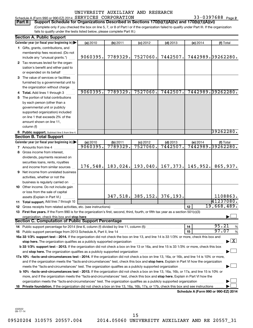### 33-0397688 Page 2 Schedule A (Form 990 or 990-EZ) 2014  $SERVICES$   $CORPORTION$  33-0397688  $Page$

(Complete only if you checked the box on line 5, 7, or 8 of Part I or if the organization failed to qualify under Part III. If the organization **Part II Support Schedule for Organizations Described in Sections 170(b)(1)(A)(iv) and 170(b)(1)(A)(vi)**

fails to qualify under the tests listed below, please complete Part III.)

|    | <b>Section A. Public Support</b>                                                                                                           |          |          |                       |            |          |                                      |
|----|--------------------------------------------------------------------------------------------------------------------------------------------|----------|----------|-----------------------|------------|----------|--------------------------------------|
|    | Calendar year (or fiscal year beginning in)                                                                                                | (a) 2010 | (b) 2011 | $(c)$ 2012            | $(d)$ 2013 | (e) 2014 | (f) Total                            |
|    | 1 Gifts, grants, contributions, and                                                                                                        |          |          |                       |            |          |                                      |
|    | membership fees received. (Do not                                                                                                          |          |          |                       |            |          |                                      |
|    | include any "unusual grants.")                                                                                                             | 9060395. | 7789329. | 7527060.              | 7442507.   |          | 7442989.39262280.                    |
|    | 2 Tax revenues levied for the organ-                                                                                                       |          |          |                       |            |          |                                      |
|    | ization's benefit and either paid to                                                                                                       |          |          |                       |            |          |                                      |
|    | or expended on its behalf                                                                                                                  |          |          |                       |            |          |                                      |
|    | 3 The value of services or facilities                                                                                                      |          |          |                       |            |          |                                      |
|    | furnished by a governmental unit to                                                                                                        |          |          |                       |            |          |                                      |
|    | the organization without charge                                                                                                            |          |          |                       |            |          |                                      |
|    | Total. Add lines 1 through 3                                                                                                               | 9060395. | 7789329. | 7527060.              | 7442507.   |          | 7442989.39262280.                    |
| 5. | The portion of total contributions                                                                                                         |          |          |                       |            |          |                                      |
|    | by each person (other than a                                                                                                               |          |          |                       |            |          |                                      |
|    | governmental unit or publicly                                                                                                              |          |          |                       |            |          |                                      |
|    | supported organization) included                                                                                                           |          |          |                       |            |          |                                      |
|    | on line 1 that exceeds 2% of the                                                                                                           |          |          |                       |            |          |                                      |
|    | amount shown on line 11,                                                                                                                   |          |          |                       |            |          |                                      |
|    | column (f)                                                                                                                                 |          |          |                       |            |          |                                      |
|    | 6 Public support. Subtract line 5 from line 4.                                                                                             |          |          |                       |            |          | 39262280.                            |
|    | <b>Section B. Total Support</b>                                                                                                            |          |          |                       |            |          |                                      |
|    | Calendar year (or fiscal year beginning in)                                                                                                | (a) 2010 | (b) 2011 | $(c)$ 2012            | $(d)$ 2013 | (e) 2014 | (f) Total                            |
|    | 7 Amounts from line 4                                                                                                                      | 9060395. | 7789329  | 7527060               | 7442507    |          | 7442989.39262280.                    |
|    | 8 Gross income from interest,                                                                                                              |          |          |                       |            |          |                                      |
|    | dividends, payments received on                                                                                                            |          |          |                       |            |          |                                      |
|    | securities loans, rents, royalties                                                                                                         |          |          |                       |            |          |                                      |
|    | and income from similar sources                                                                                                            | 176,548. | 183,024. | 193,040.              | 167, 373.  | 145,952. | 865,937.                             |
| 9  | Net income from unrelated business                                                                                                         |          |          |                       |            |          |                                      |
|    | activities, whether or not the                                                                                                             |          |          |                       |            |          |                                      |
|    | business is regularly carried on                                                                                                           |          |          |                       |            |          |                                      |
|    | 10 Other income. Do not include gain                                                                                                       |          |          |                       |            |          |                                      |
|    | or loss from the sale of capital                                                                                                           |          |          |                       |            |          |                                      |
|    | assets (Explain in Part VI.)                                                                                                               |          |          | $347, 518.$ 385, 152. | 376,193.   |          | 1108863.                             |
|    | 11 Total support. Add lines 7 through 10                                                                                                   |          |          |                       |            |          | 41237080.                            |
| 12 | Gross receipts from related activities, etc. (see instructions)                                                                            |          |          |                       |            | 12       | 19,668,489.                          |
|    | 13 First five years. If the Form 990 is for the organization's first, second, third, fourth, or fifth tax year as a section 501(c)(3)      |          |          |                       |            |          |                                      |
|    | organization, check this box and stop here                                                                                                 |          |          |                       |            |          |                                      |
|    | <b>Section C. Computation of Public Support Percentage</b>                                                                                 |          |          |                       |            |          |                                      |
|    |                                                                                                                                            |          |          |                       |            | 14       | 95.21<br>%                           |
|    |                                                                                                                                            |          |          |                       |            | 15       | 97.07<br>$\%$                        |
|    | 16a 33 1/3% support test - 2014. If the organization did not check the box on line 13, and line 14 is 33 1/3% or more, check this box and  |          |          |                       |            |          |                                      |
|    | stop here. The organization qualifies as a publicly supported organization matchinary material content and the                             |          |          |                       |            |          | $\blacktriangleright$ $\mathbf{X}$   |
|    | b 33 1/3% support test - 2013. If the organization did not check a box on line 13 or 16a, and line 15 is 33 1/3% or more, check this box   |          |          |                       |            |          |                                      |
|    |                                                                                                                                            |          |          |                       |            |          |                                      |
|    | 17a 10% -facts-and-circumstances test - 2014. If the organization did not check a box on line 13, 16a, or 16b, and line 14 is 10% or more, |          |          |                       |            |          |                                      |
|    | and if the organization meets the "facts-and-circumstances" test, check this box and stop here. Explain in Part VI how the organization    |          |          |                       |            |          |                                      |
|    | meets the "facts-and-circumstances" test. The organization qualifies as a publicly supported organization <i>manumumumum</i>               |          |          |                       |            |          |                                      |
|    | b 10% -facts-and-circumstances test - 2013. If the organization did not check a box on line 13, 16a, 16b, or 17a, and line 15 is 10% or    |          |          |                       |            |          |                                      |
|    | more, and if the organization meets the "facts-and-circumstances" test, check this box and stop here. Explain in Part VI how the           |          |          |                       |            |          |                                      |
|    | organization meets the "facts-and-circumstances" test. The organization qualifies as a publicly supported organization                     |          |          |                       |            |          |                                      |
| 18 | Private foundation. If the organization did not check a box on line 13, 16a, 16b, 17a, or 17b, check this box and see instructions         |          |          |                       |            |          |                                      |
|    |                                                                                                                                            |          |          |                       |            |          | Schedule A (Form 990 or 990-EZ) 2014 |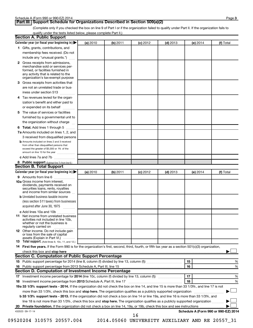### **Part III Support Schedule for Organizations Described in Section 509(a)(2)**

(Complete only if you checked the box on line 9 of Part I or if the organization failed to qualify under Part II. If the organization fails to qualify under the tests listed below, please complete Part II.)

| <b>Section A. Public Support</b>                                                                                                                                                         |          |          |            |            |                                      |           |
|------------------------------------------------------------------------------------------------------------------------------------------------------------------------------------------|----------|----------|------------|------------|--------------------------------------|-----------|
| Calendar year (or fiscal year beginning in)                                                                                                                                              | (a) 2010 | (b) 2011 | $(c)$ 2012 | $(d)$ 2013 | (e) 2014                             | (f) Total |
| 1 Gifts, grants, contributions, and                                                                                                                                                      |          |          |            |            |                                      |           |
| membership fees received. (Do not                                                                                                                                                        |          |          |            |            |                                      |           |
| include any "unusual grants.")                                                                                                                                                           |          |          |            |            |                                      |           |
| 2 Gross receipts from admissions,<br>merchandise sold or services per-<br>formed, or facilities furnished in<br>any activity that is related to the<br>organization's tax-exempt purpose |          |          |            |            |                                      |           |
| 3 Gross receipts from activities that                                                                                                                                                    |          |          |            |            |                                      |           |
| are not an unrelated trade or bus-                                                                                                                                                       |          |          |            |            |                                      |           |
| iness under section 513                                                                                                                                                                  |          |          |            |            |                                      |           |
| 4 Tax revenues levied for the organ-                                                                                                                                                     |          |          |            |            |                                      |           |
| ization's benefit and either paid to                                                                                                                                                     |          |          |            |            |                                      |           |
| or expended on its behalf<br>.                                                                                                                                                           |          |          |            |            |                                      |           |
| 5 The value of services or facilities                                                                                                                                                    |          |          |            |            |                                      |           |
| furnished by a governmental unit to                                                                                                                                                      |          |          |            |            |                                      |           |
| the organization without charge                                                                                                                                                          |          |          |            |            |                                      |           |
| 6 Total. Add lines 1 through 5                                                                                                                                                           |          |          |            |            |                                      |           |
| 7a Amounts included on lines 1, 2, and                                                                                                                                                   |          |          |            |            |                                      |           |
| 3 received from disqualified persons                                                                                                                                                     |          |          |            |            |                                      |           |
| <b>b</b> Amounts included on lines 2 and 3 received<br>from other than disqualified persons that<br>exceed the greater of \$5,000 or 1% of the<br>amount on line 13 for the year         |          |          |            |            |                                      |           |
| c Add lines 7a and 7b                                                                                                                                                                    |          |          |            |            |                                      |           |
| 8 Public support (Subtract line 7c from line 6.)                                                                                                                                         |          |          |            |            |                                      |           |
| <b>Section B. Total Support</b>                                                                                                                                                          |          |          |            |            |                                      |           |
| Calendar year (or fiscal year beginning in)                                                                                                                                              | (a) 2010 | (b) 2011 | $(c)$ 2012 | $(d)$ 2013 | (e) 2014                             | (f) Total |
| 9 Amounts from line 6                                                                                                                                                                    |          |          |            |            |                                      |           |
| <b>10a</b> Gross income from interest,<br>dividends, payments received on<br>securities loans, rents, royalties<br>and income from similar sources                                       |          |          |            |            |                                      |           |
| <b>b</b> Unrelated business taxable income<br>(less section 511 taxes) from businesses                                                                                                   |          |          |            |            |                                      |           |
| acquired after June 30, 1975<br>$\overline{\phantom{a}}$                                                                                                                                 |          |          |            |            |                                      |           |
| c Add lines 10a and 10b                                                                                                                                                                  |          |          |            |            |                                      |           |
| <b>11</b> Net income from unrelated business<br>activities not included in line 10b.<br>whether or not the business is<br>regularly carried on                                           |          |          |            |            |                                      |           |
| 12 Other income. Do not include gain<br>or loss from the sale of capital<br>assets (Explain in Part VI.)                                                                                 |          |          |            |            |                                      |           |
| <b>13</b> Total support. (Add lines 9, 10c, 11, and 12.)                                                                                                                                 |          |          |            |            |                                      |           |
| 14 First five years. If the Form 990 is for the organization's first, second, third, fourth, or fifth tax year as a section 501(c)(3) organization,                                      |          |          |            |            |                                      |           |
| check this box and stop here                                                                                                                                                             |          |          |            |            |                                      |           |
| <b>Section C. Computation of Public Support Percentage</b>                                                                                                                               |          |          |            |            |                                      |           |
|                                                                                                                                                                                          |          |          |            |            | 15                                   | %         |
|                                                                                                                                                                                          |          |          |            |            | 16                                   | %         |
| Section D. Computation of Investment Income Percentage                                                                                                                                   |          |          |            |            |                                      |           |
|                                                                                                                                                                                          |          |          |            |            | 17                                   | %         |
| 18 Investment income percentage from 2013 Schedule A, Part III, line 17                                                                                                                  |          |          |            |            | 18                                   | %         |
| 19a 33 1/3% support tests - 2014. If the organization did not check the box on line 14, and line 15 is more than 33 1/3%, and line 17 is not                                             |          |          |            |            |                                      |           |
| more than 33 1/3%, check this box and stop here. The organization qualifies as a publicly supported organization                                                                         |          |          |            |            |                                      |           |
| b 33 1/3% support tests - 2013. If the organization did not check a box on line 14 or line 19a, and line 16 is more than 33 1/3%, and                                                    |          |          |            |            |                                      |           |
| line 18 is not more than 33 1/3%, check this box and stop here. The organization qualifies as a publicly supported organization <i></i>                                                  |          |          |            |            |                                      |           |
|                                                                                                                                                                                          |          |          |            |            |                                      |           |
| 432023 09-17-14                                                                                                                                                                          |          |          | 16         |            | Schedule A (Form 990 or 990-EZ) 2014 |           |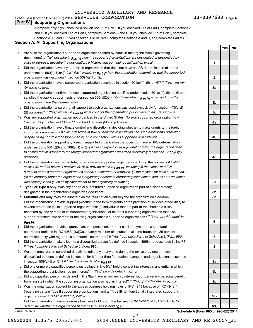# **Part IV Supporting Organizations**

(Complete only if you checked a box on line 11 of Part I. If you checked 11a of Part I, complete Sections A and B. If you checked 11b of Part I, complete Sections A and C. If you checked 11c of Part I, complete Sections A, D, and E. If you checked 11d of Part I, complete Sections A and D, and complete Part V.)

### **Section A. All Supporting Organizations**

- **1** Are all of the organization's supported organizations listed by name in the organization's governing documents? If "No" describe in  $_{\mathsf{Part}}$   $_{\mathsf{V}}$  how the supported organizations are designated. If designated by *class or purpose, describe the designation. If historic and continuing relationship, explain.*
- **2** Did the organization have any supported organization that does not have an IRS determination of status under section 509(a)(1) or (2)? If "Yes," explain in  $_{\sf Part}$   $_{\sf VI}$  how the organization determined that the supported *organization was described in section 509(a)(1) or (2).*
- **3a** Did the organization have a supported organization described in section 501(c)(4), (5), or (6)? If "Yes," answer *(b) and (c) below.*
- **b** Did the organization confirm that each supported organization qualified under section 501(c)(4), (5), or (6) and satisfied the public support tests under section 509(a)(2)? If "Yes," describe in  $_{\rm Part}$   $_{\rm VI}$  when and how the *organization made the determination.*
- **c** Did the organization ensure that all support to such organizations was used exclusively for section 170(c)(2) (B) purposes? If "Yes," explain in  $_{\mathsf{Part}}$   $_{\mathsf{V}}$  what controls the organization put in place to ensure such use.
- **4 a** *If* Was any supported organization not organized in the United States ("foreign supported organization")? *"Yes" and if you checked 11a or 11b in Part I, answer (b) and (c) below.*
- **b** Did the organization have ultimate control and discretion in deciding whether to make grants to the foreign supported organization? If "Yes," describe in Part VI how the organization had such control and discretion *despite being controlled or supervised by or in connection with its supported organizations.*
- **c** Did the organization support any foreign supported organization that does not have an IRS determination under sections 501(c)(3) and 509(a)(1) or (2)? If "Yes," ex*plain in*  $_{\sf Part}$  *v*J what controls the organization used *to ensure that all support to the foreign supported organization was used exclusively for section 170(c)(2)(B) purposes.*
- **5a** Did the organization add, substitute, or remove any supported organizations during the tax year? If "Yes," answer (b) and (c) below (if applicable). Also, provide detail in  $_{\mathsf{Part}}$   $_{\mathsf{V{\mathsf{I}}}}$ , including (i) the names and EIN *numbers of the supported organizations added, substituted, or removed, (ii) the reasons for each such action, (iii) the authority under the organization's organizing document authorizing such action, and (iv) how the action was accomplished (such as by amendment to the organizing document).*
- **b** Type I or Type II only. Was any added or substituted supported organization part of a class already designated in the organization's organizing document?
- **c Substitutions only.**  Was the substitution the result of an event beyond the organization's control?
- **6** Did the organization provide support (whether in the form of grants or the provision of services or facilities) to support or benefit one or more of the filing organization's supported organizations? If "Yes," provide detail in anyone other than (a) its supported organizations; (b) individuals that are part of the charitable class benefited by one or more of its supported organizations; or (c) other supporting organizations that also *Part VI.*
- **7** Did the organization provide a grant, loan, compensation, or other similar payment to a substantial controlled entity with regard to a substantial contributor? If "Yes," complete Part I of Schedule L (Form 990). contributor (defined in IRC 4958(c)(3)(C)), a family member of a substantial contributor, or a 35-percent
- **8** Did the organization make a loan to a disqualified person (as defined in section 4958) not described in line 7? *If "Yes," complete Part I of Schedule L (Form 990).*
- **9 a** Was the organization controlled directly or indirectly at any time during the tax year by one or more *If "Yes," provide detail in*  in section 509(a)(1) or (2))? *Part VI.* disqualified persons as defined in section 4946 (other than foundation managers and organizations described
- **b** Did one or more disqualified persons (as defined in line 9(a)) hold a controlling interest in any entity in which  *If "Yes," provide detail in*  the supporting organization had an interest? *Part VI.*
- **c** Did a disqualified person (as defined in line 9(a)) have an ownership interest in, or derive any personal benefit from, assets in which the supporting organization also had an interest? If "Yes," *provide detail in Part VI.*
- **10 a** Was the organization subject to the excess business holdings rules of IRC 4943 because of IRC 4943(f)  *If "Yes," answer (b) below.* organizations)? (regarding certain Type II supporting organizations, and all Type III non-functionally integrated supporting
	- **b** Did the organization have any excess business holdings in the tax year? (Use Schedule C, Form 4720, to *determine whether the organization had excess business holdings.)*

432024 09-17-14

**Schedule A (Form 990 or 990-EZ) 2014**

**10b**

17

33-0397688 Page 4 Schedule A (Form 990 or 990-EZ) 2014  $SERVICES$   $CORPORTION$  33-0397688  $Page$ 

**Yes No**

**1 2 3a 3b 3c 4a 4b 4c 5a 5b 5c 6 7 8 9a 9b 9c 10a**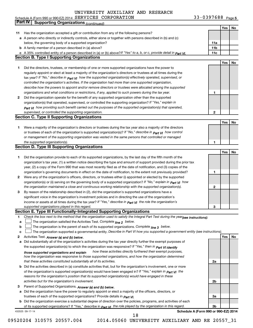|  | Schedule A (Form 990 or 990-EZ) 2014 SERVICES CORPORATION |  | 33-0397688<br>Page 5 |  |
|--|-----------------------------------------------------------|--|----------------------|--|
|--|-----------------------------------------------------------|--|----------------------|--|

|    | Part IV<br><b>Supporting Organizations (continued)</b>                                                                           |                 |     |    |
|----|----------------------------------------------------------------------------------------------------------------------------------|-----------------|-----|----|
|    |                                                                                                                                  |                 | Yes | No |
| 11 | Has the organization accepted a gift or contribution from any of the following persons?                                          |                 |     |    |
|    | a A person who directly or indirectly controls, either alone or together with persons described in (b) and (c)                   |                 |     |    |
|    | below, the governing body of a supported organization?                                                                           | 11a             |     |    |
|    | <b>b</b> A family member of a person described in (a) above?                                                                     | 11 <sub>b</sub> |     |    |
|    | c A 35% controlled entity of a person described in (a) or (b) above?If "Yes" to a, b, or c, provide detail in Part VI.           | 11c             |     |    |
|    | <b>Section B. Type I Supporting Organizations</b>                                                                                |                 |     |    |
|    |                                                                                                                                  |                 | Yes | No |
|    |                                                                                                                                  |                 |     |    |
| 1  | Did the directors, trustees, or membership of one or more supported organizations have the power to                              |                 |     |    |
|    | regularly appoint or elect at least a majority of the organization's directors or trustees at all times during the               |                 |     |    |
|    | tax year? If "No," describe in $P_{art}$ $V_I$ how the supported organization(s) effectively operated, supervised, or            |                 |     |    |
|    | controlled the organization's activities. If the organization had more than one supported organization,                          |                 |     |    |
|    | describe how the powers to appoint and/or remove directors or trustees were allocated among the supported                        |                 |     |    |
|    | organizations and what conditions or restrictions, if any, applied to such powers during the tax year.                           | 1               |     |    |
| 2  | Did the organization operate for the benefit of any supported organization other than the supported                              |                 |     |    |
|    | organization(s) that operated, supervised, or controlled the supporting organization? If "Yes," explain in                       |                 |     |    |
|    | $_{Part}$ v <sub>I</sub> how providing such benefit carried out the purposes of the supported organization(s) that operated,     |                 |     |    |
|    | supervised, or controlled the supporting organization.                                                                           | 2               |     |    |
|    | <b>Section C. Type II Supporting Organizations</b>                                                                               |                 |     |    |
|    |                                                                                                                                  |                 | Yes | No |
| 1. | Were a majority of the organization's directors or trustees during the tax year also a majority of the directors                 |                 |     |    |
|    | or trustees of each of the organization's supported organization(s)? If "No," describe in <b>Part VI</b> how control             |                 |     |    |
|    | or management of the supporting organization was vested in the same persons that controlled or managed                           |                 |     |    |
|    | the supported organization(s).                                                                                                   | 1               |     |    |
|    | <b>Section D. Type III Supporting Organizations</b>                                                                              |                 |     |    |
|    |                                                                                                                                  |                 | Yes | No |
| 1  | Did the organization provide to each of its supported organizations, by the last day of the fifth month of the                   |                 |     |    |
|    | organization's tax year, (1) a written notice describing the type and amount of support provided during the prior tax            |                 |     |    |
|    | year, (2) a copy of the Form 990 that was most recently filed as of the date of notification, and (3) copies of the              |                 |     |    |
|    | organization's governing documents in effect on the date of notification, to the extent not previously provided?                 | 1               |     |    |
| 2  | Were any of the organization's officers, directors, or trustees either (i) appointed or elected by the supported                 |                 |     |    |
|    | organization(s) or (ii) serving on the governing body of a supported organization? If "No," explain in part VI how               |                 |     |    |
|    | the organization maintained a close and continuous working relationship with the supported organization(s).                      | $\mathbf{2}$    |     |    |
|    | By reason of the relationship described in (2), did the organization's supported organizations have a                            |                 |     |    |
| 3  |                                                                                                                                  |                 |     |    |
|    | significant voice in the organization's investment policies and in directing the use of the organization's                       |                 |     |    |
|    | income or assets at all times during the tax year? If "Yes," describe in $P_{\text{art } VI}$ the role the organization's        |                 |     |    |
|    | supported organizations played in this regard.                                                                                   | з               |     |    |
|    | Section E. Type III Functionally-Integrated Supporting Organizations                                                             |                 |     |    |
| 1  | Check the box next to the method that the organization used to satisfy the Integral Part Test during the year(see instructions): |                 |     |    |
| a  | The organization satisfied the Activities Test. Complete line 2 below.                                                           |                 |     |    |
| b  | The organization is the parent of each of its supported organizations. Complete $_{\text{line 3}}$ below.                        |                 |     |    |
| c  | The organization supported a governmental entity. Describe in Part VI how you supported a government entity (see instructions).  |                 |     |    |
| 2  | Activities Test. Answer (a) and (b) below.                                                                                       |                 | Yes | No |
| а  | Did substantially all of the organization's activities during the tax year directly further the exempt purposes of               |                 |     |    |
|    | the supported organization(s) to which the organization was responsive? If "Yes," then in Part VI identify                       |                 |     |    |
|    | how these activities directly furthered their exempt purposes,<br>those supported organizations and explain                      |                 |     |    |
|    | how the organization was responsive to those supported organizations, and how the organization determined                        |                 |     |    |
|    | that these activities constituted substantially all of its activities.                                                           | 2a              |     |    |
|    | b Did the activities described in (a) constitute activities that, but for the organization's involvement, one or more            |                 |     |    |
|    | of the organization's supported organization(s) would have been engaged in? If "Yes," explain in <b>Part VI</b> the              |                 |     |    |
|    | reasons for the organization's position that its supported organization(s) would have engaged in these                           |                 |     |    |
|    | activities but for the organization's involvement.                                                                               | 2b              |     |    |
| З  | Parent of Supported Organizations. Answer (a) and (b) below.                                                                     |                 |     |    |
| а  | Did the organization have the power to regularly appoint or elect a majority of the officers, directors, or                      |                 |     |    |
|    | trustees of each of the supported organizations? Provide details in <i>Part VI.</i>                                              | За              |     |    |
|    | <b>b</b> Did the organization exercise a substantial degree of direction over the policies, programs, and activities of each     |                 |     |    |
|    | of its supported organizations? If "Yes," describe in $P_{\text{BIT}}$ $y_1$ the role played by the organization in this regard. | 3b              |     |    |
|    | Schedule A (Form 990 or 990-EZ) 2014<br>432025 09-17-14                                                                          |                 |     |    |
|    | 18                                                                                                                               |                 |     |    |

<sup>09520204 310575 20557.004 2014.05060</sup> UNIVERSITY AUXILIARY AND RE 20557\_31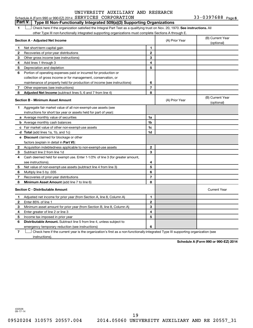### 1  $\Box$  Check here if the organization satisfied the Integral Part Test as a qualifying trust on Nov. 20, 1970. See instructions. All **Section A - Adjusted Net Income 1 2 3 4 5 6 7 8 1 2 3 4 5 6 7 Adjusted Net Income** (subtract lines 5, 6 and 7 from line 4) **8 8 Section B - Minimum Asset Amount 1 2 3 4 5 6 7 8 a** Average monthly value of securities **b** Average monthly cash balances **c** Fair market value of other non-exempt-use assets **d Total**  (add lines 1a, 1b, and 1c) **e Discount** claimed for blockage or other **1a 1b 1c 1d 2 3 4 5 6 7 8** factors (explain in detail in Part VI): **Minimum Asset Amount**  (add line 7 to line 6) **Section C - Distributable Amount 1 2 3 4 5 6 1 2 3 4 5 6** Distributable Amount. Subtract line 5 from line 4, unless subject to Schedule A (Form 990 or 990-EZ) 2014  $SERVICES$   $CORPORTION$  33-0397688  $Page$ other Type III non-functionally integrated supporting organizations must complete Sections A through E. (B) Current Year (A) Prior Year  $\left\{\n\begin{array}{ccc}\n\text{(b) common} \\
\text{(c) common} \\
\text{(c) rational)}\n\end{array}\n\right\}$ Net short-term capital gain Recoveries of prior-year distributions Other gross income (see instructions) Add lines 1 through 3 Depreciation and depletion Portion of operating expenses paid or incurred for production or collection of gross income or for management, conservation, or maintenance of property held for production of income (see instructions) Other expenses (see instructions) (B) Current Year (A) Prior Year (b) Current 1 Aggregate fair market value of all non-exempt-use assets (see instructions for short tax year or assets held for part of year): Acquisition indebtedness applicable to non-exempt-use assets Subtract line 2 from line 1d Cash deemed held for exempt use. Enter 1-1/2% of line 3 (for greater amount, see instructions). Net value of non-exempt-use assets (subtract line 4 from line 3) Multiply line 5 by .035 Recoveries of prior-year distributions Current Year Adjusted net income for prior year (from Section A, line 8, Column A) Enter 85% of line 1 Minimum asset amount for prior year (from Section B, line 8, Column A) Enter greater of line 2 or line 3 Income tax imposed in prior year emergency temporary reduction (see instructions) **Part V Type III Non-Functionally Integrated 509(a)(3) Supporting Organizations**   $\Box$

**7** Check here if the current year is the organization's first as a non-functionally-integrated Type III supporting organization (see † instructions).

**Schedule A (Form 990 or 990-EZ) 2014**

432026 09-17-14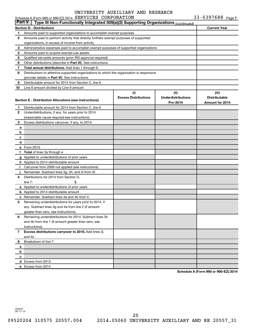|           | Schedule A (Form 990 or 990-EZ) 2014 SERVICES CORPORATION                                  |                             |                           | 33-0397688 $_{Page 7}$ |
|-----------|--------------------------------------------------------------------------------------------|-----------------------------|---------------------------|------------------------|
| ∣ Part V∣ | Type III Non-Functionally Integrated 509(a)(3) Supporting Organizations (continued)        |                             |                           |                        |
|           | <b>Section D - Distributions</b>                                                           |                             |                           | <b>Current Year</b>    |
| 1         | Amounts paid to supported organizations to accomplish exempt purposes                      |                             |                           |                        |
| 2         | Amounts paid to perform activity that directly furthers exempt purposes of supported       |                             |                           |                        |
|           | organizations, in excess of income from activity                                           |                             |                           |                        |
| з         | Administrative expenses paid to accomplish exempt purposes of supported organizations      |                             |                           |                        |
| 4         | Amounts paid to acquire exempt-use assets                                                  |                             |                           |                        |
| 5         | Qualified set-aside amounts (prior IRS approval required)                                  |                             |                           |                        |
| 6         | Other distributions (describe in Part VI). See instructions.                               |                             |                           |                        |
| 7         | Total annual distributions. Add lines 1 through 6.                                         |                             |                           |                        |
| 8         | Distributions to attentive supported organizations to which the organization is responsive |                             |                           |                        |
|           | (provide details in Part VI). See instructions.                                            |                             |                           |                        |
| 9         | Distributable amount for 2014 from Section C, line 6                                       |                             |                           |                        |
| 10        | Line 8 amount divided by Line 9 amount                                                     |                             |                           |                        |
|           |                                                                                            | (i)                         | (ii)                      | (iii)                  |
|           |                                                                                            | <b>Excess Distributions</b> | <b>Underdistributions</b> | <b>Distributable</b>   |
|           | Section E - Distribution Allocations (see instructions)                                    |                             | Pre-2014                  | Amount for 2014        |
| 1.        | Distributable amount for 2014 from Section C, line 6                                       |                             |                           |                        |
| 2         | Underdistributions, if any, for years prior to 2014                                        |                             |                           |                        |
|           | (reasonable cause required-see instructions)                                               |                             |                           |                        |
| 3         | Excess distributions carryover, if any, to 2014:                                           |                             |                           |                        |
| a         |                                                                                            |                             |                           |                        |
| b         |                                                                                            |                             |                           |                        |
| c         |                                                                                            |                             |                           |                        |
| d         |                                                                                            |                             |                           |                        |
|           | e From 2013                                                                                |                             |                           |                        |
| f         | <b>Total</b> of lines 3a through e                                                         |                             |                           |                        |
|           | g Applied to underdistributions of prior years                                             |                             |                           |                        |
|           | <b>h</b> Applied to 2014 distributable amount                                              |                             |                           |                        |
| Ť.        | Carryover from 2009 not applied (see instructions)                                         |                             |                           |                        |
|           | Remainder. Subtract lines 3g, 3h, and 3i from 3f.                                          |                             |                           |                        |
| 4         | Distributions for 2014 from Section D,                                                     |                             |                           |                        |
|           | line $7:$                                                                                  |                             |                           |                        |
|           | a Applied to underdistributions of prior years                                             |                             |                           |                        |
|           | <b>b</b> Applied to 2014 distributable amount                                              |                             |                           |                        |
|           | c Remainder. Subtract lines 4a and 4b from 4.                                              |                             |                           |                        |
|           | Remaining underdistributions for years prior to 2014, if                                   |                             |                           |                        |
|           | any. Subtract lines 3g and 4a from line 2 (if amount                                       |                             |                           |                        |
|           | greater than zero, see instructions).                                                      |                             |                           |                        |
| 6         | Remaining underdistributions for 2014. Subtract lines 3h                                   |                             |                           |                        |
|           | and 4b from line 1 (if amount greater than zero, see                                       |                             |                           |                        |
|           | instructions).                                                                             |                             |                           |                        |
| 7         | Excess distributions carryover to 2015. Add lines 3j                                       |                             |                           |                        |
|           | and 4c.                                                                                    |                             |                           |                        |
| 8         | Breakdown of line 7:                                                                       |                             |                           |                        |
| а         |                                                                                            |                             |                           |                        |
| b         |                                                                                            |                             |                           |                        |
| c         |                                                                                            |                             |                           |                        |
|           | d Excess from 2013                                                                         |                             |                           |                        |
|           | e Excess from 2014                                                                         |                             |                           |                        |
|           |                                                                                            |                             |                           |                        |

**Schedule A (Form 990 or 990-EZ) 2014**

432027 09-17-14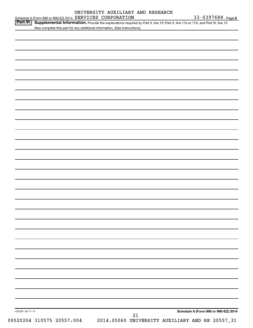| Part VI Supplemental Information. Provide the explanations required by Part II, line 10; Part II, line 17a or 17b; and Part III, line 12 |  |
|------------------------------------------------------------------------------------------------------------------------------------------|--|
| Also complete this part for any additional information. (See instructions).                                                              |  |

| 432028 09-17-14 | $21\,$ | Schedule A (Form 990 or 990-EZ) 2014 |
|-----------------|--------|--------------------------------------|
|                 |        |                                      |
|                 |        |                                      |
|                 |        |                                      |
|                 |        |                                      |
|                 |        |                                      |
|                 |        |                                      |
|                 |        |                                      |
|                 |        |                                      |
|                 |        |                                      |
|                 |        |                                      |
|                 |        |                                      |
|                 |        |                                      |
|                 |        |                                      |
|                 |        |                                      |
|                 |        |                                      |
|                 |        |                                      |
|                 |        |                                      |
|                 |        |                                      |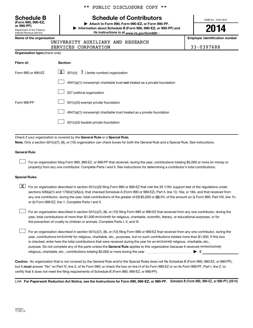Department of the Treasury Internal Revenue Service **(Form 990, 990-EZ,** \*\* PUBLIC DISCLOSURE COPY \*\*

# **Schedule B Schedule of Contributors**

**or 990-PF) | Attach to Form 990, Form 990-EZ, or Form 990-PF. | Information about Schedule B (Form 990, 990-EZ, or 990-PF) and** its instructions is at <sub>www.irs.gov/form990  $\cdot$ </sub>

OMB No. 1545-0047

# **2014**

**Name of the organization Employer identification number**

|  | UNIVERSITY AUXILIARY AND RESEARCH |  |
|--|-----------------------------------|--|
|  |                                   |  |

| SERVICES CORPORATION | 33-0397688 |
|----------------------|------------|
|----------------------|------------|

| Organization type (check one): |
|--------------------------------|
|                                |

| Filers of:         | Section:                                                                           |
|--------------------|------------------------------------------------------------------------------------|
| Form 990 or 990-EZ | $\underline{\mathbf{X}}$ 501(c)( 3) (enter number) organization                    |
|                    | $4947(a)(1)$ nonexempt charitable trust <b>not</b> treated as a private foundation |
|                    | 527 political organization                                                         |
| Form 990-PF        | 501(c)(3) exempt private foundation                                                |
|                    | 4947(a)(1) nonexempt charitable trust treated as a private foundation              |
|                    | 501(c)(3) taxable private foundation                                               |

Check if your organization is covered by the General Rule or a Special Rule.

**Note.**  Only a section 501(c)(7), (8), or (10) organization can check boxes for both the General Rule and a Special Rule. See instructions.

### **General Rule**

 $\Box$ 

For an organization filing Form 990, 990-EZ, or 990-PF that received, during the year, contributions totaling \$5,000 or more (in money or property) from any one contributor. Complete Parts I and II. See instructions for determining a contributor's total contributions.

### **Special Rules**

any one contributor, during the year, total contributions of the greater of **(1)** \$5,000 or **(2)** 2% of the amount on (i) Form 990, Part VIII, line 1h,  $\boxed{\text{X}}$  For an organization described in section 501(c)(3) filing Form 990 or 990-EZ that met the 33 1/3% support test of the regulations under sections 509(a)(1) and 170(b)(1)(A)(vi), that checked Schedule A (Form 990 or 990-EZ), Part II, line 13, 16a, or 16b, and that received from or (ii) Form 990-EZ, line 1. Complete Parts I and II.

year, total contributions of more than \$1,000 *exclusively* for religious, charitable, scientific, literary, or educational purposes, or for For an organization described in section 501(c)(7), (8), or (10) filing Form 990 or 990-EZ that received from any one contributor, during the the prevention of cruelty to children or animals. Complete Parts I, II, and III.  $\Box$ 

purpose. Do not complete any of the parts unless the General Rule applies to this organization because it received nonexclusively year, contributions exclusively for religious, charitable, etc., purposes, but no such contributions totaled more than \$1,000. If this box is checked, enter here the total contributions that were received during the year for an exclusively religious, charitable, etc., For an organization described in section 501(c)(7), (8), or (10) filing Form 990 or 990-EZ that received from any one contributor, during the religious, charitable, etc., contributions totaling \$5,000 or more during the year  $\ldots$  $\ldots$  $\ldots$  $\ldots$  $\ldots$  $\ldots$  $\Box$ 

**Caution.** An organization that is not covered by the General Rule and/or the Special Rules does not file Schedule B (Form 990, 990-EZ, or 990-PF),  **must** but it answer "No" on Part IV, line 2, of its Form 990; or check the box on line H of its Form 990-EZ or on its Form 990-PF, Part I, line 2, to certify that it does not meet the filing requirements of Schedule B (Form 990, 990-EZ, or 990-PF).

LHA For Paperwork Reduction Act Notice, see the Instructions for Form 990, 990-EZ, or 990-PF. Schedule B (Form 990, 990-EZ, or 990-PF) (2014)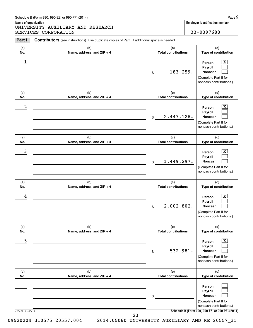### Schedule B (Form 990, 990-EZ, or 990-PF) (2014)

**Name of organization Employer identification number** UNIVERSITY AUXILIARY AND RESEARCH SERVICES CORPORATION 33-0397688

| Part I           | Contributors (see instructions). Use duplicate copies of Part I if additional space is needed. |                                          |                                                                                       |
|------------------|------------------------------------------------------------------------------------------------|------------------------------------------|---------------------------------------------------------------------------------------|
| (a)<br>No.       | (b)<br>Name, address, and ZIP + 4                                                              | (c)<br><b>Total contributions</b>        | (d)<br>Type of contribution                                                           |
| $\mathbf 1$      |                                                                                                | 183,259.<br>$\,$                         | x<br>Person<br>Payroll<br>Noncash<br>(Complete Part II for<br>noncash contributions.) |
| (a)<br>No.       | (b)<br>Name, address, and ZIP + 4                                                              | (c)<br><b>Total contributions</b>        | (d)<br>Type of contribution                                                           |
| $\boldsymbol{2}$ |                                                                                                | 2,447,128.<br>$\boldsymbol{\mathsf{\$}}$ | x<br>Person<br>Payroll<br>Noncash<br>(Complete Part II for<br>noncash contributions.) |
| (a)<br>No.       | (b)<br>Name, address, and ZIP + 4                                                              | (c)<br><b>Total contributions</b>        | (d)<br>Type of contribution                                                           |
| 3                |                                                                                                | 1,449,297.<br>$\boldsymbol{\mathsf{\$}}$ | x<br>Person<br>Payroll<br>Noncash<br>(Complete Part II for<br>noncash contributions.) |
| (a)<br>No.       | (b)<br>Name, address, and ZIP + 4                                                              | (c)<br><b>Total contributions</b>        | (d)<br>Type of contribution                                                           |
| 4                |                                                                                                | 2,002,802.<br>$\$$                       | Person<br>Payroll<br>Noncash<br>(Complete Part II for<br>noncash contributions.)      |
| (a)<br>No.       | (b)<br>Name, address, and ZIP + 4                                                              | (c)<br><b>Total contributions</b>        | (d)<br>Type of contribution                                                           |
| 5                |                                                                                                | 532,981.<br>\$                           | Person<br>Payroll<br>Noncash<br>(Complete Part II for<br>noncash contributions.)      |
| (a)<br>No.       | (b)<br>Name, address, and ZIP + 4                                                              | (c)<br><b>Total contributions</b>        | (d)<br>Type of contribution                                                           |
|                  |                                                                                                | \$                                       | Person<br>Payroll<br>Noncash<br>(Complete Part II for<br>noncash contributions.)      |
| 423452 11-05-14  | 23                                                                                             |                                          | Schedule B (Form 990, 990-EZ, or 990-PF) (2014)                                       |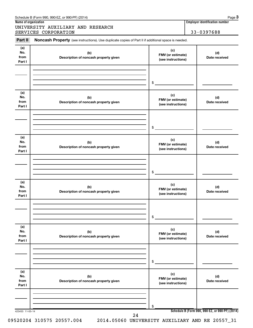| Schedule B (Form 990, 990-EZ, or 990-PF) (2014) | Page |
|-------------------------------------------------|------|
|                                                 |      |

UNIVERSITY AUXILIARY AND RESEARCH SERVICES CORPORATION 33-0397688

### Part II Noncash Property (see instructions). Use duplicate copies of Part II if additional space is needed.

| (a)<br>No.<br>from<br>Part I | (b)<br>Description of noncash property given | (c)<br>FMV (or estimate)<br>(see instructions) | (d)<br>Date received |
|------------------------------|----------------------------------------------|------------------------------------------------|----------------------|
|                              |                                              |                                                |                      |
|                              |                                              | \$                                             |                      |
| (a)<br>No.<br>from<br>Part I | (b)<br>Description of noncash property given | (c)<br>FMV (or estimate)<br>(see instructions) | (d)<br>Date received |
|                              |                                              | \$                                             |                      |
| (a)<br>No.<br>from<br>Part I | (b)<br>Description of noncash property given | (c)<br>FMV (or estimate)<br>(see instructions) | (d)<br>Date received |
|                              |                                              | \$                                             |                      |
| (a)<br>No.<br>from<br>Part I | (b)<br>Description of noncash property given | (c)<br>FMV (or estimate)<br>(see instructions) | (d)<br>Date received |
|                              |                                              | \$                                             |                      |
| (a)<br>No.<br>from<br>Part I | (b)<br>Description of noncash property given | (c)<br>FMV (or estimate)<br>(see instructions) | (d)<br>Date received |
|                              |                                              | \$                                             |                      |
| (a)<br>No.<br>from<br>Part I | (b)<br>Description of noncash property given | (c)<br>FMV (or estimate)<br>(see instructions) | (d)<br>Date received |
|                              |                                              |                                                |                      |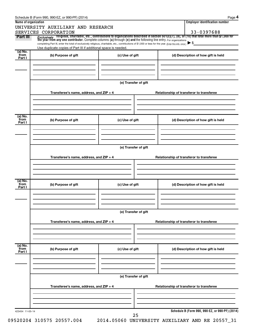| Name of organization | UNIVERSITY AUXILIARY AND RESEARCH                                                                                                                        |                      | <b>Employer identification number</b>                                                                                                                                                                                                                               |
|----------------------|----------------------------------------------------------------------------------------------------------------------------------------------------------|----------------------|---------------------------------------------------------------------------------------------------------------------------------------------------------------------------------------------------------------------------------------------------------------------|
| Part III             | SERVICES CORPORATION                                                                                                                                     |                      | 33-0397688                                                                                                                                                                                                                                                          |
|                      | completing Part III, enter the total of exclusively religious, charitable, etc., contributions of \$1,000 or less for the year. (Enter this info. once.) |                      | <i>Exclusively</i> religious, charitable, etc., contributions to organizations described in section 501(c)(7), (8), or (10) that total more than \$1,000 for<br>the year from any one contributor. Complete columns (a) through (e) and<br>$\blacktriangleright$ \$ |
|                      | Use duplicate copies of Part III if additional space is needed.                                                                                          |                      |                                                                                                                                                                                                                                                                     |
| (a) No.<br>from      | (b) Purpose of gift                                                                                                                                      | (c) Use of gift      | (d) Description of how gift is held                                                                                                                                                                                                                                 |
| Part I               |                                                                                                                                                          |                      |                                                                                                                                                                                                                                                                     |
|                      |                                                                                                                                                          |                      |                                                                                                                                                                                                                                                                     |
|                      |                                                                                                                                                          | (e) Transfer of gift |                                                                                                                                                                                                                                                                     |
|                      | Transferee's name, address, and ZIP + 4                                                                                                                  |                      | Relationship of transferor to transferee                                                                                                                                                                                                                            |
|                      |                                                                                                                                                          |                      |                                                                                                                                                                                                                                                                     |
| (a) No.<br>from      | (b) Purpose of gift                                                                                                                                      | (c) Use of gift      | (d) Description of how gift is held                                                                                                                                                                                                                                 |
| Part I               |                                                                                                                                                          |                      |                                                                                                                                                                                                                                                                     |
|                      |                                                                                                                                                          |                      |                                                                                                                                                                                                                                                                     |
|                      |                                                                                                                                                          | (e) Transfer of gift |                                                                                                                                                                                                                                                                     |
|                      | Transferee's name, address, and ZIP + 4                                                                                                                  |                      | Relationship of transferor to transferee                                                                                                                                                                                                                            |
|                      |                                                                                                                                                          |                      |                                                                                                                                                                                                                                                                     |
| (a) No.              |                                                                                                                                                          |                      |                                                                                                                                                                                                                                                                     |
| from<br>Part I       | (b) Purpose of gift                                                                                                                                      | (c) Use of gift      | (d) Description of how gift is held                                                                                                                                                                                                                                 |
|                      |                                                                                                                                                          |                      |                                                                                                                                                                                                                                                                     |
|                      |                                                                                                                                                          | (e) Transfer of gift |                                                                                                                                                                                                                                                                     |
|                      | Transferee's name, address, and ZIP + 4                                                                                                                  |                      | Relationship of transferor to transferee                                                                                                                                                                                                                            |
|                      |                                                                                                                                                          |                      |                                                                                                                                                                                                                                                                     |
| (a) No.<br>from      |                                                                                                                                                          |                      |                                                                                                                                                                                                                                                                     |
| Part I               | (b) Purpose of gift                                                                                                                                      | (c) Use of gift      | (d) Description of how gift is held                                                                                                                                                                                                                                 |
|                      |                                                                                                                                                          |                      |                                                                                                                                                                                                                                                                     |
|                      |                                                                                                                                                          | (e) Transfer of gift |                                                                                                                                                                                                                                                                     |
|                      | Transferee's name, address, and ZIP + 4                                                                                                                  |                      | Relationship of transferor to transferee                                                                                                                                                                                                                            |
|                      |                                                                                                                                                          |                      |                                                                                                                                                                                                                                                                     |
|                      |                                                                                                                                                          |                      | Schedule B (Form 990, 990-EZ, or 990-PF) (2014)                                                                                                                                                                                                                     |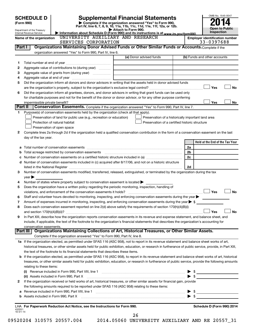|                                                                                                                                                                                                                                                   | <b>SCHEDULE D</b><br>(Form 990) | OMB No. 1545-0047                                                                                      |                                                                                                                                                                                                                                                                                                            |                          |                                 |  |  |  |
|---------------------------------------------------------------------------------------------------------------------------------------------------------------------------------------------------------------------------------------------------|---------------------------------|--------------------------------------------------------------------------------------------------------|------------------------------------------------------------------------------------------------------------------------------------------------------------------------------------------------------------------------------------------------------------------------------------------------------------|--------------------------|---------------------------------|--|--|--|
| Part IV, line 6, 7, 8, 9, 10, 11a, 11b, 11c, 11d, 11e, 11f, 12a, or 12b.<br><b>Open to Public</b><br>Attach to Form 990.<br>Department of the Treasury<br>Information about Schedule D (Form 990) and its instructions is at www.irs.gov/form990. |                                 |                                                                                                        |                                                                                                                                                                                                                                                                                                            |                          |                                 |  |  |  |
|                                                                                                                                                                                                                                                   | Internal Revenue Service        | UNIVERSITY AUXILIARY AND RESEARCH                                                                      |                                                                                                                                                                                                                                                                                                            |                          | Inspection                      |  |  |  |
|                                                                                                                                                                                                                                                   | Name of the organization        |                                                                                                        | <b>Employer identification number</b><br>33-0397688                                                                                                                                                                                                                                                        |                          |                                 |  |  |  |
| Part I                                                                                                                                                                                                                                            |                                 | SERVICES CORPORATION                                                                                   | Organizations Maintaining Donor Advised Funds or Other Similar Funds or Accounts. Complete if the                                                                                                                                                                                                          |                          |                                 |  |  |  |
|                                                                                                                                                                                                                                                   |                                 | organization answered "Yes" to Form 990, Part IV, line 6.                                              |                                                                                                                                                                                                                                                                                                            |                          |                                 |  |  |  |
|                                                                                                                                                                                                                                                   |                                 |                                                                                                        | (a) Donor advised funds                                                                                                                                                                                                                                                                                    |                          | (b) Funds and other accounts    |  |  |  |
| 1                                                                                                                                                                                                                                                 |                                 |                                                                                                        |                                                                                                                                                                                                                                                                                                            |                          |                                 |  |  |  |
| 2                                                                                                                                                                                                                                                 |                                 | Aggregate value of contributions to (during year)                                                      |                                                                                                                                                                                                                                                                                                            |                          |                                 |  |  |  |
| з                                                                                                                                                                                                                                                 |                                 |                                                                                                        |                                                                                                                                                                                                                                                                                                            |                          |                                 |  |  |  |
| 4                                                                                                                                                                                                                                                 |                                 |                                                                                                        |                                                                                                                                                                                                                                                                                                            |                          |                                 |  |  |  |
| 5                                                                                                                                                                                                                                                 |                                 |                                                                                                        | Did the organization inform all donors and donor advisors in writing that the assets held in donor advised funds                                                                                                                                                                                           |                          |                                 |  |  |  |
|                                                                                                                                                                                                                                                   |                                 |                                                                                                        |                                                                                                                                                                                                                                                                                                            |                          | Yes<br><b>No</b>                |  |  |  |
| 6                                                                                                                                                                                                                                                 |                                 |                                                                                                        | Did the organization inform all grantees, donors, and donor advisors in writing that grant funds can be used only                                                                                                                                                                                          |                          |                                 |  |  |  |
|                                                                                                                                                                                                                                                   |                                 |                                                                                                        | for charitable purposes and not for the benefit of the donor or donor advisor, or for any other purpose conferring                                                                                                                                                                                         |                          |                                 |  |  |  |
|                                                                                                                                                                                                                                                   | impermissible private benefit?  |                                                                                                        |                                                                                                                                                                                                                                                                                                            |                          | Yes<br>No                       |  |  |  |
|                                                                                                                                                                                                                                                   | Part II                         |                                                                                                        | Conservation Easements. Complete if the organization answered "Yes" to Form 990, Part IV, line 7.                                                                                                                                                                                                          |                          |                                 |  |  |  |
| 1                                                                                                                                                                                                                                                 |                                 | Purpose(s) of conservation easements held by the organization (check all that apply).                  |                                                                                                                                                                                                                                                                                                            |                          |                                 |  |  |  |
|                                                                                                                                                                                                                                                   |                                 | Preservation of land for public use (e.g., recreation or education)                                    | Preservation of a historically important land area                                                                                                                                                                                                                                                         |                          |                                 |  |  |  |
|                                                                                                                                                                                                                                                   |                                 | Protection of natural habitat                                                                          | Preservation of a certified historic structure                                                                                                                                                                                                                                                             |                          |                                 |  |  |  |
|                                                                                                                                                                                                                                                   |                                 | Preservation of open space                                                                             |                                                                                                                                                                                                                                                                                                            |                          |                                 |  |  |  |
| 2                                                                                                                                                                                                                                                 |                                 |                                                                                                        | Complete lines 2a through 2d if the organization held a qualified conservation contribution in the form of a conservation easement on the last                                                                                                                                                             |                          |                                 |  |  |  |
|                                                                                                                                                                                                                                                   | day of the tax year.            |                                                                                                        |                                                                                                                                                                                                                                                                                                            |                          |                                 |  |  |  |
|                                                                                                                                                                                                                                                   |                                 |                                                                                                        |                                                                                                                                                                                                                                                                                                            |                          | Held at the End of the Tax Year |  |  |  |
|                                                                                                                                                                                                                                                   |                                 | <b>a</b> Total number of conservation easements                                                        |                                                                                                                                                                                                                                                                                                            | 2a                       |                                 |  |  |  |
| b                                                                                                                                                                                                                                                 |                                 |                                                                                                        |                                                                                                                                                                                                                                                                                                            | 2b                       |                                 |  |  |  |
|                                                                                                                                                                                                                                                   |                                 |                                                                                                        |                                                                                                                                                                                                                                                                                                            | 2c                       |                                 |  |  |  |
|                                                                                                                                                                                                                                                   |                                 |                                                                                                        | d Number of conservation easements included in (c) acquired after 8/17/06, and not on a historic structure                                                                                                                                                                                                 |                          |                                 |  |  |  |
|                                                                                                                                                                                                                                                   |                                 |                                                                                                        |                                                                                                                                                                                                                                                                                                            | 2d                       |                                 |  |  |  |
| 3                                                                                                                                                                                                                                                 |                                 |                                                                                                        | Number of conservation easements modified, transferred, released, extinguished, or terminated by the organization during the tax                                                                                                                                                                           |                          |                                 |  |  |  |
|                                                                                                                                                                                                                                                   | year                            |                                                                                                        |                                                                                                                                                                                                                                                                                                            |                          |                                 |  |  |  |
| 4                                                                                                                                                                                                                                                 |                                 | Number of states where property subject to conservation easement is located $\blacktriangleright$      |                                                                                                                                                                                                                                                                                                            |                          |                                 |  |  |  |
| 5                                                                                                                                                                                                                                                 |                                 | Does the organization have a written policy regarding the periodic monitoring, inspection, handling of |                                                                                                                                                                                                                                                                                                            |                          |                                 |  |  |  |
|                                                                                                                                                                                                                                                   |                                 | violations, and enforcement of the conservation easements it holds?                                    |                                                                                                                                                                                                                                                                                                            |                          | Yes<br><b>No</b>                |  |  |  |
| 6                                                                                                                                                                                                                                                 |                                 |                                                                                                        | Staff and volunteer hours devoted to monitoring, inspecting, and enforcing conservation easements during the year                                                                                                                                                                                          |                          |                                 |  |  |  |
| 7                                                                                                                                                                                                                                                 |                                 |                                                                                                        | Amount of expenses incurred in monitoring, inspecting, and enforcing conservation easements during the year $\triangleright$ \$                                                                                                                                                                            |                          |                                 |  |  |  |
| 8                                                                                                                                                                                                                                                 |                                 |                                                                                                        | Does each conservation easement reported on line 2(d) above satisfy the requirements of section 170(h)(4)(B)(i)                                                                                                                                                                                            |                          |                                 |  |  |  |
|                                                                                                                                                                                                                                                   |                                 |                                                                                                        |                                                                                                                                                                                                                                                                                                            |                          | Yes<br><b>No</b>                |  |  |  |
| 9                                                                                                                                                                                                                                                 |                                 |                                                                                                        | In Part XIII, describe how the organization reports conservation easements in its revenue and expense statement, and balance sheet, and                                                                                                                                                                    |                          |                                 |  |  |  |
|                                                                                                                                                                                                                                                   |                                 |                                                                                                        | include, if applicable, the text of the footnote to the organization's financial statements that describes the organization's accounting for                                                                                                                                                               |                          |                                 |  |  |  |
|                                                                                                                                                                                                                                                   | conservation easements.         |                                                                                                        | Organizations Maintaining Collections of Art, Historical Treasures, or Other Similar Assets.                                                                                                                                                                                                               |                          |                                 |  |  |  |
|                                                                                                                                                                                                                                                   | Part III                        | Complete if the organization answered "Yes" to Form 990, Part IV, line 8.                              |                                                                                                                                                                                                                                                                                                            |                          |                                 |  |  |  |
|                                                                                                                                                                                                                                                   |                                 |                                                                                                        |                                                                                                                                                                                                                                                                                                            |                          |                                 |  |  |  |
|                                                                                                                                                                                                                                                   |                                 |                                                                                                        | 1a If the organization elected, as permitted under SFAS 116 (ASC 958), not to report in its revenue statement and balance sheet works of art,<br>historical treasures, or other similar assets held for public exhibition, education, or research in furtherance of public service, provide, in Part XIII, |                          |                                 |  |  |  |
|                                                                                                                                                                                                                                                   |                                 | the text of the footnote to its financial statements that describes these items.                       |                                                                                                                                                                                                                                                                                                            |                          |                                 |  |  |  |
|                                                                                                                                                                                                                                                   |                                 |                                                                                                        | <b>b</b> If the organization elected, as permitted under SFAS 116 (ASC 958), to report in its revenue statement and balance sheet works of art, historical                                                                                                                                                 |                          |                                 |  |  |  |
|                                                                                                                                                                                                                                                   |                                 |                                                                                                        | treasures, or other similar assets held for public exhibition, education, or research in furtherance of public service, provide the following amounts                                                                                                                                                      |                          |                                 |  |  |  |
|                                                                                                                                                                                                                                                   | relating to these items:        |                                                                                                        |                                                                                                                                                                                                                                                                                                            |                          |                                 |  |  |  |
|                                                                                                                                                                                                                                                   |                                 |                                                                                                        | (i) Revenue included in Form 990, Part VIII, line 1 [2000] [2010] Contract the included in Form 990, Part VIII, line 1                                                                                                                                                                                     | $\blacktriangleright$ \$ |                                 |  |  |  |
|                                                                                                                                                                                                                                                   |                                 | (ii) Assets included in Form 990, Part X                                                               |                                                                                                                                                                                                                                                                                                            | $\blacktriangleright$ \$ |                                 |  |  |  |
| 2                                                                                                                                                                                                                                                 |                                 |                                                                                                        | If the organization received or held works of art, historical treasures, or other similar assets for financial gain, provide                                                                                                                                                                               |                          |                                 |  |  |  |
|                                                                                                                                                                                                                                                   |                                 | the following amounts required to be reported under SFAS 116 (ASC 958) relating to these items:        |                                                                                                                                                                                                                                                                                                            |                          |                                 |  |  |  |
|                                                                                                                                                                                                                                                   |                                 |                                                                                                        | a Revenue included in Form 990, Part VIII, line 1 [2000] [2000] [2000] [2000] [2000] [2000] [2000] [2000] [2000                                                                                                                                                                                            | $\blacktriangleright$ \$ |                                 |  |  |  |
|                                                                                                                                                                                                                                                   |                                 |                                                                                                        |                                                                                                                                                                                                                                                                                                            |                          |                                 |  |  |  |
|                                                                                                                                                                                                                                                   |                                 |                                                                                                        |                                                                                                                                                                                                                                                                                                            |                          |                                 |  |  |  |
|                                                                                                                                                                                                                                                   |                                 | LHA For Paperwork Reduction Act Notice, see the Instructions for Form 990.                             |                                                                                                                                                                                                                                                                                                            |                          | Schedule D (Form 990) 2014      |  |  |  |
| 432051<br>$10 - 01 - 14$                                                                                                                                                                                                                          |                                 |                                                                                                        |                                                                                                                                                                                                                                                                                                            |                          |                                 |  |  |  |
|                                                                                                                                                                                                                                                   |                                 |                                                                                                        | 26                                                                                                                                                                                                                                                                                                         |                          |                                 |  |  |  |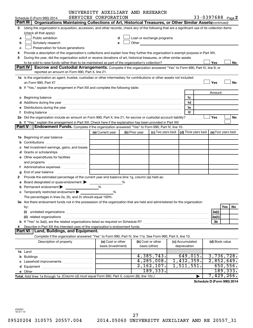|        |                                                                                                                                                                                                                                | UNIVERSITY AUXILIARY AND RESEARCH |                |                            |                                      |                            |                     |
|--------|--------------------------------------------------------------------------------------------------------------------------------------------------------------------------------------------------------------------------------|-----------------------------------|----------------|----------------------------|--------------------------------------|----------------------------|---------------------|
|        | Schedule D (Form 990) 2014                                                                                                                                                                                                     | SERVICES CORPORATION              |                |                            |                                      | 33-0397688 Page 2          |                     |
|        | Part III   Organizations Maintaining Collections of Art, Historical Treasures, or Other Similar Assets (continued)                                                                                                             |                                   |                |                            |                                      |                            |                     |
| 3      | Using the organization's acquisition, accession, and other records, check any of the following that are a significant use of its collection items                                                                              |                                   |                |                            |                                      |                            |                     |
|        | (check all that apply):                                                                                                                                                                                                        |                                   |                |                            |                                      |                            |                     |
| a      | Public exhibition                                                                                                                                                                                                              |                                   |                | Loan or exchange programs  |                                      |                            |                     |
| b      | Scholarly research                                                                                                                                                                                                             |                                   |                | Other <b>Communication</b> |                                      |                            |                     |
| c      | Preservation for future generations                                                                                                                                                                                            |                                   |                |                            |                                      |                            |                     |
|        | Provide a description of the organization's collections and explain how they further the organization's exempt purpose in Part XIII.                                                                                           |                                   |                |                            |                                      |                            |                     |
| 5      | During the year, did the organization solicit or receive donations of art, historical treasures, or other similar assets                                                                                                       |                                   |                |                            |                                      |                            |                     |
|        |                                                                                                                                                                                                                                |                                   |                |                            |                                      | Yes                        | No                  |
|        | <b>Part IV</b><br><b>Escrow and Custodial Arrangements.</b> Complete if the organization answered "Yes" to Form 990, Part IV, line 9, or                                                                                       |                                   |                |                            |                                      |                            |                     |
|        | reported an amount on Form 990, Part X, line 21.                                                                                                                                                                               |                                   |                |                            |                                      |                            |                     |
|        | 1a Is the organization an agent, trustee, custodian or other intermediary for contributions or other assets not included                                                                                                       |                                   |                |                            |                                      |                            |                     |
|        |                                                                                                                                                                                                                                |                                   |                |                            |                                      | Yes                        | No                  |
|        | b If "Yes," explain the arrangement in Part XIII and complete the following table:                                                                                                                                             |                                   |                |                            |                                      |                            |                     |
|        |                                                                                                                                                                                                                                |                                   |                |                            |                                      | Amount                     |                     |
|        |                                                                                                                                                                                                                                |                                   |                |                            | 1c                                   |                            |                     |
|        |                                                                                                                                                                                                                                |                                   |                |                            | 1d                                   |                            |                     |
|        | e Distributions during the year manufactured and contain an account of the year manufactured and the year manufactured and the year manufactured and the year manufactured and the year manufactured and the year manufactured |                                   |                |                            | 1е                                   |                            |                     |
|        |                                                                                                                                                                                                                                |                                   |                |                            | 1f                                   |                            |                     |
|        | 2a Did the organization include an amount on Form 990, Part X, line 21, for escrow or custodial account liability?                                                                                                             |                                   |                |                            | .                                    | Yes                        | No                  |
|        | <b>b</b> If "Yes," explain the arrangement in Part XIII. Check here if the explanation has been provided in Part XIII                                                                                                          |                                   |                |                            |                                      |                            |                     |
| Part V | <b>Endowment Funds.</b> Complete if the organization answered "Yes" to Form 990, Part IV, line 10.                                                                                                                             |                                   |                |                            |                                      |                            |                     |
|        |                                                                                                                                                                                                                                | (a) Current year                  | (b) Prior year | (c) Two years back         | $\vert$ (d) Three years back $\vert$ |                            | (e) Four years back |
|        |                                                                                                                                                                                                                                |                                   |                |                            |                                      |                            |                     |
|        |                                                                                                                                                                                                                                |                                   |                |                            |                                      |                            |                     |
|        | Net investment earnings, gains, and losses                                                                                                                                                                                     |                                   |                |                            |                                      |                            |                     |
|        |                                                                                                                                                                                                                                |                                   |                |                            |                                      |                            |                     |
|        | e Other expenditures for facilities                                                                                                                                                                                            |                                   |                |                            |                                      |                            |                     |
|        | and programs                                                                                                                                                                                                                   |                                   |                |                            |                                      |                            |                     |
|        |                                                                                                                                                                                                                                |                                   |                |                            |                                      |                            |                     |
| g      |                                                                                                                                                                                                                                |                                   |                |                            |                                      |                            |                     |
|        | Provide the estimated percentage of the current year end balance (line 1g, column (a)) held as:                                                                                                                                |                                   |                |                            |                                      |                            |                     |
|        | a Board designated or quasi-endowment >                                                                                                                                                                                        |                                   | %              |                            |                                      |                            |                     |
|        | Permanent endowment                                                                                                                                                                                                            | %                                 |                |                            |                                      |                            |                     |
|        | c Temporarily restricted endowment $\blacktriangleright$                                                                                                                                                                       | %                                 |                |                            |                                      |                            |                     |
|        | The percentages in lines 2a, 2b, and 2c should equal 100%.                                                                                                                                                                     |                                   |                |                            |                                      |                            |                     |
|        | 3a Are there endowment funds not in the possession of the organization that are held and administered for the organization                                                                                                     |                                   |                |                            |                                      |                            |                     |
|        | by:                                                                                                                                                                                                                            |                                   |                |                            |                                      |                            | Yes<br>No.          |
|        | (i)                                                                                                                                                                                                                            |                                   |                |                            |                                      | 3a(i)                      |                     |
|        |                                                                                                                                                                                                                                |                                   |                |                            |                                      | 3a(ii)                     |                     |
|        |                                                                                                                                                                                                                                |                                   |                |                            |                                      | 3b                         |                     |
|        | Describe in Part XIII the intended uses of the organization's endowment funds.                                                                                                                                                 |                                   |                |                            |                                      |                            |                     |
|        | Land, Buildings, and Equipment.<br><b>Part VI</b>                                                                                                                                                                              |                                   |                |                            |                                      |                            |                     |
|        | Complete if the organization answered "Yes" to Form 990, Part IV, line 11a. See Form 990, Part X, line 10.                                                                                                                     |                                   |                |                            |                                      |                            |                     |
|        | Description of property                                                                                                                                                                                                        | (a) Cost or other                 |                | (b) Cost or other          | (c) Accumulated                      | (d) Book value             |                     |
|        |                                                                                                                                                                                                                                | basis (investment)                |                | basis (other)              | depreciation                         |                            |                     |
|        |                                                                                                                                                                                                                                |                                   |                |                            |                                      |                            |                     |
|        |                                                                                                                                                                                                                                |                                   |                | 4,385,743.                 | 649,015.                             |                            | 3,736,728.          |
|        |                                                                                                                                                                                                                                |                                   |                | 4,285,008.                 | 1,432,359.                           |                            | 2,852,649.          |
|        |                                                                                                                                                                                                                                |                                   |                | $2,162,107$ .              | 1,511,551.                           |                            | 650,556.            |
|        |                                                                                                                                                                                                                                |                                   |                | 189,333.                   |                                      |                            | 189, 333.           |
|        | Total. Add lines 1a through 1e. (Column (d) must equal Form 990, Part X, column (B), line 10c.)                                                                                                                                |                                   |                |                            |                                      |                            | 7,429,266.          |
|        |                                                                                                                                                                                                                                |                                   |                |                            |                                      | Schedule D (Form 990) 2014 |                     |
|        |                                                                                                                                                                                                                                |                                   |                |                            |                                      |                            |                     |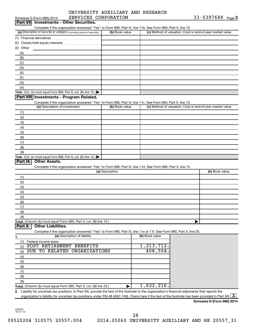|           | SERVICES CORPORATION<br>Schedule D (Form 990) 2014                                                                                                                            |                 |                | 33-0397688 Page 3                                         |
|-----------|-------------------------------------------------------------------------------------------------------------------------------------------------------------------------------|-----------------|----------------|-----------------------------------------------------------|
|           | Part VII Investments - Other Securities.                                                                                                                                      |                 |                |                                                           |
|           | Complete if the organization answered "Yes" to Form 990, Part IV, line 11b. See Form 990, Part X, line 12.                                                                    |                 |                |                                                           |
|           | (a) Description of security or category (including name of security)                                                                                                          | (b) Book value  |                | (c) Method of valuation: Cost or end-of-year market value |
|           |                                                                                                                                                                               |                 |                |                                                           |
|           |                                                                                                                                                                               |                 |                |                                                           |
|           |                                                                                                                                                                               |                 |                |                                                           |
| (3) Other |                                                                                                                                                                               |                 |                |                                                           |
| (A)       |                                                                                                                                                                               |                 |                |                                                           |
| (B)       |                                                                                                                                                                               |                 |                |                                                           |
| (C)       |                                                                                                                                                                               |                 |                |                                                           |
| (D)       |                                                                                                                                                                               |                 |                |                                                           |
|           |                                                                                                                                                                               |                 |                |                                                           |
| (E)       |                                                                                                                                                                               |                 |                |                                                           |
| (F)       |                                                                                                                                                                               |                 |                |                                                           |
| (G)       |                                                                                                                                                                               |                 |                |                                                           |
| (H)       |                                                                                                                                                                               |                 |                |                                                           |
|           | Total. (Col. (b) must equal Form 990, Part X, col. (B) line 12.) $\blacktriangleright$                                                                                        |                 |                |                                                           |
|           | Part VIII Investments - Program Related.                                                                                                                                      |                 |                |                                                           |
|           | Complete if the organization answered "Yes" to Form 990, Part IV, line 11c. See Form 990, Part X, line 13.                                                                    |                 |                |                                                           |
|           | (a) Description of investment                                                                                                                                                 | (b) Book value  |                | (c) Method of valuation: Cost or end-of-year market value |
|           |                                                                                                                                                                               |                 |                |                                                           |
| (1)       |                                                                                                                                                                               |                 |                |                                                           |
| (2)       |                                                                                                                                                                               |                 |                |                                                           |
| (3)       |                                                                                                                                                                               |                 |                |                                                           |
| (4)       |                                                                                                                                                                               |                 |                |                                                           |
| (5)       |                                                                                                                                                                               |                 |                |                                                           |
| (6)       |                                                                                                                                                                               |                 |                |                                                           |
|           |                                                                                                                                                                               |                 |                |                                                           |
| (7)       |                                                                                                                                                                               |                 |                |                                                           |
| (8)       |                                                                                                                                                                               |                 |                |                                                           |
| (9)       |                                                                                                                                                                               |                 |                |                                                           |
|           | Total. (Col. (b) must equal Form 990, Part X, col. (B) line 13.) $\blacktriangleright$                                                                                        |                 |                |                                                           |
| Part IX   | <b>Other Assets.</b>                                                                                                                                                          |                 |                |                                                           |
|           | Complete if the organization answered "Yes" to Form 990, Part IV, line 11d. See Form 990, Part X, line 15.                                                                    |                 |                |                                                           |
|           |                                                                                                                                                                               | (a) Description |                | (b) Book value                                            |
|           |                                                                                                                                                                               |                 |                |                                                           |
| (1)       |                                                                                                                                                                               |                 |                |                                                           |
| (2)       |                                                                                                                                                                               |                 |                |                                                           |
| (3)       |                                                                                                                                                                               |                 |                |                                                           |
| (4)       |                                                                                                                                                                               |                 |                |                                                           |
| (5)       |                                                                                                                                                                               |                 |                |                                                           |
| (6)       |                                                                                                                                                                               |                 |                |                                                           |
| (7)       |                                                                                                                                                                               |                 |                |                                                           |
|           |                                                                                                                                                                               |                 |                |                                                           |
| (8)       |                                                                                                                                                                               |                 |                |                                                           |
| (9)       |                                                                                                                                                                               |                 |                |                                                           |
|           | Total. (Column (b) must equal Form 990, Part X, col. (B) line 15.)                                                                                                            |                 |                |                                                           |
| Part X    | <b>Other Liabilities.</b>                                                                                                                                                     |                 |                |                                                           |
|           | Complete if the organization answered "Yes" to Form 990, Part IV, line 11e or 11f. See Form 990, Part X, line 25.                                                             |                 |                |                                                           |
| 1.        | (a) Description of liability                                                                                                                                                  |                 | (b) Book value |                                                           |
| (1)       | Federal income taxes                                                                                                                                                          |                 |                |                                                           |
|           | POST RETIREMENT BENEFITS                                                                                                                                                      |                 | 1,213,712.     |                                                           |
| (2)       |                                                                                                                                                                               |                 | 408,504.       |                                                           |
| (3)       | DUE TO RELATED ORGANIZATIONS                                                                                                                                                  |                 |                |                                                           |
| (4)       |                                                                                                                                                                               |                 |                |                                                           |
| (5)       |                                                                                                                                                                               |                 |                |                                                           |
| (6)       |                                                                                                                                                                               |                 |                |                                                           |
| (7)       |                                                                                                                                                                               |                 |                |                                                           |
| (8)       |                                                                                                                                                                               |                 |                |                                                           |
|           |                                                                                                                                                                               |                 |                |                                                           |
| (9)       |                                                                                                                                                                               |                 |                |                                                           |
|           | Total. (Column (b) must equal Form 990, Part X, col. (B) line 25.)                                                                                                            |                 | 1,622,216.     |                                                           |
|           | 2. Liability for uncertain tax positions. In Part XIII, provide the text of the footnote to the organization's financial statements that reports the                          |                 |                |                                                           |
|           | organization's liability for uncertain tax positions under FIN 48 (ASC 740). Check here if the text of the footnote has been provided in Part XIII $\lfloor \text{X} \rfloor$ |                 |                |                                                           |
|           |                                                                                                                                                                               |                 |                |                                                           |

**Schedule D (Form 990) 2014**

432053 10-01-14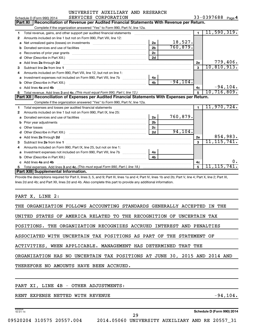|              | Schedule D (Form 990) 2014<br>SERVICES CORPORATION                                                                                                                                                                                 |                |             |                | $33 - 039768$ Page 4      |
|--------------|------------------------------------------------------------------------------------------------------------------------------------------------------------------------------------------------------------------------------------|----------------|-------------|----------------|---------------------------|
|              | Reconciliation of Revenue per Audited Financial Statements With Revenue per Return.<br>Part XI                                                                                                                                     |                |             |                |                           |
|              | Complete if the organization answered "Yes" to Form 990, Part IV, line 12a.                                                                                                                                                        |                |             |                |                           |
| 1            | Total revenue, gains, and other support per audited financial statements                                                                                                                                                           |                |             | $\blacksquare$ | 11,590,319.               |
| $\mathbf{2}$ | Amounts included on line 1 but not on Form 990, Part VIII, line 12:                                                                                                                                                                |                |             |                |                           |
| a            |                                                                                                                                                                                                                                    | 2a             | 18,527.     |                |                           |
| b            |                                                                                                                                                                                                                                    | 2 <sub>b</sub> | 760, 879.   |                |                           |
| c            |                                                                                                                                                                                                                                    | 2c             |             |                |                           |
| d            |                                                                                                                                                                                                                                    | 2d             |             |                |                           |
| е            | Add lines 2a through 2d                                                                                                                                                                                                            |                |             | 2e             | 779,406.                  |
| 3            | Subtract line 2e from line 1 <b>manufacture in the contract of the 2e</b> from line 1                                                                                                                                              |                |             | 3              | 10, 810, 913.             |
| 4            | Amounts included on Form 990, Part VIII, line 12, but not on line 1:                                                                                                                                                               |                |             |                |                           |
| a            |                                                                                                                                                                                                                                    | 4a             |             |                |                           |
| b            |                                                                                                                                                                                                                                    | 4 <sub>b</sub> | $-94, 104.$ |                |                           |
| C.           | Add lines 4a and 4b                                                                                                                                                                                                                |                |             | 4c             | $-94, 104.$               |
|              |                                                                                                                                                                                                                                    |                |             |                |                           |
|              |                                                                                                                                                                                                                                    |                |             | 5              | 10, 716, 809.             |
|              | Part XII   Reconciliation of Expenses per Audited Financial Statements With Expenses per Return.                                                                                                                                   |                |             |                |                           |
|              | Complete if the organization answered "Yes" to Form 990, Part IV, line 12a.                                                                                                                                                        |                |             |                |                           |
| 1            |                                                                                                                                                                                                                                    |                |             | $\blacksquare$ | 11,970,724.               |
| 2            | Amounts included on line 1 but not on Form 990, Part IX, line 25:                                                                                                                                                                  |                |             |                |                           |
| a            |                                                                                                                                                                                                                                    | 2a             | 760,879.    |                |                           |
| b            |                                                                                                                                                                                                                                    | 2 <sub>b</sub> |             |                |                           |
| c            |                                                                                                                                                                                                                                    | 2 <sub>c</sub> |             |                |                           |
|              |                                                                                                                                                                                                                                    | 2d             | 94, 104.    |                |                           |
| е            | Add lines 2a through 2d <b>contained a contained a contained a contained a</b> contained a contained a contained a contained a contact a contact a contact a contact a contact a contact a contact a contact a contact a contact a |                |             | 2е             |                           |
| 3            | Subtract line 2e from line 1                                                                                                                                                                                                       |                |             | $\mathbf{a}$   | 854,983.<br>11, 115, 741. |
| 4            | Amounts included on Form 990, Part IX, line 25, but not on line 1:                                                                                                                                                                 |                |             |                |                           |
| a            |                                                                                                                                                                                                                                    | 4a             |             |                |                           |
| b            |                                                                                                                                                                                                                                    | 4 <sub>b</sub> |             |                |                           |
| C.           | Add lines 4a and 4b                                                                                                                                                                                                                |                |             | 4c             | 0.                        |
| 5.           | Part XIII Supplemental Information.                                                                                                                                                                                                |                |             | 5              | 11,115,741.               |

Provide the descriptions required for Part II, lines 3, 5, and 9; Part III, lines 1a and 4; Part IV, lines 1b and 2b; Part V, line 4; Part X, line 2; Part XI, lines 2d and 4b; and Part XII, lines 2d and 4b. Also complete this part to provide any additional information.

### PART X, LINE 2:

| THE ORGANIZATION FOLLOWS ACCOUNTING STANDARDS GENERALLY ACCEPTED IN THE   |  |  |  |  |  |  |
|---------------------------------------------------------------------------|--|--|--|--|--|--|
| UNITED STATES OF AMERICA RELATED TO THE RECOGNITION OF UNCERTAIN TAX      |  |  |  |  |  |  |
| POSITIONS. THE ORGANIZATION RECOGNIZES ACCRUED INTEREST AND PENALTIES     |  |  |  |  |  |  |
| ASSOCIATED WITH UNCERTAIN TAX POSITIONS AS PART OF THE STATEMENT OF       |  |  |  |  |  |  |
| ACTIVITIES, WHEN APPLICABLE. MANAGEMENT HAS DETERMINED THAT THE           |  |  |  |  |  |  |
| ORGANIZATION HAS NO UNCERTAIN TAX POSITIONS AT JUNE 30, 2015 AND 2014 AND |  |  |  |  |  |  |
| THEREFORE NO AMOUNTS HAVE BEEN ACCRUED.                                   |  |  |  |  |  |  |
|                                                                           |  |  |  |  |  |  |
| PART XI, LINE 4B - OTHER ADJUSTMENTS:                                     |  |  |  |  |  |  |

RENT EXPENSE NETTED WITH REVENUE  $-94, 104$ .

432054 10-01-14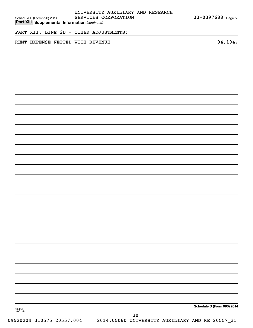| Schedule D (Form 990) 2014<br><b>Part XIII Supplemental Information (continued)</b> | UNIVERSITY AUXILIARY AND RESEARCH<br>SERVICES CORPORATION | 33-0397688 Page 5          |
|-------------------------------------------------------------------------------------|-----------------------------------------------------------|----------------------------|
| PART XII, LINE 2D - OTHER ADJUSTMENTS:                                              |                                                           |                            |
| RENT EXPENSE NETTED WITH REVENUE                                                    |                                                           | 94, 104.                   |
|                                                                                     |                                                           |                            |
|                                                                                     |                                                           |                            |
|                                                                                     |                                                           |                            |
|                                                                                     |                                                           |                            |
|                                                                                     |                                                           |                            |
|                                                                                     |                                                           |                            |
|                                                                                     |                                                           |                            |
|                                                                                     |                                                           |                            |
|                                                                                     |                                                           |                            |
|                                                                                     |                                                           |                            |
|                                                                                     |                                                           |                            |
|                                                                                     |                                                           |                            |
|                                                                                     |                                                           |                            |
|                                                                                     |                                                           |                            |
|                                                                                     |                                                           |                            |
|                                                                                     |                                                           |                            |
|                                                                                     |                                                           |                            |
| 432055<br>10-01-14                                                                  |                                                           | Schedule D (Form 990) 2014 |
|                                                                                     | $30$                                                      |                            |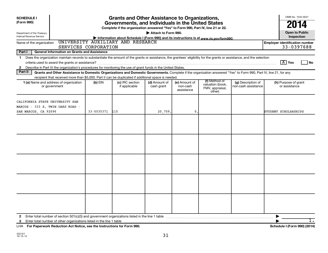| <b>Grants and Other Assistance to Organizations,</b><br><b>SCHEDULE I</b>                                                                                                               |                                                                                                                                                                    |                                                                                                                                       |                             |                                         | OMB No. 1545-0047                                              |                                           |                                                       |
|-----------------------------------------------------------------------------------------------------------------------------------------------------------------------------------------|--------------------------------------------------------------------------------------------------------------------------------------------------------------------|---------------------------------------------------------------------------------------------------------------------------------------|-----------------------------|-----------------------------------------|----------------------------------------------------------------|-------------------------------------------|-------------------------------------------------------|
| (Form 990)                                                                                                                                                                              |                                                                                                                                                                    | Governments, and Individuals in the United States<br>Complete if the organization answered "Yes" to Form 990, Part IV, line 21 or 22. |                             |                                         |                                                                |                                           | 2014                                                  |
| Department of the Treasury<br>Internal Revenue Service                                                                                                                                  |                                                                                                                                                                    |                                                                                                                                       | Attach to Form 990.         |                                         |                                                                |                                           | <b>Open to Public</b><br>Inspection                   |
| Name of the organization                                                                                                                                                                | UNIVERSITY AUXILIARY AND RESEARCH                                                                                                                                  | Information about Schedule I (Form 990) and its instructions is at www.irs.gov/form990.                                               |                             |                                         |                                                                |                                           | <b>Employer identification number</b>                 |
|                                                                                                                                                                                         | SERVICES CORPORATION                                                                                                                                               |                                                                                                                                       |                             |                                         |                                                                |                                           | 33-0397688                                            |
| Part I                                                                                                                                                                                  | <b>General Information on Grants and Assistance</b>                                                                                                                |                                                                                                                                       |                             |                                         |                                                                |                                           |                                                       |
| Does the organization maintain records to substantiate the amount of the grants or assistance, the grantees' eligibility for the grants or assistance, and the selection<br>$\mathbf 1$ |                                                                                                                                                                    |                                                                                                                                       |                             |                                         |                                                                |                                           |                                                       |
|                                                                                                                                                                                         |                                                                                                                                                                    |                                                                                                                                       |                             |                                         |                                                                |                                           | $\lceil \frac{\text{X}}{\text{A}} \rceil$ Yes<br>  No |
| Describe in Part IV the organization's procedures for monitoring the use of grant funds in the United States.<br>$\mathbf{2}$<br>Part II                                                | Grants and Other Assistance to Domestic Organizations and Domestic Governments. Complete if the organization answered "Yes" to Form 990, Part IV, line 21, for any |                                                                                                                                       |                             |                                         |                                                                |                                           |                                                       |
|                                                                                                                                                                                         | recipient that received more than \$5,000. Part II can be duplicated if additional space is needed.                                                                |                                                                                                                                       |                             |                                         |                                                                |                                           |                                                       |
| 1 (a) Name and address of organization<br>or government                                                                                                                                 | $(b)$ EIN                                                                                                                                                          | (c) IRC section<br>if applicable                                                                                                      | (d) Amount of<br>cash grant | (e) Amount of<br>non-cash<br>assistance | (f) Method of<br>valuation (book,<br>FMV, appraisal,<br>other) | (g) Description of<br>non-cash assistance | (h) Purpose of grant<br>or assistance                 |
| CALIFORNIA STATE UNIVERSITY SAN<br>MARCOS - 333 S. TWIN OAKS ROAD -<br>SAN MARCOS, CA 92096                                                                                             | 33-0535371                                                                                                                                                         | 115                                                                                                                                   | 20,709.                     | $\mathbf{0}$ .                          |                                                                |                                           | STUDENT SCHOLARSHIPS                                  |
|                                                                                                                                                                                         |                                                                                                                                                                    |                                                                                                                                       |                             |                                         |                                                                |                                           |                                                       |
|                                                                                                                                                                                         |                                                                                                                                                                    |                                                                                                                                       |                             |                                         |                                                                |                                           |                                                       |
| $\mathbf{2}$<br>3                                                                                                                                                                       |                                                                                                                                                                    |                                                                                                                                       |                             |                                         |                                                                |                                           | ▶<br>$\overline{1}$ .                                 |

**For Paperwork Reduction Act Notice, see the Instructions for Form 990. Schedule I (Form 990) (2014)** LHA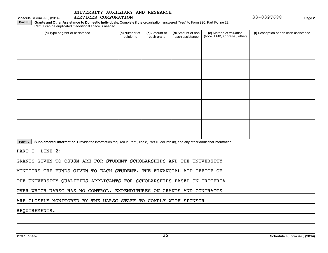Schedule I (Form 990) (2014) SERVICES CORPORATION **Page 19th 100 Contract 2018** Page 133-0397688 Page

Part III | Grants and Other Assistance to Domestic Individuals. Complete if the organization answered "Yes" to Form 990, Part IV, line 22. Part III can be duplicated if additional space is needed.

| (a) Type of grant or assistance | (b) Number of<br>recipients | (c) Amount of<br>cash grant | (d) Amount of non-<br>cash assistance | (e) Method of valuation<br>(book, FMV, appraisal, other) | (f) Description of non-cash assistance |
|---------------------------------|-----------------------------|-----------------------------|---------------------------------------|----------------------------------------------------------|----------------------------------------|
|                                 |                             |                             |                                       |                                                          |                                        |
|                                 |                             |                             |                                       |                                                          |                                        |
|                                 |                             |                             |                                       |                                                          |                                        |
|                                 |                             |                             |                                       |                                                          |                                        |
|                                 |                             |                             |                                       |                                                          |                                        |
|                                 |                             |                             |                                       |                                                          |                                        |
|                                 |                             |                             |                                       |                                                          |                                        |
|                                 |                             |                             |                                       |                                                          |                                        |
|                                 |                             |                             |                                       |                                                          |                                        |
|                                 |                             |                             |                                       |                                                          |                                        |
|                                 |                             |                             |                                       |                                                          |                                        |

Part IV | Supplemental Information. Provide the information required in Part I, line 2, Part III, column (b), and any other additional information.

PART I, LINE 2:

GRANTS GIVEN TO CSUSM ARE FOR STUDENT SCHOLARSHIPS AND THE UNIVERSITY

MONITORS THE FUNDS GIVEN TO EACH STUDENT. THE FINANCIAL AID OFFICE OF

THE UNIVERSITY QUALIFIES APPLICANTS FOR SCHOLARSHIPS BASED ON CRITERIA

OVER WHICH UARSC HAS NO CONTROL. EXPENDITURES ON GRANTS AND CONTRACTS

ARE CLOSELY MONITORED BY THE UARSC STAFF TO COMPLY WITH SPONSOR

REQUIREMENTS.

**2**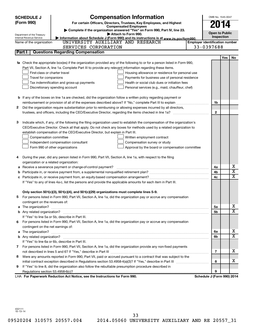|    | <b>SCHEDULE J</b>                                      | <b>Compensation Information</b>                                                                                                                                       | OMB No. 1545-0047                     |            |                         |  |  |
|----|--------------------------------------------------------|-----------------------------------------------------------------------------------------------------------------------------------------------------------------------|---------------------------------------|------------|-------------------------|--|--|
|    | (Form 990)                                             | For certain Officers, Directors, Trustees, Key Employees, and Highest                                                                                                 | 2014                                  |            |                         |  |  |
|    |                                                        | <b>Compensated Employees</b>                                                                                                                                          |                                       |            |                         |  |  |
|    |                                                        | Complete if the organization answered "Yes" on Form 990, Part IV, line 23.<br>Attach to Form 990.                                                                     | <b>Open to Public</b>                 |            |                         |  |  |
|    | Department of the Treasury<br>Internal Revenue Service | Information about Schedule J (Form 990) and its instructions is at www.irs.gov/form990.                                                                               | Inspection                            |            |                         |  |  |
|    | Name of the organization                               | UNIVERSITY AUXILIARY AND RESEARCH                                                                                                                                     | <b>Employer identification number</b> |            |                         |  |  |
|    |                                                        | SERVICES CORPORATION                                                                                                                                                  | 33-0397688                            |            |                         |  |  |
|    | Part I                                                 | <b>Questions Regarding Compensation</b>                                                                                                                               |                                       |            |                         |  |  |
|    |                                                        |                                                                                                                                                                       |                                       | <b>Yes</b> | No                      |  |  |
|    |                                                        | 1a Check the appropriate box(es) if the organization provided any of the following to or for a person listed in Form 990,                                             |                                       |            |                         |  |  |
|    |                                                        | Part VII, Section A, line 1a. Complete Part III to provide any relevant information regarding these items.                                                            |                                       |            |                         |  |  |
|    | First-class or charter travel                          | Housing allowance or residence for personal use                                                                                                                       |                                       |            |                         |  |  |
|    | Travel for companions                                  | Payments for business use of personal residence                                                                                                                       |                                       |            |                         |  |  |
|    |                                                        | Health or social club dues or initiation fees<br>Tax indemnification and gross-up payments                                                                            |                                       |            |                         |  |  |
|    |                                                        | Discretionary spending account<br>Personal services (e.g., maid, chauffeur, chef)                                                                                     |                                       |            |                         |  |  |
|    |                                                        |                                                                                                                                                                       |                                       |            |                         |  |  |
|    |                                                        | <b>b</b> If any of the boxes on line 1a are checked, did the organization follow a written policy regarding payment or                                                |                                       |            |                         |  |  |
|    |                                                        |                                                                                                                                                                       | 1b                                    |            |                         |  |  |
| 2  |                                                        | Did the organization require substantiation prior to reimbursing or allowing expenses incurred by all directors,                                                      |                                       |            |                         |  |  |
|    |                                                        |                                                                                                                                                                       | $\mathbf{2}$                          |            |                         |  |  |
|    |                                                        |                                                                                                                                                                       |                                       |            |                         |  |  |
| З  |                                                        | Indicate which, if any, of the following the filing organization used to establish the compensation of the organization's                                             |                                       |            |                         |  |  |
|    |                                                        | CEO/Executive Director. Check all that apply. Do not check any boxes for methods used by a related organization to                                                    |                                       |            |                         |  |  |
|    |                                                        | establish compensation of the CEO/Executive Director, but explain in Part III.                                                                                        |                                       |            |                         |  |  |
|    | Compensation committee                                 | Written employment contract                                                                                                                                           |                                       |            |                         |  |  |
|    |                                                        | Independent compensation consultant<br>Compensation survey or study                                                                                                   |                                       |            |                         |  |  |
|    |                                                        | Form 990 of other organizations<br>Approval by the board or compensation committee                                                                                    |                                       |            |                         |  |  |
|    |                                                        |                                                                                                                                                                       |                                       |            |                         |  |  |
| 4  |                                                        | During the year, did any person listed in Form 990, Part VII, Section A, line 1a, with respect to the filing                                                          |                                       |            |                         |  |  |
|    | organization or a related organization:                |                                                                                                                                                                       |                                       |            |                         |  |  |
| а  |                                                        | Receive a severance payment or change-of-control payment?                                                                                                             | 4a                                    |            | х                       |  |  |
| b  |                                                        |                                                                                                                                                                       | 4b                                    |            | $\overline{\textbf{x}}$ |  |  |
| c  |                                                        |                                                                                                                                                                       | 4c                                    |            | X                       |  |  |
|    |                                                        | If "Yes" to any of lines 4a-c, list the persons and provide the applicable amounts for each item in Part III.                                                         |                                       |            |                         |  |  |
|    |                                                        |                                                                                                                                                                       |                                       |            |                         |  |  |
|    |                                                        | Only section 501(c)(3), 501(c)(4), and 501(c)(29) organizations must complete lines 5-9.                                                                              |                                       |            |                         |  |  |
|    |                                                        | For persons listed in Form 990, Part VII, Section A, line 1a, did the organization pay or accrue any compensation                                                     |                                       |            |                         |  |  |
|    | contingent on the revenues of:                         |                                                                                                                                                                       |                                       |            | x                       |  |  |
|    |                                                        |                                                                                                                                                                       | 5a                                    |            | X                       |  |  |
|    |                                                        |                                                                                                                                                                       | 5b                                    |            |                         |  |  |
|    |                                                        | If "Yes" to line 5a or 5b, describe in Part III.<br>For persons listed in Form 990, Part VII, Section A, line 1a, did the organization pay or accrue any compensation |                                       |            |                         |  |  |
| 6. |                                                        |                                                                                                                                                                       |                                       |            |                         |  |  |
|    | contingent on the net earnings of:                     |                                                                                                                                                                       | 6a                                    |            | х                       |  |  |
|    |                                                        |                                                                                                                                                                       | 6b                                    |            | X                       |  |  |
|    |                                                        | If "Yes" to line 6a or 6b, describe in Part III.                                                                                                                      |                                       |            |                         |  |  |
|    |                                                        | 7 For persons listed in Form 990, Part VII, Section A, line 1a, did the organization provide any non-fixed payments                                                   |                                       |            |                         |  |  |
|    |                                                        |                                                                                                                                                                       | 7                                     |            | x                       |  |  |
| 8  |                                                        | Were any amounts reported in Form 990, Part VII, paid or accrued pursuant to a contract that was subject to the                                                       |                                       |            |                         |  |  |
|    |                                                        |                                                                                                                                                                       | 8                                     |            | x                       |  |  |
| 9  |                                                        | If "Yes" to line 8, did the organization also follow the rebuttable presumption procedure described in                                                                |                                       |            |                         |  |  |
|    |                                                        |                                                                                                                                                                       | 9                                     |            |                         |  |  |
|    |                                                        | LHA For Paperwork Reduction Act Notice, see the Instructions for Form 990.                                                                                            | Schedule J (Form 990) 2014            |            |                         |  |  |

432111 10-13-14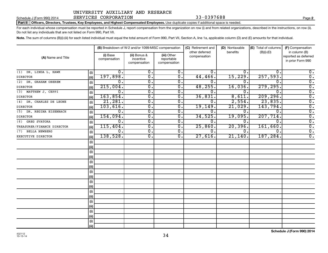### Schedule J (Form 990) 2014 SERVICES CORPORATION  $33-0397688$  Page Page

Part II | Officers, Directors, Trustees, Key Employees, and Highest Compensated Employees. Use duplicate copies if additional space is needed.

For each individual whose compensation must be reported in Schedule J, report compensation from the organization on row (i) and from related organizations, described in the instructions, on row (ii). Do not list any individuals that are not listed on Form 990, Part VII.

Note. The sum of columns (B)(i)-(iii) for each listed individual must equal the total amount of Form 990, Part VII, Section A, line 1a, applicable column (D) and (E) amounts for that individual.

|                             |      | (B) Breakdown of W-2 and/or 1099-MISC compensation |                                           |                                           | (C) Retirement and<br>other deferred | (D) Nontaxable<br>benefits | (E) Total of columns<br>$(B)(i)-(D)$ | (F) Compensation<br>in column (B)         |
|-----------------------------|------|----------------------------------------------------|-------------------------------------------|-------------------------------------------|--------------------------------------|----------------------------|--------------------------------------|-------------------------------------------|
| (A) Name and Title          |      | (i) Base<br>compensation                           | (ii) Bonus &<br>incentive<br>compensation | (iii) Other<br>reportable<br>compensation | compensation                         |                            |                                      | reported as deferred<br>in prior Form 990 |
| (1) DR. LINDA L. HAWK       | (i)  | ο.                                                 | 0.                                        | 0.                                        | 0.                                   | 0.                         | 0.                                   | $0$ .                                     |
| <b>DIRECTOR</b>             | (ii) | 197,898.                                           | 0.                                        | $\overline{0}$ .                          | 44,466.                              | 15,229                     | 257,593.                             | $\overline{0}$ .                          |
| (2) DR. GRAHAM OBEREM       | (i)  | 0.                                                 | 0.                                        | 0.                                        | 0.                                   | 0.                         | $\Omega$ .                           | $\overline{0}$ .                          |
| <b>DIRECTOR</b>             | (ii) | 215,004.                                           | 0.                                        | $\overline{0}$ .                          | 48,255.                              | 16,036                     | 279, 295.                            | $\overline{0}$ .                          |
| (3) MATTHEW J. CEPPI        | (i)  | 0.                                                 | 0.                                        | 0.                                        | 0.                                   | 0.                         | $\Omega$ .                           | $\overline{0}$ .                          |
| DIRECTOR                    | (ii) | 163,854.                                           | 0.                                        | 0.                                        | 36,831.                              | 8,611                      | 209, 296.                            | $\overline{0}$ .                          |
| (4) DR. CHARLES DE LEONE    | (i)  | 21,281.                                            | 0.                                        | 0.                                        | О.                                   | 2,554.                     | 23,835.                              | $\overline{0}$ .                          |
| <b>DIRECTOR</b>             | (ii) | 103,616.                                           | о.                                        | 0.                                        | 19, 149.                             | 21,029                     | 143,794.                             | $\overline{0}$ .                          |
| (5) DR. REGINA EISENBACH    | (i)  | $\overline{0}$ .                                   | σ.                                        | $\overline{0}$ .                          | О.                                   | 0                          | $\overline{0}$ .                     | $\overline{0}$ .                          |
| <b>DIRECTOR</b>             | (ii) | 154,094.                                           | σ.                                        | $\overline{0}$ .                          | 34,525.                              | 19,095                     | 207,714.                             | $\overline{0}$ .                          |
| <b>GREG SVATORA</b><br>(6)  | (i)  | 0.                                                 | σ.                                        | $\overline{0}$ .                          | О.                                   | 0.                         | $\overline{0}$ .                     | $\overline{0}$ .                          |
| TREASURER/FINANCE DIRECTOR  | (ii) | 115,404.                                           | σ.                                        | $\overline{0}$ .                          | 25,860.                              | 20,396                     | 161,660.                             | $\overline{0}$ .                          |
| <b>BELLA NEWBERG</b><br>(7) | (i)  | 0.                                                 | σ.                                        | $\overline{0}$ .                          | 0,                                   | 0.                         | $\mathbf 0$ .                        | $\overline{0}$ .                          |
| EXECUTIVE DIRECTOR          | (ii) | 138,528.                                           | σ.                                        | $\overline{0}$ .                          | 27,616.                              | 21,140.                    | 187,284.                             | $\overline{0}$ .                          |
|                             | (i)  |                                                    |                                           |                                           |                                      |                            |                                      |                                           |
|                             | (ii) |                                                    |                                           |                                           |                                      |                            |                                      |                                           |
|                             | (i)  |                                                    |                                           |                                           |                                      |                            |                                      |                                           |
|                             | (ii) |                                                    |                                           |                                           |                                      |                            |                                      |                                           |
|                             | (i)  |                                                    |                                           |                                           |                                      |                            |                                      |                                           |
|                             | (ii) |                                                    |                                           |                                           |                                      |                            |                                      |                                           |
|                             | (i)  |                                                    |                                           |                                           |                                      |                            |                                      |                                           |
|                             | (ii) |                                                    |                                           |                                           |                                      |                            |                                      |                                           |
|                             | (i)  |                                                    |                                           |                                           |                                      |                            |                                      |                                           |
|                             | (ii) |                                                    |                                           |                                           |                                      |                            |                                      |                                           |
|                             | (i)  |                                                    |                                           |                                           |                                      |                            |                                      |                                           |
|                             | (ii) |                                                    |                                           |                                           |                                      |                            |                                      |                                           |
|                             | (i)  |                                                    |                                           |                                           |                                      |                            |                                      |                                           |
|                             | (ii) |                                                    |                                           |                                           |                                      |                            |                                      |                                           |
|                             | (i)  |                                                    |                                           |                                           |                                      |                            |                                      |                                           |
|                             | (ii) |                                                    |                                           |                                           |                                      |                            |                                      |                                           |
|                             | (i)  |                                                    |                                           |                                           |                                      |                            |                                      |                                           |
|                             | (ii) |                                                    |                                           |                                           |                                      |                            |                                      |                                           |

**2**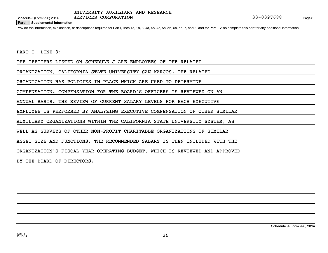**Part III Supplemental Information**

Provide the information, explanation, or descriptions required for Part I, lines 1a, 1b, 3, 4a, 4b, 4c, 5a, 5b, 6a, 6b, 7, and 8, and for Part II. Also complete this part for any additional information.

PART I, LINE 3:

THE OFFICERS LISTED ON SCHEDULE J ARE EMPLOYEES OF THE RELATED

ORGANIZATION, CALIFORNIA STATE UNIVERSITY SAN MARCOS. THE RELATED

ORGANIZATION HAS POLICIES IN PLACE WHICH ARE USED TO DETERMINE

COMPENSATION. COMPENSATION FOR THE BOARD'S OFFICERS IS REVIEWED ON AN

ANNUAL BASIS. THE REVIEW OF CURRENT SALARY LEVELS FOR EACH EXECUTIVE

EMPLOYEE IS PERFORMED BY ANALYZING EXECUTIVE COMPENSATION OF OTHER SIMILAR

AUXILIARY ORGANIZATIONS WITHIN THE CALIFORNIA STATE UNIVERSITY SYSTEM, AS

WELL AS SURVEYS OF OTHER NON-PROFIT CHARITABLE ORGANIZATIONS OF SIMILAR

ASSET SIZE AND FUNCTIONS. THE RECOMMENDED SALARY IS THEN INCLUDED WITH THE

ORGANIZATION'S FISCAL YEAR OPERATING BUDGET, WHICH IS REVIEWED AND APPROVED

BY THE BOARD OF DIRECTORS.

**Schedule J (Form 990) 2014**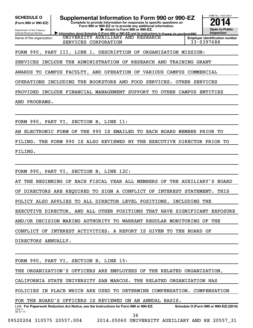**(Form 990 or 990-EZ)**

Department of the Treasury Internal Revenue Service Name of the organization

SCHEDULE O **Supplemental Information to Form 990 or 990-EZ 2014** 

**Complete to provide information for responses to specific questions on Form 990 or 990-EZ or to provide any additional information. | Attach to Form 990 or 990-EZ.**

Information about Schedule O (Form 990 or 990-EZ) and its instructions is at www.irs.gov/form990. UNIVERSITY AUXILIARY AND RESEARCH SERVICES CORPORATION 133-0397688

**Open to Public Inspection Employer identification number**

OMB No. 1545-0047

FORM 990, PART III, LINE 1, DESCRIPTION OF ORGANIZATION MISSION:

SERVICES INCLUDE THE ADMINISTRATION OF RESEARCH AND TRAINING GRANT

AWARDS TO CAMPUS FACULTY, AND OPERATION OF VARIOUS CAMPUS COMMERCIAL

OPERATIONS INCLUDING THE BOOKSTORE AND FOOD SERVICES. OTHER SERVICES

PROVIDED INCLUDE FINANCIAL MANAGEMENT SUPPORT TO OTHER CAMPUS ENTITIES

AND PROGRAMS.

FORM 990, PART VI, SECTION B, LINE 11:

AN ELECTRONIC FORM OF THE 990 IS EMAILED TO EACH BOARD MEMBER PRIOR TO

FILING. THE FORM 990 IS ALSO REVIEWED BY THE EXECUTIVE DIRECTOR PRIOR TO

FILING.

FORM 990, PART VI, SECTION B, LINE 12C:

AT THE BEGINNING OF EACH FISCAL YEAR ALL MEMBERS OF THE AUXILIARY'S BOARD OF DIRECTORS ARE REQUIRED TO SIGN A CONFLICT OF INTEREST STATEMENT. THIS POLICY ALSO APPLIES TO ALL DIRECTOR LEVEL POSITIONS, INCLUDING THE EXECUTIVE DIRECTOR, AND ALL OTHER POSITIONS THAT HAVE SIGNIFICANT EXPOSURE AND/OR DECISION MAKING AUTHORITY TO WARRANT REGULAR MONITORING OF THE CONFLICT OF INTEREST ACTIVITIES. A REPORT IS GIVEN TO TEH BOARD OF DIRECTORS ANNUALLY.

432211 08-27-14 LHA For Paperwork Reduction Act Notice, see the Instructions for Form 990 or 990-EZ. Schedule O (Form 990 or 990-EZ) (2014) FORM 990, PART VI, SECTION B, LINE 15: THE ORGANIZATION'S OFFICERS ARE EMPLOYEES OF THE RELATED ORGANIZATION, CALIFORNIA STATE UNIVERSITY SAN MARCOS. THE RELATED ORGANIZATION HAS POLICIES IN PLACE WHICH ARE USED TO DETERMINE COMPENSATION. COMPENSATION FOR THE BOARD'S OFFICERS IS REVIEWED ON AN ANNUAL BASIS. 36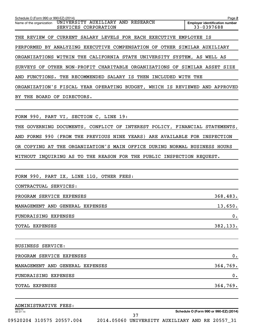| Schedule O (Form 990 or 990-EZ) (2014)                                                | Page 2                                              |
|---------------------------------------------------------------------------------------|-----------------------------------------------------|
| UNIVERSITY AUXILIARY AND RESEARCH<br>Name of the organization<br>SERVICES CORPORATION | <b>Emplover identification number</b><br>33-0397688 |
| THE REVIEW OF CURRENT SALARY LEVELS FOR EACH EXECUTIVE EMPLOYEE IS                    |                                                     |
| PERFORMED BY ANALYZING EXECUTIVE COMPENSATION OF OTHER SIMILAR AUXILIARY              |                                                     |
| ORGANIZATIONS WITHIN THE CALIFORNIA STATE UNIVERSITY SYSTEM, AS WELL AS               |                                                     |
| SURVEYS OF OTHER NON-PROFIT CHARITABLE ORGANIZATIONS OF SIMILAR ASSET SIZE            |                                                     |
| AND FUNCTIONS. THE RECOMMENDED SALARY IS THEN INCLUDED WITH THE                       |                                                     |
| ORGANIZATION'S FISCAL YEAR OPERATING BUDGET, WHICH IS REVIEWED AND APPROVED           |                                                     |
| BY THE BOARD OF DIRECTORS.                                                            |                                                     |
|                                                                                       |                                                     |
| FORM 990, PART VI, SECTION C, LINE 19:                                                |                                                     |
| THE GOVERNING DOCUMENTS, CONFLICT OF INTEREST POLICY, FINANCIAL STATEMENTS,           |                                                     |
| FORMS 990<br>(FROM THE PREVIOUS NINE YEARS) ARE AVAILABLE FOR INSPECTION<br>AND       |                                                     |
| OR COPYING AT THE ORGANIZATION'S MAIN OFFICE DURING NORMAL BUSINESS HOURS             |                                                     |
| WITHOUT INQUIRING AS TO THE REASON FOR THE PUBLIC INSPECTION REQUEST.                 |                                                     |
|                                                                                       |                                                     |
| FORM 990, PART IX, LINE 11G, OTHER FEES:                                              |                                                     |
| CONTRACTUAL SERVICES:                                                                 |                                                     |
| PROGRAM SERVICE EXPENSES                                                              | 368,483.                                            |
| MANAGEMENT AND GENERAL EXPENSES                                                       | 13,650.                                             |
| FUNDRAISING EXPENSES                                                                  | $\mathbf 0$ .                                       |
| TOTAL EXPENSES                                                                        | 382,133.                                            |
|                                                                                       |                                                     |
| <b>BUSINESS SERVICE:</b>                                                              |                                                     |
| PROGRAM SERVICE EXPENSES                                                              | 0.                                                  |
| MANAGEMENT AND GENERAL EXPENSES                                                       | 364,769.                                            |
| FUNDRAISING EXPENSES                                                                  | $\boldsymbol{0}$ .                                  |
| TOTAL EXPENSES                                                                        | 364,769.                                            |
| ADMINISTRATIVE FEES:                                                                  |                                                     |
| 432212<br>08-27-14                                                                    | Schedule O (Form 990 or 990-EZ) (2014)              |

09520204 310575 20557.004 2014.05060 UNIVERSITY AUXILIARY AND RE 20557\_31

37

**Schedule O (Form 990 or 990-EZ) (2014)**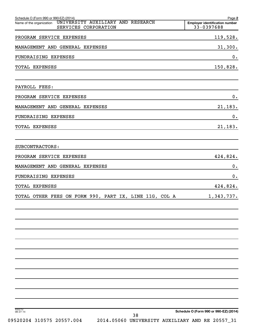| Schedule O (Form 990 or 990-EZ) (2014)                                                | Page 2                                              |
|---------------------------------------------------------------------------------------|-----------------------------------------------------|
| UNIVERSITY AUXILIARY AND RESEARCH<br>Name of the organization<br>SERVICES CORPORATION | <b>Employer identification number</b><br>33-0397688 |
| PROGRAM SERVICE EXPENSES                                                              | 119,528.                                            |
| MANAGEMENT AND GENERAL EXPENSES                                                       | 31,300.                                             |
| FUNDRAISING EXPENSES                                                                  | 0.                                                  |
| TOTAL EXPENSES                                                                        | 150,828.                                            |
| PAYROLL FEES:                                                                         |                                                     |
| PROGRAM SERVICE EXPENSES                                                              | 0.                                                  |
| MANAGEMENT AND GENERAL EXPENSES                                                       | 21,183.                                             |
| FUNDRAISING EXPENSES                                                                  | 0.                                                  |
| <b>TOTAL EXPENSES</b>                                                                 | 21,183.                                             |
| SUBCONTRACTORS:                                                                       |                                                     |
| PROGRAM SERVICE EXPENSES                                                              | 424,824.                                            |
| MANAGEMENT AND GENERAL EXPENSES                                                       | 0.                                                  |
| FUNDRAISING EXPENSES                                                                  | 0.                                                  |
| TOTAL EXPENSES                                                                        | 424,824.                                            |
| TOTAL OTHER FEES ON FORM 990, PART IX, LINE 11G, COL A                                | 1,343,737.                                          |
|                                                                                       |                                                     |
|                                                                                       |                                                     |
|                                                                                       |                                                     |
|                                                                                       |                                                     |
|                                                                                       |                                                     |
|                                                                                       |                                                     |
| 432212<br>08-27-14                                                                    | Schedule O (Form 990 or 990-EZ) (2014)              |
| າ ດ                                                                                   |                                                     |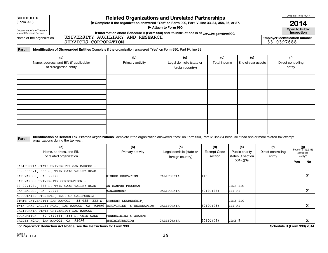| <b>Related Organizations and Unrelated Partnerships</b><br><b>SCHEDULE R</b><br>(Form 990)<br>Complete if the organization answered "Yes" on Form 990, Part IV, line 33, 34, 35b, 36, or 37.<br>Attach to Form 990. |                                                                                                                          | OMB No. 1545-0047<br>2014                           |  |
|---------------------------------------------------------------------------------------------------------------------------------------------------------------------------------------------------------------------|--------------------------------------------------------------------------------------------------------------------------|-----------------------------------------------------|--|
| Department of the Treasury<br>Internal Revenue Service                                                                                                                                                              | Information about Schedule R (Form 990) and its instructions is at www.irs.gov/form990.                                  | Open to Public<br>Inspection                        |  |
| Name of the organization                                                                                                                                                                                            | UNIVERSITY AUXILIARY<br>AND<br>RESEARCH<br>SERVICES CORPORATION                                                          | <b>Employer identification number</b><br>33-0397688 |  |
| Part I                                                                                                                                                                                                              | <b>Identification of Disregarded Entities</b> Complete if the organization answered "Yes" on Form 990, Part IV, line 33. |                                                     |  |

| (a)<br>Name, address, and EIN (if applicable)<br>of disregarded entity | (b)<br>Primary activity | (c)<br>Legal domicile (state or<br>foreign country) | (d)<br>Total income | (e)<br>End-of-year assets | (f)<br>Direct controlling<br>entity |
|------------------------------------------------------------------------|-------------------------|-----------------------------------------------------|---------------------|---------------------------|-------------------------------------|
|                                                                        |                         |                                                     |                     |                           |                                     |
|                                                                        |                         |                                                     |                     |                           |                                     |
|                                                                        |                         |                                                     |                     |                           |                                     |
|                                                                        |                         |                                                     |                     |                           |                                     |

### **Part II** Identification of Related Tax-Exempt Organizations Complete if the organization answered "Yes" on Form 990, Part IV, line 34 because it had one or more related tax-exempt<br>Complete it is a seriest of the two wears organizations during the tax year.

| (a)<br>Name, address, and EIN<br>of related organization             | (b)<br>Primary activity  | (c)<br>Legal domicile (state or<br>foreign country) | (d)<br>Exempt Code<br>section | (e)<br>Public charity<br>status (if section | (f)<br>Direct controlling<br>entity |     | $(g)$<br>Section 512(b)(13)<br>controlled<br>entity? |
|----------------------------------------------------------------------|--------------------------|-----------------------------------------------------|-------------------------------|---------------------------------------------|-------------------------------------|-----|------------------------------------------------------|
|                                                                      |                          |                                                     |                               | 501(c)(3))                                  |                                     | Yes | No.                                                  |
| CALIFORNIA STATE UNIVERSITY SAN MARCOS -                             |                          |                                                     |                               |                                             |                                     |     |                                                      |
| 33-0535371, 333 S. TWIN OAKS VALLEY ROAD,                            |                          |                                                     |                               |                                             |                                     |     |                                                      |
| SAN MARCOS, CA 92096                                                 | HIGHER EDUCATION         | CALIFORNIA                                          | 115                           |                                             |                                     |     | x                                                    |
| SAN MARCOS UNIVERSITY CORPORATION -                                  |                          |                                                     |                               |                                             |                                     |     |                                                      |
| 33-0971982, 333 S. TWIN OAKS VALLEY ROAD,                            | <b>DN-CAMPUS PROGRAM</b> |                                                     |                               | LINE 11C,                                   |                                     |     |                                                      |
| SAN MARCOS, CA 92096                                                 | MANAGEMENT               | CALIFORNIA                                          | 501(C)(3)                     | III-FI                                      |                                     |     | x                                                    |
| ASSOCIATED STUDENTS, INC. OF CALIFORNIA                              |                          |                                                     |                               |                                             |                                     |     |                                                      |
| STATE UNIVERSITY SAN MARCOS - 33-055, 333 S. STUDENT LEADERSHIP,     |                          |                                                     |                               | LINE 11C,                                   |                                     |     |                                                      |
| TWIN OAKS VALLEY ROAD, SAN MARCOS, CA 92096 ACTIVITIES, & RECREATION |                          | CALIFORNIA                                          | 501(C)(3)                     | III-FI                                      |                                     |     | x                                                    |
| CALIFORNIA STATE UNIVERSITY SAN MARCOS                               |                          |                                                     |                               |                                             |                                     |     |                                                      |
| FOUNDATION - 80-0390564, 333 S. TWIN OAKS                            | FUNDRAISING & GRANTS     |                                                     |                               |                                             |                                     |     |                                                      |
| VALLEY ROAD, SAN MARCOS, CA 92096                                    | ADMINISTRATION           | CALIFORNIA                                          | 501(C)(3)                     | LINE 5                                      |                                     |     |                                                      |

**For Paperwork Reduction Act Notice, see the Instructions for Form 990. Schedule R (Form 990) 2014**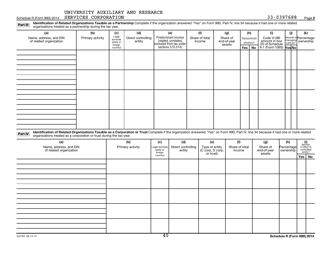Schedule R (Form 990) 2014 SERVICES CORPORATION  $33-0397688$  Page

**2**

Part III Identification of Related Organizations Taxable as a Partnership Complete if the organization answered "Yes" on Form 990, Part IV, line 34 because it had one or more related<br>Read to the organizations tracted as a organizations treated as a partnership during the tax year.

| (a)                                                                                                                                                                                     | (b)              | (c)                                       | (d)                          | (e)                                                                                        | (f)                      | (g)                               |         | (h)                              | (i)                                           | (i) | (k)                                         |
|-----------------------------------------------------------------------------------------------------------------------------------------------------------------------------------------|------------------|-------------------------------------------|------------------------------|--------------------------------------------------------------------------------------------|--------------------------|-----------------------------------|---------|----------------------------------|-----------------------------------------------|-----|---------------------------------------------|
| Name, address, and EIN<br>of related organization                                                                                                                                       | Primary activity | Legal<br>domicile<br>(state or<br>foreign | Direct controlling<br>entity | Predominant income<br>(related, unrelated,<br>excluded from tax under<br>sections 512-514) | Share of total<br>income | Share of<br>end-of-year<br>assets |         | Disproportionate<br>allocations? | Code V-UBI<br>amount in box<br>20 of Schedule |     | General or Percentage<br>managing ownership |
|                                                                                                                                                                                         |                  | country)                                  |                              |                                                                                            |                          |                                   | Yes $ $ | No                               | K-1 (Form 1065) Yes No                        |     |                                             |
|                                                                                                                                                                                         |                  |                                           |                              |                                                                                            |                          |                                   |         |                                  |                                               |     |                                             |
|                                                                                                                                                                                         |                  |                                           |                              |                                                                                            |                          |                                   |         |                                  |                                               |     |                                             |
|                                                                                                                                                                                         |                  |                                           |                              |                                                                                            |                          |                                   |         |                                  |                                               |     |                                             |
|                                                                                                                                                                                         |                  |                                           |                              |                                                                                            |                          |                                   |         |                                  |                                               |     |                                             |
|                                                                                                                                                                                         |                  |                                           |                              |                                                                                            |                          |                                   |         |                                  |                                               |     |                                             |
|                                                                                                                                                                                         |                  |                                           |                              |                                                                                            |                          |                                   |         |                                  |                                               |     |                                             |
|                                                                                                                                                                                         |                  |                                           |                              |                                                                                            |                          |                                   |         |                                  |                                               |     |                                             |
|                                                                                                                                                                                         |                  |                                           |                              |                                                                                            |                          |                                   |         |                                  |                                               |     |                                             |
|                                                                                                                                                                                         |                  |                                           |                              |                                                                                            |                          |                                   |         |                                  |                                               |     |                                             |
|                                                                                                                                                                                         |                  |                                           |                              |                                                                                            |                          |                                   |         |                                  |                                               |     |                                             |
|                                                                                                                                                                                         |                  |                                           |                              |                                                                                            |                          |                                   |         |                                  |                                               |     |                                             |
|                                                                                                                                                                                         |                  |                                           |                              |                                                                                            |                          |                                   |         |                                  |                                               |     |                                             |
|                                                                                                                                                                                         |                  |                                           |                              |                                                                                            |                          |                                   |         |                                  |                                               |     |                                             |
|                                                                                                                                                                                         |                  |                                           |                              |                                                                                            |                          |                                   |         |                                  |                                               |     |                                             |
|                                                                                                                                                                                         |                  |                                           |                              |                                                                                            |                          |                                   |         |                                  |                                               |     |                                             |
| 1 dentification of Related Organizations Taxable as a Corporation or Trust Complete if the organization answered "Yes" on Form 990, Part IV, line 34 because it had one or more related |                  |                                           |                              |                                                                                            |                          |                                   |         |                                  |                                               |     |                                             |

**Part IV** Identification of Related Organizations Taxable as a Corporation or Trust lorganizations treated as a corporation or trust lorganizations treated as a corporation or trust during the tax year. Complete if the organization answered "Yes" on Form 990, Part IV, line 34 because it had one or more related

| (a)<br>Name, address, and EIN<br>of related organization | (b)<br>Primary activity | (c)<br>Legal domicile<br>state or<br>foreign | (d)<br>Direct controlling<br>entity | (e)<br>Type of entity<br>(C corp, S corp,<br>or trust) | (f)<br>Share of total<br>income | (g)<br>Share of<br>end-of-year<br>assets | (h)<br>Percentage<br>ownership | $\begin{array}{c} \textbf{(i)}\\ \text{Section}\\ 512 \text{(b)} \text{(13)}\\ \text{controlled} \\ \text{entity?} \end{array}$ |          |
|----------------------------------------------------------|-------------------------|----------------------------------------------|-------------------------------------|--------------------------------------------------------|---------------------------------|------------------------------------------|--------------------------------|---------------------------------------------------------------------------------------------------------------------------------|----------|
|                                                          |                         | country)                                     |                                     |                                                        |                                 |                                          |                                |                                                                                                                                 | Yes   No |
|                                                          |                         |                                              |                                     |                                                        |                                 |                                          |                                |                                                                                                                                 |          |
|                                                          |                         |                                              |                                     |                                                        |                                 |                                          |                                |                                                                                                                                 |          |
|                                                          |                         |                                              |                                     |                                                        |                                 |                                          |                                |                                                                                                                                 |          |
|                                                          |                         |                                              |                                     |                                                        |                                 |                                          |                                |                                                                                                                                 |          |
|                                                          |                         |                                              |                                     |                                                        |                                 |                                          |                                |                                                                                                                                 |          |
|                                                          |                         |                                              |                                     |                                                        |                                 |                                          |                                |                                                                                                                                 |          |
|                                                          |                         |                                              |                                     |                                                        |                                 |                                          |                                |                                                                                                                                 |          |
|                                                          |                         |                                              |                                     |                                                        |                                 |                                          |                                |                                                                                                                                 |          |
|                                                          |                         |                                              |                                     |                                                        |                                 |                                          |                                |                                                                                                                                 |          |
|                                                          |                         |                                              |                                     |                                                        |                                 |                                          |                                |                                                                                                                                 |          |
|                                                          |                         |                                              |                                     |                                                        |                                 |                                          |                                |                                                                                                                                 |          |
|                                                          |                         |                                              |                                     |                                                        |                                 |                                          |                                |                                                                                                                                 |          |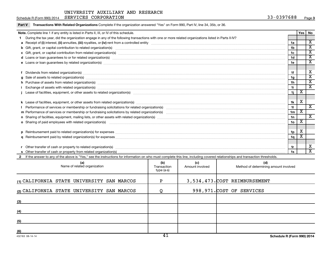Part V Transactions With Related Organizations Complete if the organization answered "Yes" on Form 990, Part IV, line 34, 35b, or 36.

| Note. Complete line 1 if any entity is listed in Parts II, III, or IV of this schedule.                                                                                                                                        |                 | Yes                     | No                          |  |  |  |
|--------------------------------------------------------------------------------------------------------------------------------------------------------------------------------------------------------------------------------|-----------------|-------------------------|-----------------------------|--|--|--|
| During the tax year, did the organization engage in any of the following transactions with one or more related organizations listed in Parts II-IV?                                                                            |                 |                         |                             |  |  |  |
|                                                                                                                                                                                                                                | 1a              |                         | $\overline{\texttt{x}}$     |  |  |  |
| b Gift, grant, or capital contribution to related organization(s) manufactured content and content of the contribution to related organization(s) manufactured content and content of the content of the content of the conten | 1 <sub>b</sub>  |                         | х<br>$\overline{\text{x}}$  |  |  |  |
| 1c                                                                                                                                                                                                                             |                 |                         |                             |  |  |  |
| d Loans or loan guarantees to or for related organization(s) www.communically.com/non-communically-communication(s)                                                                                                            | 1 <sub>d</sub>  |                         | $\overline{\textnormal{x}}$ |  |  |  |
|                                                                                                                                                                                                                                | 1e              |                         | $\overline{\mathbf{x}}$     |  |  |  |
|                                                                                                                                                                                                                                |                 |                         |                             |  |  |  |
|                                                                                                                                                                                                                                | 1f              |                         | X                           |  |  |  |
| g Sale of assets to related organization(s) www.assettion.com/www.assettion.com/www.assettion.com/www.assettion.com/www.assettion.com/www.assettion.com/www.assettion.com/www.assettion.com/www.assettion.com/www.assettion.co | 1g              |                         | $\overline{\textnormal{x}}$ |  |  |  |
| h Purchase of assets from related organization(s) manufactured and content to content the content of an area organization (s) manufactured and content to content of a set of assets from related organization(s) manufactured | 1 <sub>h</sub>  |                         | $\overline{\mathbf{X}}$     |  |  |  |
|                                                                                                                                                                                                                                | 1i.             |                         | $\overline{\texttt{x}}$     |  |  |  |
|                                                                                                                                                                                                                                | 1j.             | X                       |                             |  |  |  |
|                                                                                                                                                                                                                                |                 |                         |                             |  |  |  |
|                                                                                                                                                                                                                                | 1k              | X                       |                             |  |  |  |
|                                                                                                                                                                                                                                | 11              |                         | $\overline{\mathbf{x}}$     |  |  |  |
|                                                                                                                                                                                                                                | 1 <sub>m</sub>  | $\overline{\textbf{x}}$ |                             |  |  |  |
|                                                                                                                                                                                                                                | 1n              |                         | X                           |  |  |  |
| o Sharing of paid employees with related organization(s) manufaction.com/manufaction.com/manufaction.com/manufaction.com/manufaction.com/manufaction.com/manufaction.com/manufaction.com/manufaction.com/manufaction.com/manuf | 10 <sub>o</sub> | х                       |                             |  |  |  |
|                                                                                                                                                                                                                                |                 |                         |                             |  |  |  |
|                                                                                                                                                                                                                                | 1 <sub>p</sub>  | X                       |                             |  |  |  |
|                                                                                                                                                                                                                                | 1 <sub>q</sub>  |                         |                             |  |  |  |
|                                                                                                                                                                                                                                |                 |                         |                             |  |  |  |
| 1r                                                                                                                                                                                                                             |                 |                         |                             |  |  |  |
|                                                                                                                                                                                                                                |                 |                         |                             |  |  |  |
| If the answer to any of the above is "Yes," see the instructions for information on who must complete this line, including covered relationships and transaction thresholds.                                                   |                 |                         |                             |  |  |  |
|                                                                                                                                                                                                                                |                 |                         |                             |  |  |  |

| (a)<br>Name of related organization        | (b)<br>Transaction<br>type (a-s) | (c)<br>Amount involved | (d)<br>Method of determining amount involved |
|--------------------------------------------|----------------------------------|------------------------|----------------------------------------------|
| (1) CALIFORNIA STATE UNIVERSITY SAN MARCOS | P                                |                        | 3,534,473.COST REIMBURSEMENT                 |
| (2) CALIFORNIA STATE UNIVERSITY SAN MARCOS |                                  |                        | 998, 971. COST OF SERVICES                   |
| (3)                                        |                                  |                        |                                              |
| (4)                                        |                                  |                        |                                              |
| (5)                                        |                                  |                        |                                              |
| (6)                                        | $\overline{11}$                  |                        |                                              |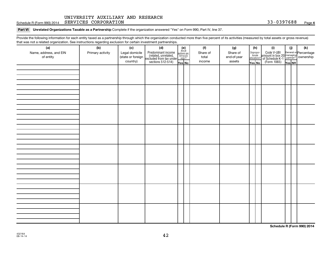Schedule R (Form 990) 2014 SERVICES CORPORATION  $33-0397688$  Page

Part VI Unrelated Organizations Taxable as a Partnership Complete if the organization answered "Yes" on Form 990, Part IV, line 37.

Provide the following information for each entity taxed as a partnership through which the organization conducted more than five percent of its activities (measured by total assets or gross revenue) that was not a related organization. See instructions regarding exclusion for certain investment partnerships.

|                                     | . . ש - אייס פי  |                       | .<br>                                                                                      |                                                          |                 |                 |                                  |                                                                                             |        |     |
|-------------------------------------|------------------|-----------------------|--------------------------------------------------------------------------------------------|----------------------------------------------------------|-----------------|-----------------|----------------------------------|---------------------------------------------------------------------------------------------|--------|-----|
| (a)                                 | (b)              | (c)<br>Legal domicile | (d)                                                                                        | (e)<br>Are all<br>partners sec.<br>$501(c)(3)$<br>orgs.? | (f)<br>Share of | (g)<br>Share of | (h)                              | (i)                                                                                         | (i)    | (k) |
| Name, address, and EIN<br>of entity | Primary activity | (state or foreign     |                                                                                            |                                                          | total           | end-of-year     | Disproportionate<br>allocations? |                                                                                             |        |     |
|                                     |                  | country)              | Predominant income<br>(related, unrelated,<br>excluded from tax under<br>sections 512-514) |                                                          | income          | assets          |                                  | Code V-UBI<br>amount in box 20 managing<br>2 of Schedule K-1<br>Form 1065)<br>The No Res No |        |     |
|                                     |                  |                       |                                                                                            | Yes No                                                   |                 |                 | Yes No                           |                                                                                             | Yes No |     |
|                                     |                  |                       |                                                                                            |                                                          |                 |                 |                                  |                                                                                             |        |     |
|                                     |                  |                       |                                                                                            |                                                          |                 |                 |                                  |                                                                                             |        |     |
|                                     |                  |                       |                                                                                            |                                                          |                 |                 |                                  |                                                                                             |        |     |
|                                     |                  |                       |                                                                                            |                                                          |                 |                 |                                  |                                                                                             |        |     |
|                                     |                  |                       |                                                                                            |                                                          |                 |                 |                                  |                                                                                             |        |     |
|                                     |                  |                       |                                                                                            |                                                          |                 |                 |                                  |                                                                                             |        |     |
|                                     |                  |                       |                                                                                            |                                                          |                 |                 |                                  |                                                                                             |        |     |
|                                     |                  |                       |                                                                                            |                                                          |                 |                 |                                  |                                                                                             |        |     |
|                                     |                  |                       |                                                                                            |                                                          |                 |                 |                                  |                                                                                             |        |     |
|                                     |                  |                       |                                                                                            |                                                          |                 |                 |                                  |                                                                                             |        |     |
|                                     |                  |                       |                                                                                            |                                                          |                 |                 |                                  |                                                                                             |        |     |
|                                     |                  |                       |                                                                                            |                                                          |                 |                 |                                  |                                                                                             |        |     |
|                                     |                  |                       |                                                                                            |                                                          |                 |                 |                                  |                                                                                             |        |     |
|                                     |                  |                       |                                                                                            |                                                          |                 |                 |                                  |                                                                                             |        |     |
|                                     |                  |                       |                                                                                            |                                                          |                 |                 |                                  |                                                                                             |        |     |
|                                     |                  |                       |                                                                                            |                                                          |                 |                 |                                  |                                                                                             |        |     |
|                                     |                  |                       |                                                                                            |                                                          |                 |                 |                                  |                                                                                             |        |     |
|                                     |                  |                       |                                                                                            |                                                          |                 |                 |                                  |                                                                                             |        |     |
|                                     |                  |                       |                                                                                            |                                                          |                 |                 |                                  |                                                                                             |        |     |
|                                     |                  |                       |                                                                                            |                                                          |                 |                 |                                  |                                                                                             |        |     |
|                                     |                  |                       |                                                                                            |                                                          |                 |                 |                                  |                                                                                             |        |     |
|                                     |                  |                       |                                                                                            |                                                          |                 |                 |                                  |                                                                                             |        |     |
|                                     |                  |                       |                                                                                            |                                                          |                 |                 |                                  |                                                                                             |        |     |
|                                     |                  |                       |                                                                                            |                                                          |                 |                 |                                  |                                                                                             |        |     |
|                                     |                  |                       |                                                                                            |                                                          |                 |                 |                                  |                                                                                             |        |     |
|                                     |                  |                       |                                                                                            |                                                          |                 |                 |                                  |                                                                                             |        |     |
|                                     |                  |                       |                                                                                            |                                                          |                 |                 |                                  |                                                                                             |        |     |
|                                     |                  |                       |                                                                                            |                                                          |                 |                 |                                  |                                                                                             |        |     |
|                                     |                  |                       |                                                                                            |                                                          |                 |                 |                                  |                                                                                             |        |     |
|                                     |                  |                       |                                                                                            |                                                          |                 |                 |                                  |                                                                                             |        |     |
|                                     |                  |                       |                                                                                            |                                                          |                 |                 |                                  |                                                                                             |        |     |
|                                     |                  |                       |                                                                                            |                                                          |                 |                 |                                  |                                                                                             |        |     |
|                                     |                  |                       |                                                                                            |                                                          |                 |                 |                                  |                                                                                             |        |     |
|                                     |                  |                       |                                                                                            |                                                          |                 |                 |                                  |                                                                                             |        |     |
|                                     |                  |                       |                                                                                            |                                                          |                 |                 |                                  |                                                                                             |        |     |

**Schedule R (Form 990) 2014**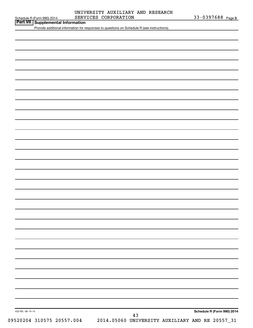### Schedule R (Form 990) 2014 SERVICES CORPORATION 33-0397688 Page UNIVERSITY AUXILIARY AND RESEARCH

**Part VII Schedule R (Form 990) 2014 SERV**<br>**Part VII Supplemental Information** 

Provide additional information for responses to questions on Schedule R (see instructions).

**Schedule R (Form 990) 2014**

432165 08-14-14